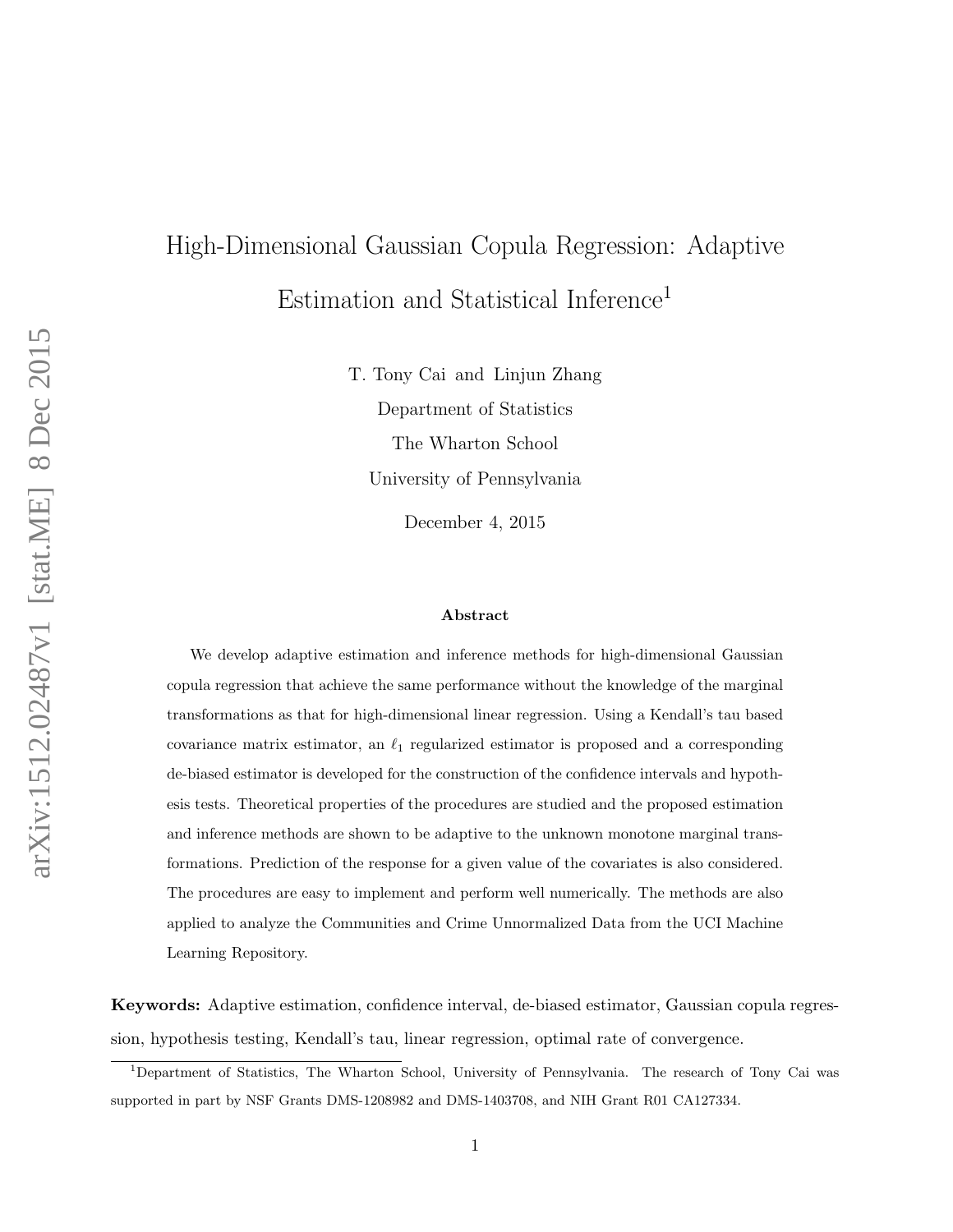# High-Dimensional Gaussian Copula Regression: Adaptive Estimation and Statistical Inference<sup>1</sup>

T. Tony Cai and Linjun Zhang Department of Statistics The Wharton School University of Pennsylvania

December 4, 2015

#### Abstract

We develop adaptive estimation and inference methods for high-dimensional Gaussian copula regression that achieve the same performance without the knowledge of the marginal transformations as that for high-dimensional linear regression. Using a Kendall's tau based covariance matrix estimator, an  $\ell_1$  regularized estimator is proposed and a corresponding de-biased estimator is developed for the construction of the confidence intervals and hypothesis tests. Theoretical properties of the procedures are studied and the proposed estimation and inference methods are shown to be adaptive to the unknown monotone marginal transformations. Prediction of the response for a given value of the covariates is also considered. The procedures are easy to implement and perform well numerically. The methods are also applied to analyze the Communities and Crime Unnormalized Data from the UCI Machine Learning Repository.

Keywords: Adaptive estimation, confidence interval, de-biased estimator, Gaussian copula regression, hypothesis testing, Kendall's tau, linear regression, optimal rate of convergence.

<sup>1</sup>Department of Statistics, The Wharton School, University of Pennsylvania. The research of Tony Cai was supported in part by NSF Grants DMS-1208982 and DMS-1403708, and NIH Grant R01 CA127334.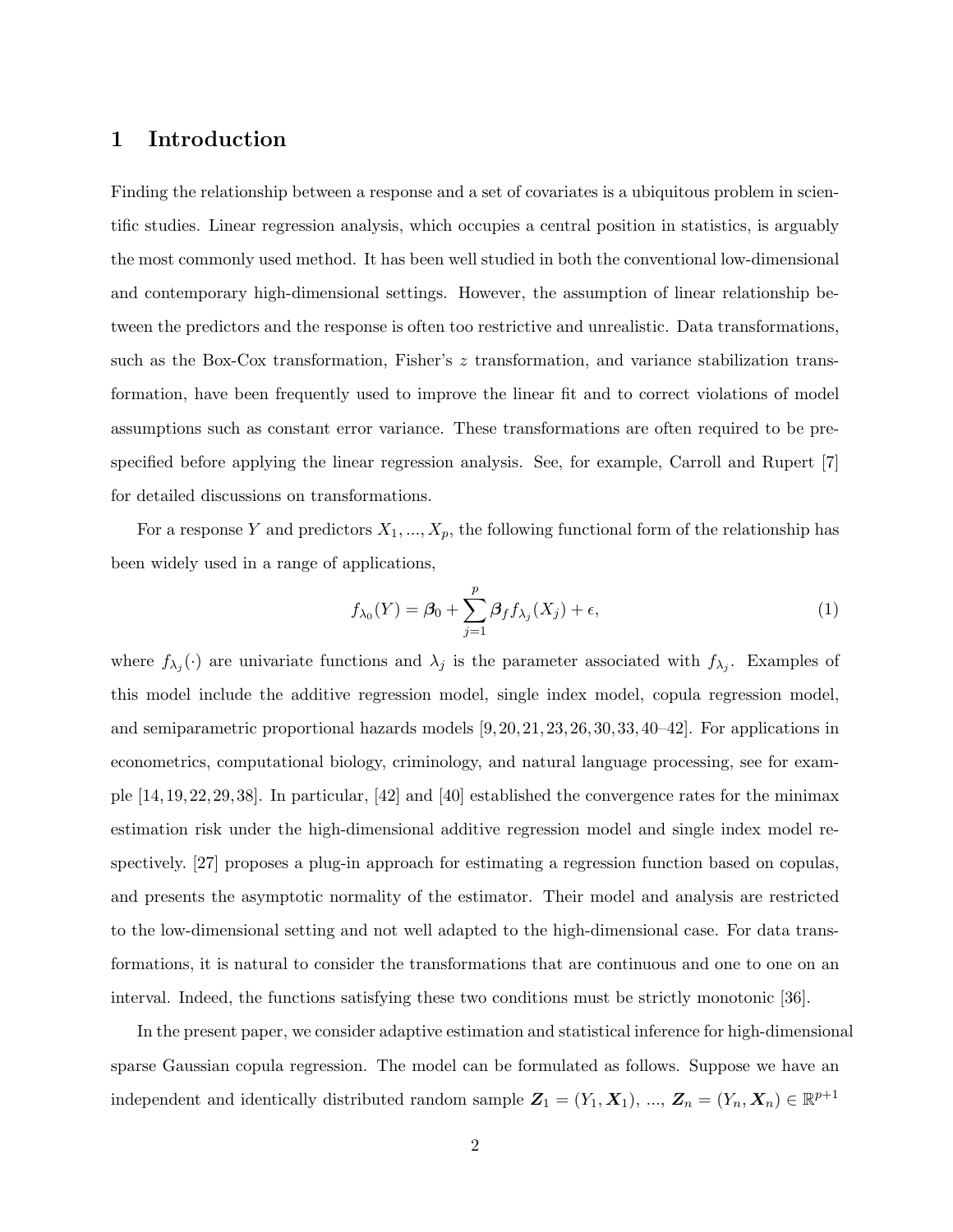## 1 Introduction

Finding the relationship between a response and a set of covariates is a ubiquitous problem in scientific studies. Linear regression analysis, which occupies a central position in statistics, is arguably the most commonly used method. It has been well studied in both the conventional low-dimensional and contemporary high-dimensional settings. However, the assumption of linear relationship between the predictors and the response is often too restrictive and unrealistic. Data transformations, such as the Box-Cox transformation, Fisher's z transformation, and variance stabilization transformation, have been frequently used to improve the linear fit and to correct violations of model assumptions such as constant error variance. These transformations are often required to be prespecified before applying the linear regression analysis. See, for example, Carroll and Rupert [7] for detailed discussions on transformations.

For a response Y and predictors  $X_1, ..., X_p$ , the following functional form of the relationship has been widely used in a range of applications,

$$
f_{\lambda_0}(Y) = \beta_0 + \sum_{j=1}^p \beta_f f_{\lambda_j}(X_j) + \epsilon,\tag{1}
$$

where  $f_{\lambda_j}(\cdot)$  are univariate functions and  $\lambda_j$  is the parameter associated with  $f_{\lambda_j}$ . Examples of this model include the additive regression model, single index model, copula regression model, and semiparametric proportional hazards models  $[9, 20, 21, 23, 26, 30, 33, 40-42]$ . For applications in econometrics, computational biology, criminology, and natural language processing, see for example [14, 19, 22, 29, 38]. In particular, [42] and [40] established the convergence rates for the minimax estimation risk under the high-dimensional additive regression model and single index model respectively. [27] proposes a plug-in approach for estimating a regression function based on copulas, and presents the asymptotic normality of the estimator. Their model and analysis are restricted to the low-dimensional setting and not well adapted to the high-dimensional case. For data transformations, it is natural to consider the transformations that are continuous and one to one on an interval. Indeed, the functions satisfying these two conditions must be strictly monotonic [36].

In the present paper, we consider adaptive estimation and statistical inference for high-dimensional sparse Gaussian copula regression. The model can be formulated as follows. Suppose we have an independent and identically distributed random sample  $Z_1 = (Y_1, X_1), ..., Z_n = (Y_n, X_n) \in \mathbb{R}^{p+1}$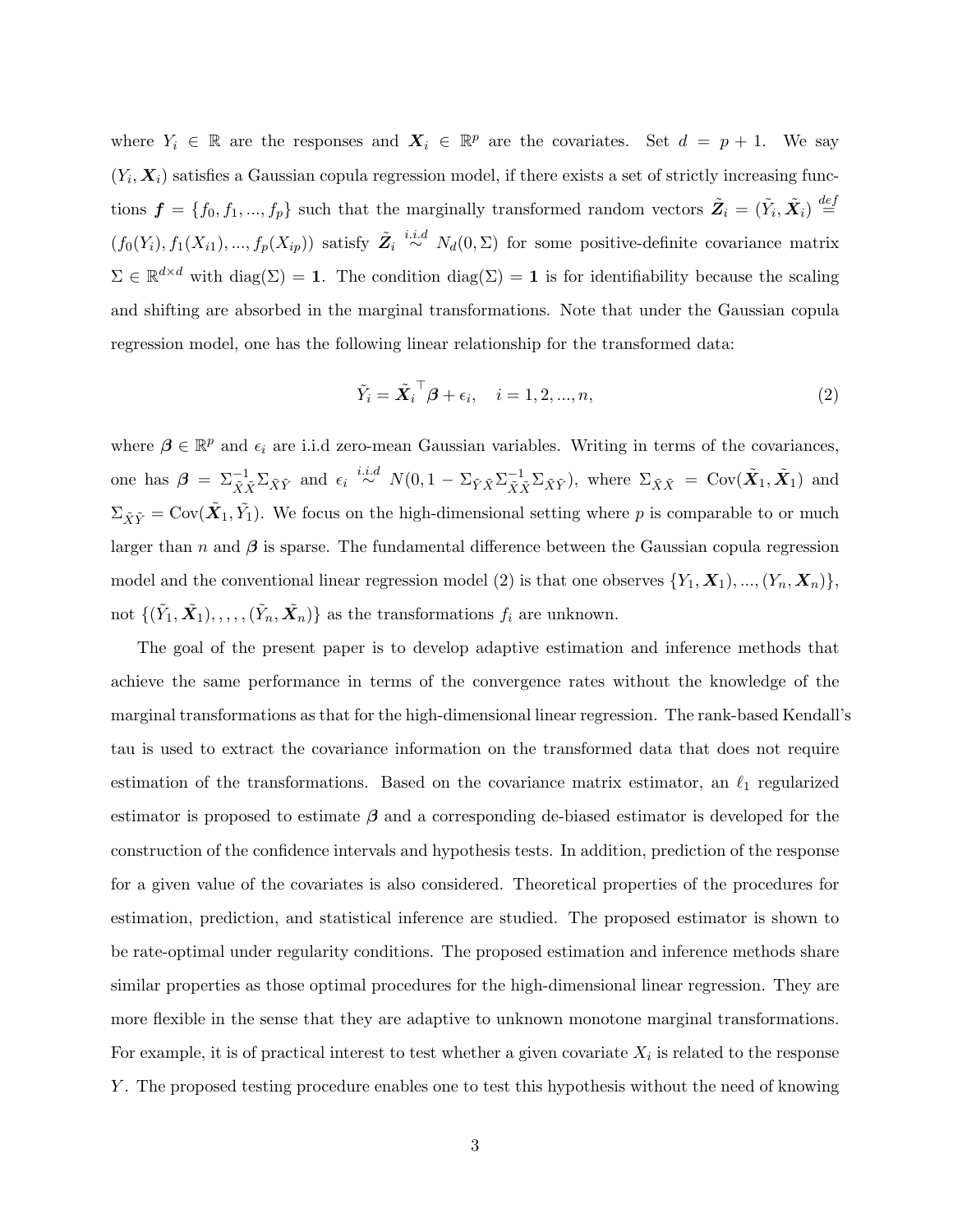where  $Y_i \in \mathbb{R}$  are the responses and  $X_i \in \mathbb{R}^p$  are the covariates. Set  $d = p + 1$ . We say  $(Y_i, X_i)$  satisfies a Gaussian copula regression model, if there exists a set of strictly increasing functions  $\boldsymbol{f} = \{f_0, f_1, ..., f_p\}$  such that the marginally transformed random vectors  $\tilde{Z}_i = (\tilde{Y}_i, \tilde{X}_i) \stackrel{def}{=}$  $(f_0(Y_i), f_1(X_{i1}), ..., f_p(X_{ip}))$  satisfy  $\tilde{Z}_i \stackrel{i.i.d}{\sim} N_d(0, \Sigma)$  for some positive-definite covariance matrix  $\Sigma \in \mathbb{R}^{d \times d}$  with  $\text{diag}(\Sigma) = 1$ . The condition  $\text{diag}(\Sigma) = 1$  is for identifiability because the scaling and shifting are absorbed in the marginal transformations. Note that under the Gaussian copula regression model, one has the following linear relationship for the transformed data:

$$
\tilde{Y}_i = \tilde{\boldsymbol{X}}_i^\top \boldsymbol{\beta} + \epsilon_i, \quad i = 1, 2, ..., n,
$$
\n<sup>(2)</sup>

where  $\beta \in \mathbb{R}^p$  and  $\epsilon_i$  are i.i.d zero-mean Gaussian variables. Writing in terms of the covariances, one has  $\beta = \sum_{\tilde{X}\tilde{X}}^{-1} \sum_{\tilde{X}\tilde{Y}}$  and  $\epsilon_i \stackrel{i.i.d}{\sim} N(0, 1 - \sum_{\tilde{Y}\tilde{X}} \sum_{\tilde{X}\tilde{X}}^{-1} \sum_{\tilde{X}\tilde{Y}})$ , where  $\Sigma_{\tilde{X}\tilde{X}} = \text{Cov}(\tilde{X}_1, \tilde{X}_1)$  and  $\Sigma_{\tilde{X}\tilde{Y}} = \text{Cov}(\tilde{X}_1, \tilde{Y}_1)$ . We focus on the high-dimensional setting where p is comparable to or much larger than  $n$  and  $\beta$  is sparse. The fundamental difference between the Gaussian copula regression model and the conventional linear regression model (2) is that one observes  $\{Y_1, \mathbf{X}_1, \ldots, (Y_n, \mathbf{X}_n)\},$ not  $\{(\tilde{Y}_1, \tilde{X}_1), \ldots, (\tilde{Y}_n, \tilde{X}_n)\}$  as the transformations  $f_i$  are unknown.

The goal of the present paper is to develop adaptive estimation and inference methods that achieve the same performance in terms of the convergence rates without the knowledge of the marginal transformations as that for the high-dimensional linear regression. The rank-based Kendall's tau is used to extract the covariance information on the transformed data that does not require estimation of the transformations. Based on the covariance matrix estimator, an  $\ell_1$  regularized estimator is proposed to estimate  $\beta$  and a corresponding de-biased estimator is developed for the construction of the confidence intervals and hypothesis tests. In addition, prediction of the response for a given value of the covariates is also considered. Theoretical properties of the procedures for estimation, prediction, and statistical inference are studied. The proposed estimator is shown to be rate-optimal under regularity conditions. The proposed estimation and inference methods share similar properties as those optimal procedures for the high-dimensional linear regression. They are more flexible in the sense that they are adaptive to unknown monotone marginal transformations. For example, it is of practical interest to test whether a given covariate  $X_i$  is related to the response Y . The proposed testing procedure enables one to test this hypothesis without the need of knowing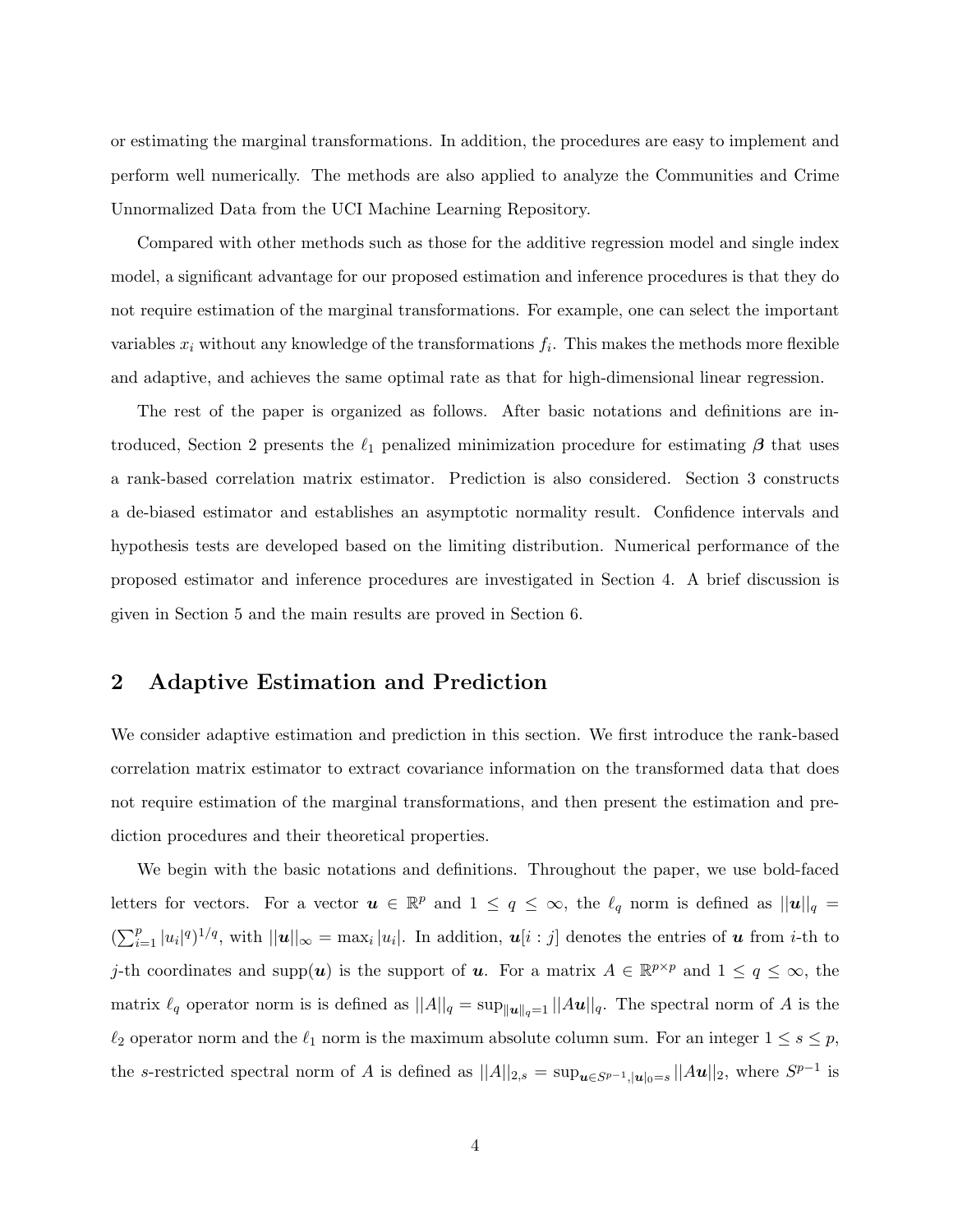or estimating the marginal transformations. In addition, the procedures are easy to implement and perform well numerically. The methods are also applied to analyze the Communities and Crime Unnormalized Data from the UCI Machine Learning Repository.

Compared with other methods such as those for the additive regression model and single index model, a significant advantage for our proposed estimation and inference procedures is that they do not require estimation of the marginal transformations. For example, one can select the important variables  $x_i$  without any knowledge of the transformations  $f_i$ . This makes the methods more flexible and adaptive, and achieves the same optimal rate as that for high-dimensional linear regression.

The rest of the paper is organized as follows. After basic notations and definitions are introduced, Section 2 presents the  $\ell_1$  penalized minimization procedure for estimating  $\beta$  that uses a rank-based correlation matrix estimator. Prediction is also considered. Section 3 constructs a de-biased estimator and establishes an asymptotic normality result. Confidence intervals and hypothesis tests are developed based on the limiting distribution. Numerical performance of the proposed estimator and inference procedures are investigated in Section 4. A brief discussion is given in Section 5 and the main results are proved in Section 6.

## 2 Adaptive Estimation and Prediction

We consider adaptive estimation and prediction in this section. We first introduce the rank-based correlation matrix estimator to extract covariance information on the transformed data that does not require estimation of the marginal transformations, and then present the estimation and prediction procedures and their theoretical properties.

We begin with the basic notations and definitions. Throughout the paper, we use bold-faced letters for vectors. For a vector  $u \in \mathbb{R}^p$  and  $1 \le q \le \infty$ , the  $\ell_q$  norm is defined as  $||u||_q =$  $\left(\sum_{i=1}^p |u_i|^q\right)^{1/q}$ , with  $||u||_{\infty} = \max_i |u_i|$ . In addition,  $u[i:j]$  denotes the entries of u from *i*-th to j-th coordinates and supp $(u)$  is the support of **u**. For a matrix  $A \in \mathbb{R}^{p \times p}$  and  $1 \le q \le \infty$ , the matrix  $\ell_q$  operator norm is is defined as  $||A||_q = \sup_{||u||_q=1} ||Au||_q$ . The spectral norm of A is the  $\ell_2$  operator norm and the  $\ell_1$  norm is the maximum absolute column sum. For an integer  $1 \leq s \leq p$ , the s-restricted spectral norm of A is defined as  $||A||_{2,s} = \sup_{u \in S^{p-1}, |u|_0 = s} ||Au||_2$ , where  $S^{p-1}$  is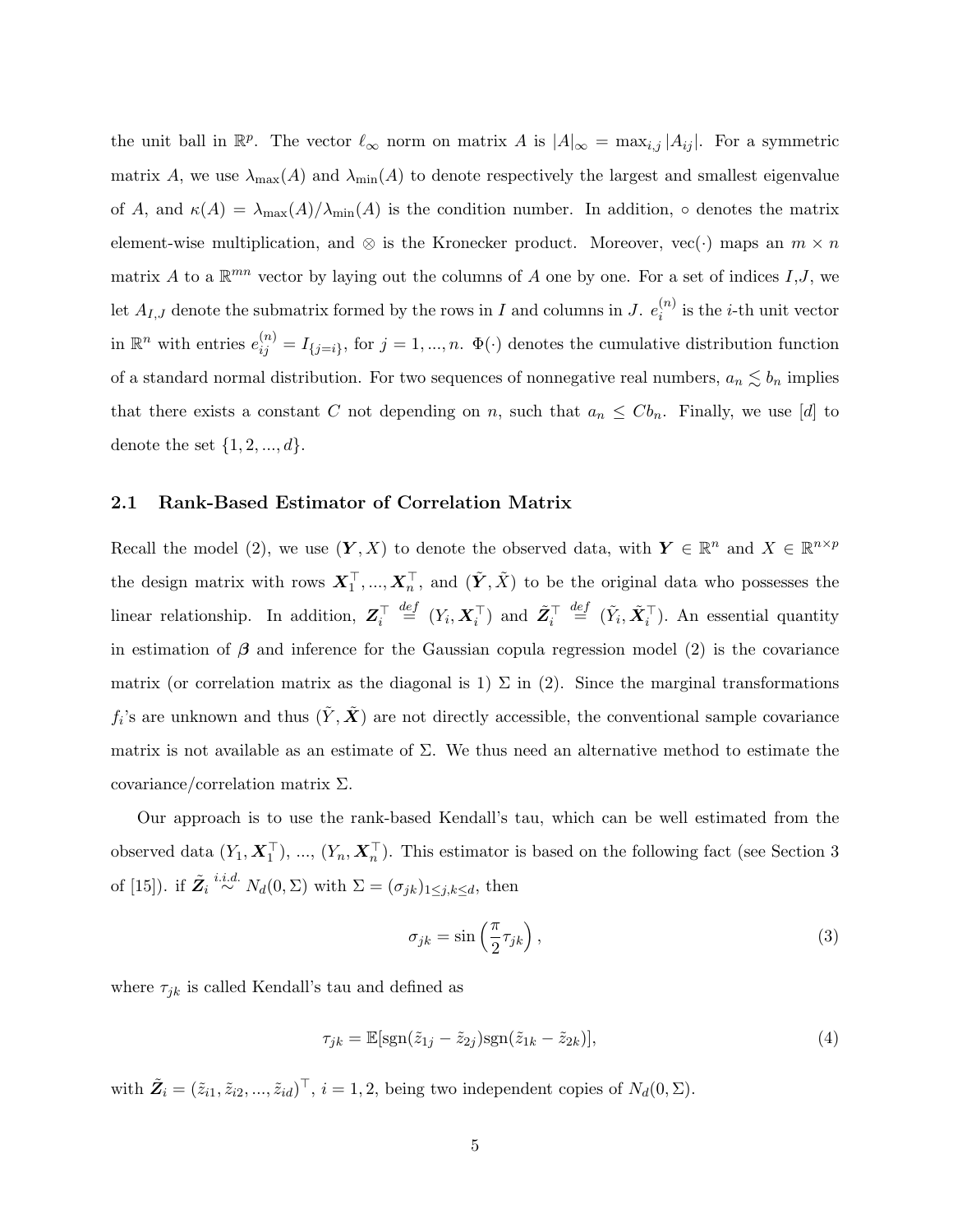the unit ball in  $\mathbb{R}^p$ . The vector  $\ell_{\infty}$  norm on matrix A is  $|A|_{\infty} = \max_{i,j} |A_{ij}|$ . For a symmetric matrix A, we use  $\lambda_{\max}(A)$  and  $\lambda_{\min}(A)$  to denote respectively the largest and smallest eigenvalue of A, and  $\kappa(A) = \lambda_{\max}(A)/\lambda_{\min}(A)$  is the condition number. In addition,  $\circ$  denotes the matrix element-wise multiplication, and ⊗ is the Kronecker product. Moreover, vec( $\cdot$ ) maps an  $m \times n$ matrix A to a  $\mathbb{R}^{mn}$  vector by laying out the columns of A one by one. For a set of indices  $I,J$ , we let  $A_{I,J}$  denote the submatrix formed by the rows in I and columns in J.  $e_i^{(n)}$  $i^{(n)}$  is the *i*-th unit vector in  $\mathbb{R}^n$  with entries  $e_{ij}^{(n)} = I_{\{j=i\}}$ , for  $j = 1, ..., n$ .  $\Phi(\cdot)$  denotes the cumulative distribution function of a standard normal distribution. For two sequences of nonnegative real numbers,  $a_n \lesssim b_n$  implies that there exists a constant C not depending on n, such that  $a_n \leq C b_n$ . Finally, we use [d] to denote the set  $\{1, 2, ..., d\}$ .

#### 2.1 Rank-Based Estimator of Correlation Matrix

Recall the model (2), we use  $(Y, X)$  to denote the observed data, with  $Y \in \mathbb{R}^n$  and  $X \in \mathbb{R}^{n \times p}$ the design matrix with rows  $X_1^{\top}, ..., X_n^{\top}$ , and  $(\tilde{Y}, \tilde{X})$  to be the original data who possesses the linear relationship. In addition,  $\mathbf{Z}_i^{\top} \stackrel{def}{=} (Y_i, \mathbf{X}_i^{\top})$  and  $\tilde{\mathbf{Z}}_i^{\top} \stackrel{def}{=} (\tilde{Y}_i, \tilde{\mathbf{X}}_i^{\top})$ . An essential quantity in estimation of  $\beta$  and inference for the Gaussian copula regression model (2) is the covariance matrix (or correlation matrix as the diagonal is 1)  $\Sigma$  in (2). Since the marginal transformations  $f_i$ 's are unknown and thus  $(\tilde{Y}, \tilde{X})$  are not directly accessible, the conventional sample covariance matrix is not available as an estimate of  $\Sigma$ . We thus need an alternative method to estimate the covariance/correlation matrix Σ.

Our approach is to use the rank-based Kendall's tau, which can be well estimated from the observed data  $(Y_1, X_1^+)$ , ...,  $(Y_n, X_n^+)$ . This estimator is based on the following fact (see Section 3 of [15]). if  $\tilde{Z}_i \stackrel{i.i.d.}{\sim} N_d(0,\Sigma)$  with  $\Sigma = (\sigma_{jk})_{1 \leq j,k \leq d}$ , then

$$
\sigma_{jk} = \sin\left(\frac{\pi}{2}\tau_{jk}\right),\tag{3}
$$

where  $\tau_{jk}$  is called Kendall's tau and defined as

$$
\tau_{jk} = \mathbb{E}[\text{sgn}(\tilde{z}_{1j} - \tilde{z}_{2j})\text{sgn}(\tilde{z}_{1k} - \tilde{z}_{2k})],\tag{4}
$$

with  $\tilde{Z}_i = (\tilde{z}_{i1}, \tilde{z}_{i2}, ..., \tilde{z}_{id})^\top$ ,  $i = 1, 2$ , being two independent copies of  $N_d(0, \Sigma)$ .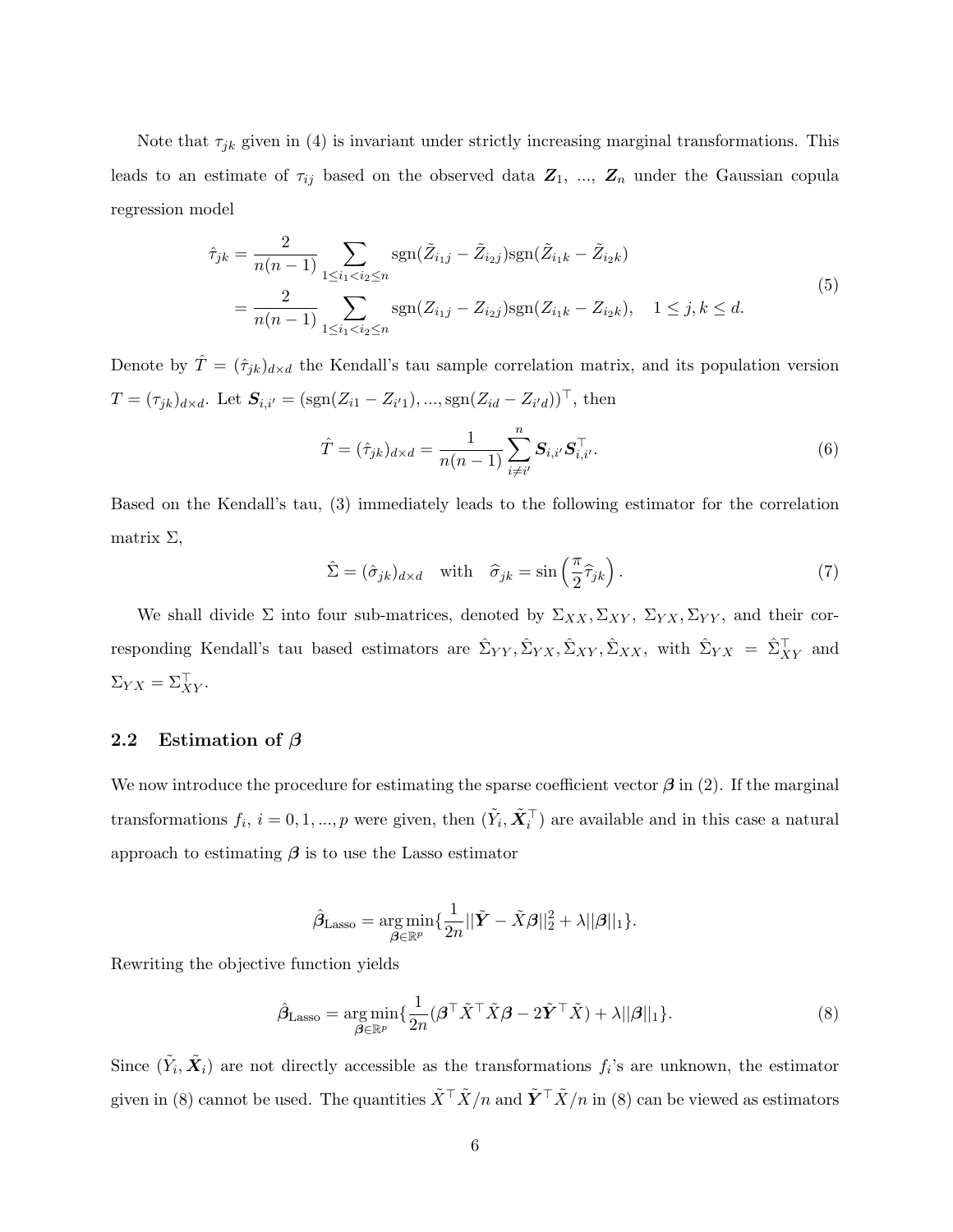Note that  $\tau_{jk}$  given in (4) is invariant under strictly increasing marginal transformations. This leads to an estimate of  $\tau_{ij}$  based on the observed data  $\mathbf{Z}_1$ , ...,  $\mathbf{Z}_n$  under the Gaussian copula regression model

$$
\hat{\tau}_{jk} = \frac{2}{n(n-1)} \sum_{1 \le i_1 < i_2 \le n} \text{sgn}(\tilde{Z}_{i_1j} - \tilde{Z}_{i_2j}) \text{sgn}(\tilde{Z}_{i_1k} - \tilde{Z}_{i_2k})
$$
\n
$$
= \frac{2}{n(n-1)} \sum_{1 \le i_1 < i_2 \le n} \text{sgn}(Z_{i_1j} - Z_{i_2j}) \text{sgn}(Z_{i_1k} - Z_{i_2k}), \quad 1 \le j, k \le d.
$$
\n
$$
(5)
$$

Denote by  $\hat{T} = (\hat{\tau}_{jk})_{d \times d}$  the Kendall's tau sample correlation matrix, and its population version  $T = (\tau_{jk})_{d \times d}$ . Let  $S_{i,i'} = (sgn(Z_{i1} - Z_{i'1}), ..., sgn(Z_{id} - Z_{i'd}))^{\top}$ , then

$$
\hat{T} = (\hat{\tau}_{jk})_{d \times d} = \frac{1}{n(n-1)} \sum_{i \neq i'}^{n} \mathbf{S}_{i,i'} \mathbf{S}_{i,i'}^{\top}.
$$
\n(6)

Based on the Kendall's tau, (3) immediately leads to the following estimator for the correlation matrix  $\Sigma$ ,

$$
\hat{\Sigma} = (\hat{\sigma}_{jk})_{d \times d} \quad \text{with} \quad \hat{\sigma}_{jk} = \sin\left(\frac{\pi}{2}\hat{\tau}_{jk}\right). \tag{7}
$$

We shall divide  $\Sigma$  into four sub-matrices, denoted by  $\Sigma_{XX}, \Sigma_{XY}, \Sigma_{YY}, \Sigma_{YY}$ , and their corresponding Kendall's tau based estimators are  $\hat{\Sigma}_{YY}, \hat{\Sigma}_{YX}, \hat{\Sigma}_{XY}, \hat{\Sigma}_{XX}$ , with  $\hat{\Sigma}_{YX} = \hat{\Sigma}_{XY}^{\top}$  and  $\Sigma_{YX} = \Sigma_{XY}^{\perp}.$ 

#### 2.2 Estimation of  $\beta$

We now introduce the procedure for estimating the sparse coefficient vector  $\beta$  in (2). If the marginal transformations  $f_i$ ,  $i = 0, 1, ..., p$  were given, then  $(\tilde{Y}_i, \tilde{X}_i^{\top})$  are available and in this case a natural approach to estimating  $\beta$  is to use the Lasso estimator

$$
\hat{\beta}_{\text{Lasso}} = \underset{\beta \in \mathbb{R}^p}{\arg \min} \{ \frac{1}{2n} ||\tilde{Y} - \tilde{X}\beta||_2^2 + \lambda ||\beta||_1 \}.
$$

Rewriting the objective function yields

$$
\hat{\beta}_{\text{Lasso}} = \underset{\beta \in \mathbb{R}^p}{\arg \min} \{ \frac{1}{2n} (\beta^\top \tilde{X}^\top \tilde{X} \beta - 2 \tilde{Y}^\top \tilde{X}) + \lambda ||\beta||_1 \}. \tag{8}
$$

Since  $(\tilde{Y}_i, \tilde{X}_i)$  are not directly accessible as the transformations  $f_i$ 's are unknown, the estimator given in (8) cannot be used. The quantities  $\tilde{X}^{\top} \tilde{X}/n$  and  $\tilde{Y}^{\top} \tilde{X}/n$  in (8) can be viewed as estimators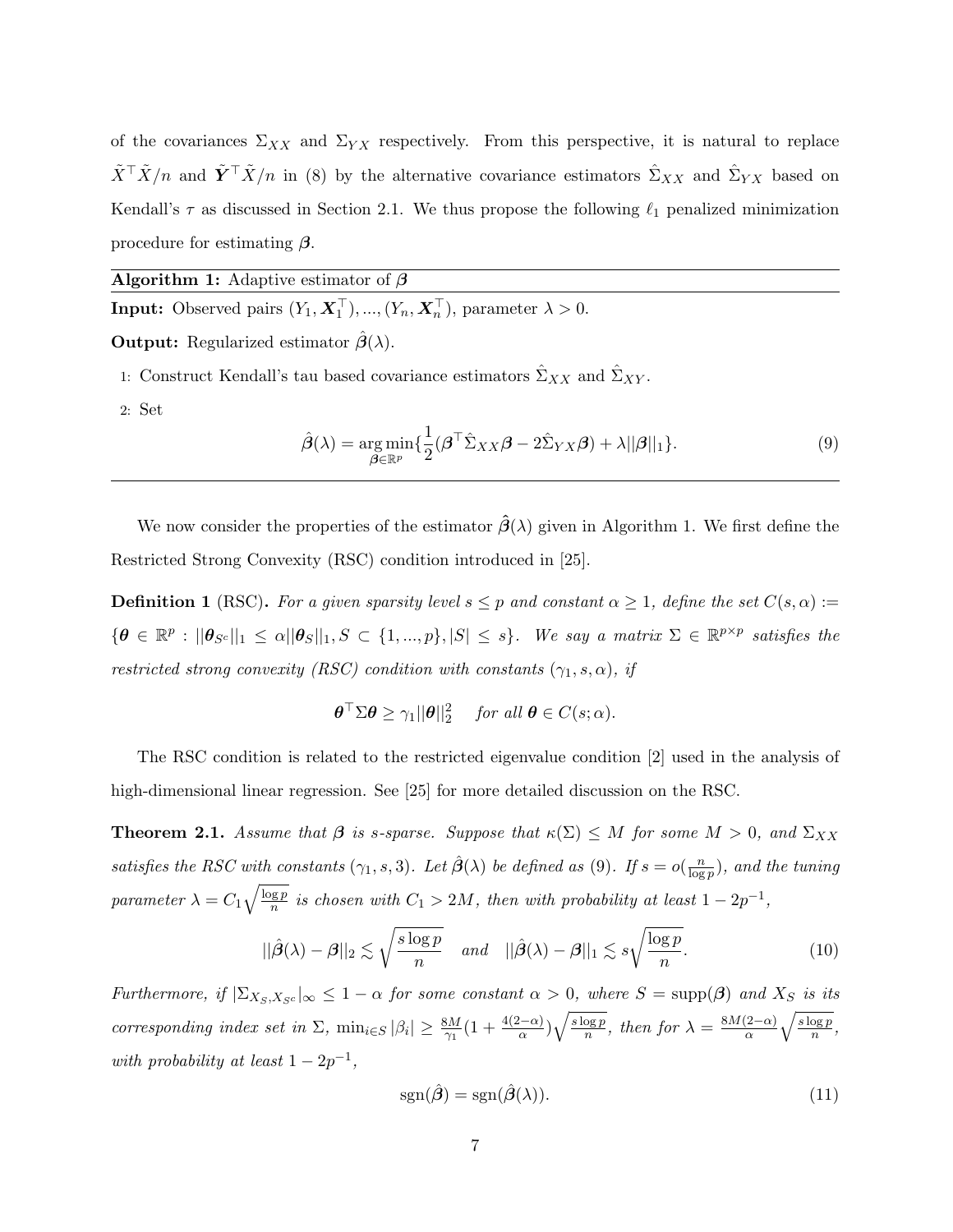of the covariances  $\Sigma_{XX}$  and  $\Sigma_{YX}$  respectively. From this perspective, it is natural to replace  $\tilde{X}^{\top} \tilde{X}/n$  and  $\tilde{Y}^{\top} \tilde{X}/n$  in (8) by the alternative covariance estimators  $\hat{\Sigma}_{XX}$  and  $\hat{\Sigma}_{YX}$  based on Kendall's  $\tau$  as discussed in Section 2.1. We thus propose the following  $\ell_1$  penalized minimization procedure for estimating  $\beta$ .

Algorithm 1: Adaptive estimator of  $\beta$ 

**Input:** Observed pairs  $(Y_1, X_1^{\perp}), ..., (Y_n, X_n^{\perp})$ , parameter  $\lambda > 0$ .

**Output:** Regularized estimator  $\hat{\boldsymbol{\beta}}(\lambda)$ .

- 1: Construct Kendall's tau based covariance estimators  $\hat{\Sigma}_{XX}$  and  $\hat{\Sigma}_{XY}.$
- 2: Set

$$
\hat{\boldsymbol{\beta}}(\lambda) = \underset{\boldsymbol{\beta} \in \mathbb{R}^p}{\arg \min} \{ \frac{1}{2} (\boldsymbol{\beta}^\top \hat{\boldsymbol{\Sigma}}_{XX} \boldsymbol{\beta} - 2\hat{\boldsymbol{\Sigma}}_{YX} \boldsymbol{\beta}) + \lambda ||\boldsymbol{\beta}||_1 \}. \tag{9}
$$

We now consider the properties of the estimator  $\hat{\beta}(\lambda)$  given in Algorithm 1. We first define the Restricted Strong Convexity (RSC) condition introduced in [25].

**Definition 1** (RSC). For a given sparsity level  $s \leq p$  and constant  $\alpha \geq 1$ , define the set  $C(s, \alpha) :=$  $\{\boldsymbol{\theta} \in \mathbb{R}^p : ||\boldsymbol{\theta}_{S^c}||_1 \leq \alpha ||\boldsymbol{\theta}_S||_1, S \subset \{1, ..., p\}, |S| \leq s\}.$  We say a matrix  $\Sigma \in \mathbb{R}^{p \times p}$  satisfies the restricted strong convexity (RSC) condition with constants  $(\gamma_1, s, \alpha)$ , if

$$
\boldsymbol{\theta}^{\top} \Sigma \boldsymbol{\theta} \geq \gamma_1 ||\boldsymbol{\theta}||_2^2 \quad \text{ for all } \boldsymbol{\theta} \in C(s; \alpha).
$$

The RSC condition is related to the restricted eigenvalue condition [2] used in the analysis of high-dimensional linear regression. See [25] for more detailed discussion on the RSC.

**Theorem 2.1.** Assume that  $\beta$  is s-sparse. Suppose that  $\kappa(\Sigma) \leq M$  for some  $M > 0$ , and  $\Sigma_{XX}$ satisfies the RSC with constants  $(\gamma_1, s, 3)$ . Let  $\hat{\boldsymbol{\beta}}(\lambda)$  be defined as (9). If  $s = o(\frac{n}{\log n})$  $\frac{n}{\log p}$ ), and the tuning parameter  $\lambda = C_1 \sqrt{\frac{\log p}{n}}$  $\frac{q\cdot p}{n}$  is chosen with  $C_1 > 2M$ , then with probability at least  $1 - 2p^{-1}$ ,

$$
||\hat{\boldsymbol{\beta}}(\lambda) - \boldsymbol{\beta}||_2 \lesssim \sqrt{\frac{s \log p}{n}} \quad \text{and} \quad ||\hat{\boldsymbol{\beta}}(\lambda) - \boldsymbol{\beta}||_1 \lesssim s\sqrt{\frac{\log p}{n}}.\tag{10}
$$

Furthermore, if  $|\Sigma_{X_S,X_{S^c}}|_{\infty} \leq 1-\alpha$  for some constant  $\alpha > 0$ , where  $S = \text{supp}(\beta)$  and  $X_S$  is its corresponding index set in  $\Sigma$ ,  $\min_{i \in S} |\beta_i| \geq \frac{8M}{\gamma_1} (1 + \frac{4(2-\alpha)}{\alpha}) \sqrt{\frac{s \log p}{n}}$  $\frac{\log p}{n}$ , then for  $\lambda = \frac{8M(2-\alpha)}{\alpha}$  $\sqrt{s \log p}$  $\frac{\log p}{n},$ with probability at least  $1 - 2p^{-1}$ ,

$$
sgn(\hat{\boldsymbol{\beta}}) = sgn(\hat{\boldsymbol{\beta}}(\lambda)).
$$
\n(11)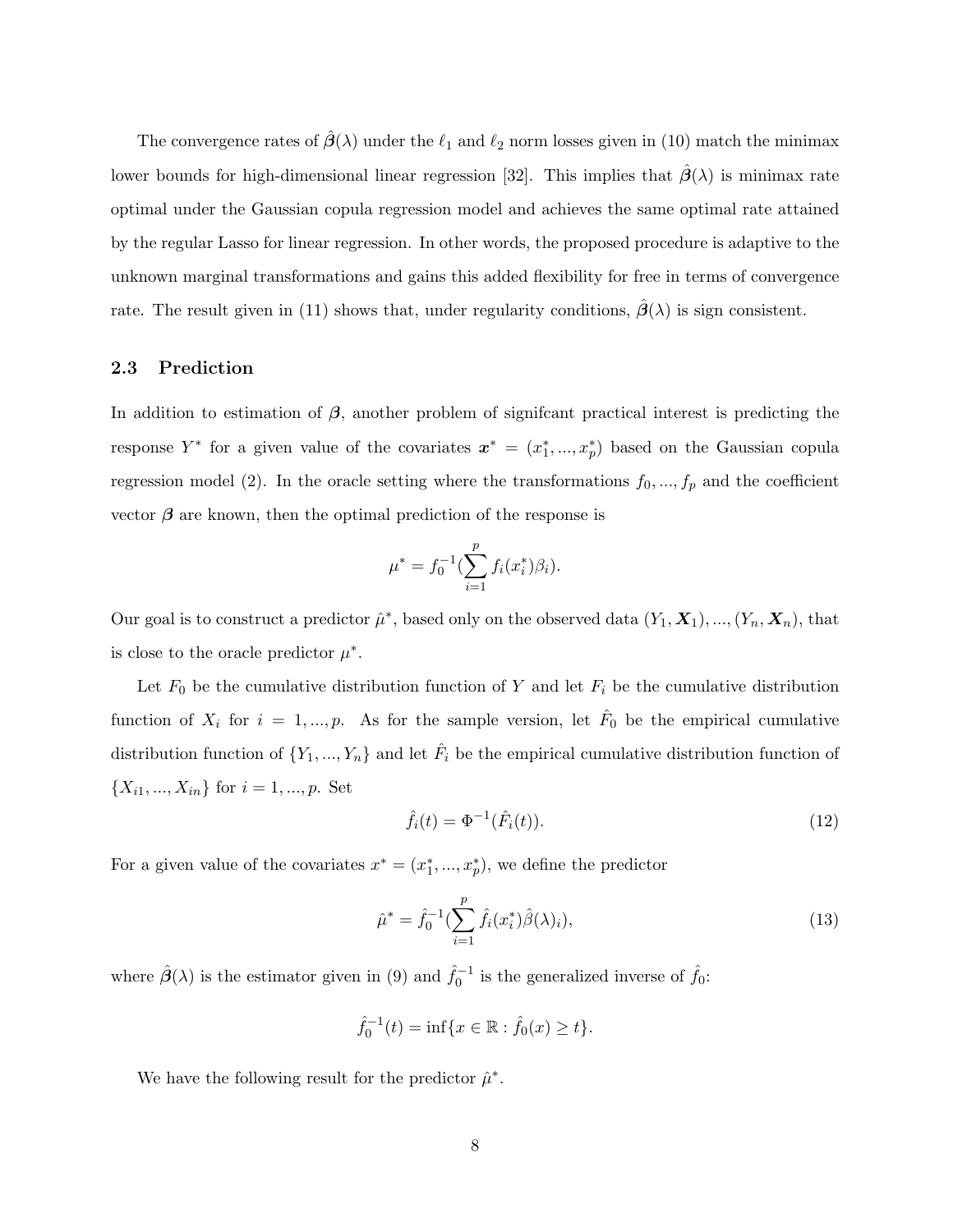The convergence rates of  $\hat{\beta}(\lambda)$  under the  $\ell_1$  and  $\ell_2$  norm losses given in (10) match the minimax lower bounds for high-dimensional linear regression [32]. This implies that  $\hat{\beta}(\lambda)$  is minimax rate optimal under the Gaussian copula regression model and achieves the same optimal rate attained by the regular Lasso for linear regression. In other words, the proposed procedure is adaptive to the unknown marginal transformations and gains this added flexibility for free in terms of convergence rate. The result given in (11) shows that, under regularity conditions,  $\hat{\beta}(\lambda)$  is sign consistent.

#### 2.3 Prediction

In addition to estimation of  $\beta$ , another problem of significant practical interest is predicting the response  $Y^*$  for a given value of the covariates  $\boldsymbol{x}^* = (x_1^*,...,x_p^*)$  based on the Gaussian copula regression model (2). In the oracle setting where the transformations  $f_0, ..., f_p$  and the coefficient vector  $\beta$  are known, then the optimal prediction of the response is

$$
\mu^* = f_0^{-1} \left( \sum_{i=1}^p f_i(x_i^*) \beta_i \right).
$$

Our goal is to construct a predictor  $\hat{\mu}^*$ , based only on the observed data  $(Y_1, \mathbf{X}_1), ..., (Y_n, \mathbf{X}_n)$ , that is close to the oracle predictor  $\mu^*$ .

Let  $F_0$  be the cumulative distribution function of Y and let  $F_i$  be the cumulative distribution function of  $X_i$  for  $i = 1, ..., p$ . As for the sample version, let  $\hat{F}_0$  be the empirical cumulative distribution function of  $\{Y_1, ..., Y_n\}$  and let  $\hat{F}_i$  be the empirical cumulative distribution function of  $\{X_{i1},...,X_{in}\}\$ for  $i=1,...,p.$  Set

$$
\hat{f}_i(t) = \Phi^{-1}(\hat{F}_i(t)).
$$
\n(12)

For a given value of the covariates  $x^* = (x_1^*, \ldots, x_p^*)$ , we define the predictor

$$
\hat{\mu}^* = \hat{f}_0^{-1} \left( \sum_{i=1}^p \hat{f}_i(x_i^*) \hat{\beta}(\lambda)_i \right),\tag{13}
$$

where  $\hat{\beta}(\lambda)$  is the estimator given in (9) and  $\hat{f}_0^{-1}$  is the generalized inverse of  $\hat{f}_0$ :

$$
\hat{f}_0^{-1}(t) = \inf\{x \in \mathbb{R} : \hat{f}_0(x) \ge t\}.
$$

We have the following result for the predictor  $\hat{\mu}^*$ .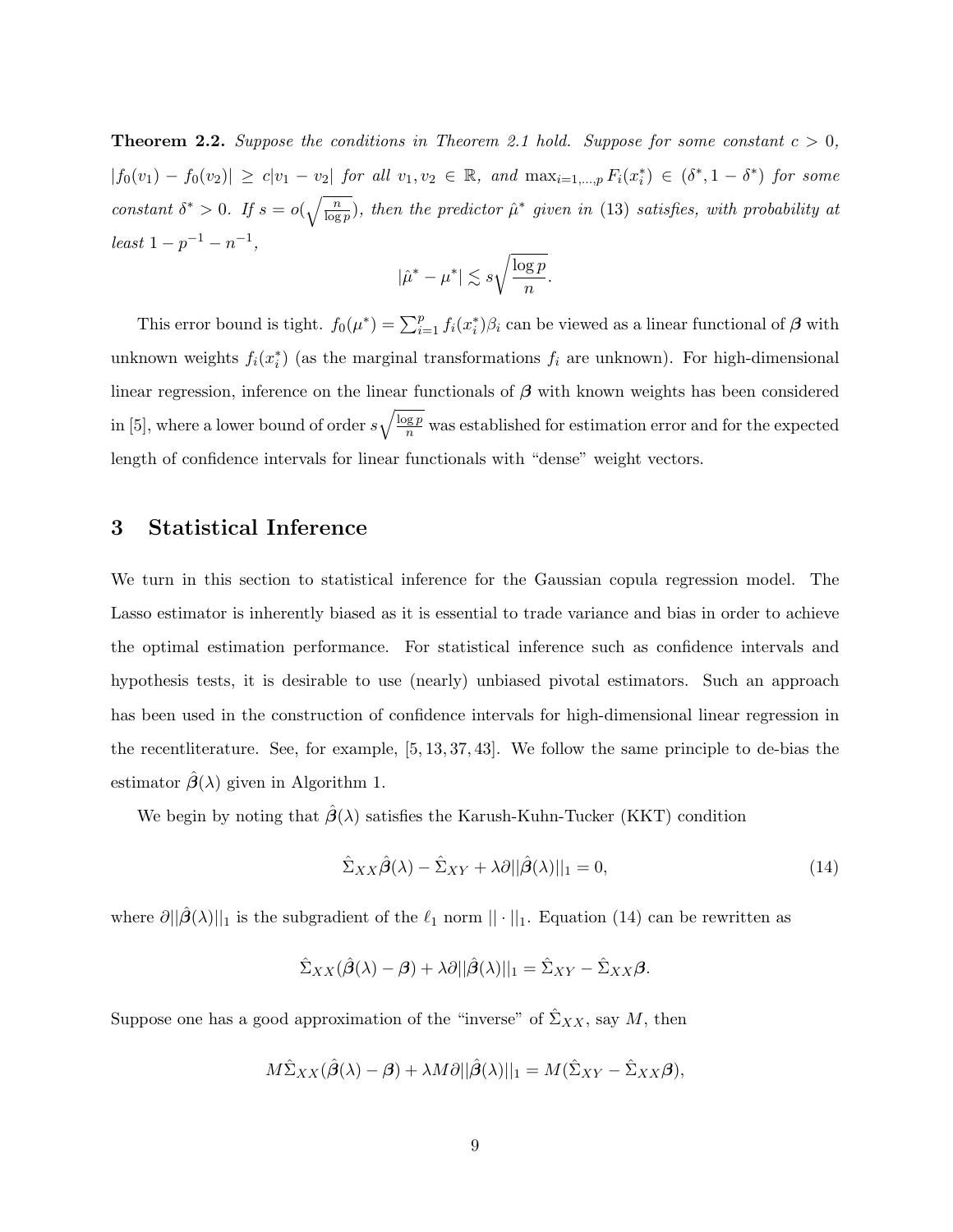**Theorem 2.2.** Suppose the conditions in Theorem 2.1 hold. Suppose for some constant  $c > 0$ ,  $|f_0(v_1) - f_0(v_2)| \geq c|v_1 - v_2|$  for all  $v_1, v_2 \in \mathbb{R}$ , and  $\max_{i=1,\dots,p} F_i(x_i^*) \in (\delta^*, 1 - \delta^*)$  for some constant  $\delta^* > 0$ . If  $s = o(\sqrt{\frac{n}{\log n}})$  $\frac{n}{\log p}$ ), then the predictor  $\hat{\mu}^*$  given in (13) satisfies, with probability at  $least 1-p^{-1}-n^{-1},$ 

$$
|\hat{\mu}^* - \mu^*| \lesssim s \sqrt{\frac{\log p}{n}}.
$$

This error bound is tight.  $f_0(\mu^*) = \sum_{i=1}^p f_i(x_i^*) \beta_i$  can be viewed as a linear functional of  $\beta$  with unknown weights  $f_i(x_i^*)$  (as the marginal transformations  $f_i$  are unknown). For high-dimensional linear regression, inference on the linear functionals of  $\beta$  with known weights has been considered in [5], where a lower bound of order  $s\sqrt{\frac{\log p}{n}}$  was established for estimation error and for the expected length of confidence intervals for linear functionals with "dense" weight vectors.

## 3 Statistical Inference

We turn in this section to statistical inference for the Gaussian copula regression model. The Lasso estimator is inherently biased as it is essential to trade variance and bias in order to achieve the optimal estimation performance. For statistical inference such as confidence intervals and hypothesis tests, it is desirable to use (nearly) unbiased pivotal estimators. Such an approach has been used in the construction of confidence intervals for high-dimensional linear regression in the recentliterature. See, for example, [5, 13, 37, 43]. We follow the same principle to de-bias the estimator  $\hat{\beta}(\lambda)$  given in Algorithm 1.

We begin by noting that  $\hat{\beta}(\lambda)$  satisfies the Karush-Kuhn-Tucker (KKT) condition

$$
\hat{\Sigma}_{XX}\hat{\boldsymbol{\beta}}(\lambda) - \hat{\Sigma}_{XY} + \lambda \partial ||\hat{\boldsymbol{\beta}}(\lambda)||_1 = 0,
$$
\n(14)

where  $\partial ||\hat{\beta}(\lambda)||_1$  is the subgradient of the  $\ell_1$  norm  $|| \cdot ||_1$ . Equation (14) can be rewritten as

$$
\hat{\Sigma}_{XX}(\hat{\boldsymbol{\beta}}(\lambda)-\boldsymbol{\beta})+\lambda\partial||\hat{\boldsymbol{\beta}}(\lambda)||_1=\hat{\Sigma}_{XY}-\hat{\Sigma}_{XX}\boldsymbol{\beta}.
$$

Suppose one has a good approximation of the "inverse" of  $\hat{\Sigma}_{XX}$ , say M, then

$$
M\hat{\Sigma}_{XX}(\hat{\beta}(\lambda)-\beta) + \lambda M \partial ||\hat{\beta}(\lambda)||_1 = M(\hat{\Sigma}_{XY} - \hat{\Sigma}_{XX}\beta),
$$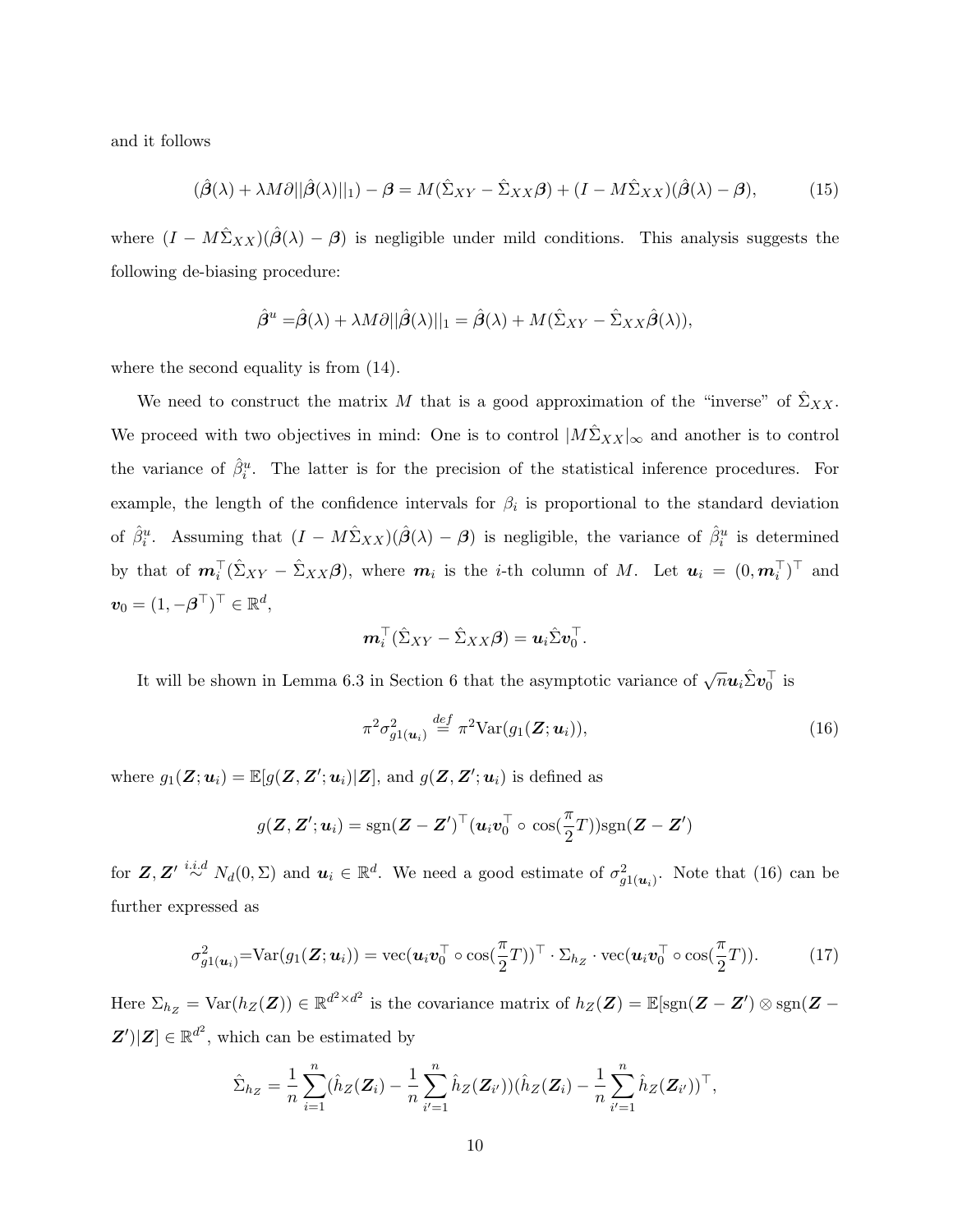and it follows

$$
(\hat{\beta}(\lambda) + \lambda M \partial ||\hat{\beta}(\lambda)||_1) - \beta = M(\hat{\Sigma}_{XY} - \hat{\Sigma}_{XX}\beta) + (I - M\hat{\Sigma}_{XX})(\hat{\beta}(\lambda) - \beta),\tag{15}
$$

where  $(I - M\hat{\Sigma}_{XX})(\hat{\beta}(\lambda) - \beta)$  is negligible under mild conditions. This analysis suggests the following de-biasing procedure:

$$
\hat{\boldsymbol{\beta}}^u = \hat{\boldsymbol{\beta}}(\lambda) + \lambda M \partial ||\hat{\boldsymbol{\beta}}(\lambda)||_1 = \hat{\boldsymbol{\beta}}(\lambda) + M(\hat{\Sigma}_{XY} - \hat{\Sigma}_{XX}\hat{\boldsymbol{\beta}}(\lambda)),
$$

where the second equality is from (14).

We need to construct the matrix M that is a good approximation of the "inverse" of  $\hat{\Sigma}_{XX}$ . We proceed with two objectives in mind: One is to control  $|M\hat{\Sigma}_{XX}|_{\infty}$  and another is to control the variance of  $\hat{\beta}_i^u$ . The latter is for the precision of the statistical inference procedures. For example, the length of the confidence intervals for  $\beta_i$  is proportional to the standard deviation of  $\hat{\beta}_i^u$ . Assuming that  $(I - M\hat{\Sigma}_{XX})(\hat{\beta}(\lambda) - \beta)$  is negligible, the variance of  $\hat{\beta}_i^u$  is determined by that of  $m_i^{\top}(\hat{\Sigma}_{XY} - \hat{\Sigma}_{XX}\beta)$ , where  $m_i$  is the *i*-th column of M. Let  $u_i = (0, m_i^{\top})^{\top}$  and  $v_0 = (1, -\boldsymbol{\beta}^\top)^\top \in \mathbb{R}^d$ ,

$$
\boldsymbol{m}_i^{\top}(\hat{\Sigma}_{XY}-\hat{\Sigma}_{XX}\boldsymbol{\beta})=\boldsymbol{u}_i\hat{\Sigma}\boldsymbol{v}_0^{\top}.
$$

It will be shown in Lemma 6.3 in Section 6 that the asymptotic variance of  $\sqrt{n}$ **u**<sub>i</sub> $\hat{\Sigma}$ **v**<sub>0</sub><sup>T</sup> is

$$
\pi^2 \sigma_{g1(\boldsymbol{u}_i)}^2 \stackrel{def}{=} \pi^2 \text{Var}(g_1(\boldsymbol{Z}; \boldsymbol{u}_i)), \tag{16}
$$

where  $g_1(\mathbf{Z}; \mathbf{u}_i) = \mathbb{E}[g(\mathbf{Z}, \mathbf{Z}'; \mathbf{u}_i)|\mathbf{Z}]$ , and  $g(\mathbf{Z}, \mathbf{Z}'; \mathbf{u}_i)$  is defined as

$$
g(\boldsymbol{Z},\boldsymbol{Z}';\boldsymbol{u}_i) = \text{sgn}(\boldsymbol{Z}-\boldsymbol{Z}')^\top(\boldsymbol{u}_i\boldsymbol{v}_0^\top\circ\,\cos(\frac{\pi}{2}T))\text{sgn}(\boldsymbol{Z}-\boldsymbol{Z}')
$$

for  $\mathbf{Z}, \mathbf{Z}' \stackrel{i.i.d}{\sim} N_d(0,\Sigma)$  and  $\mathbf{u}_i \in \mathbb{R}^d$ . We need a good estimate of  $\sigma_{g1(\mathbf{u}_i)}^2$ . Note that (16) can be further expressed as

$$
\sigma_{g1(\boldsymbol{u}_i)}^2 = \text{Var}(g_1(\boldsymbol{Z}; \boldsymbol{u}_i)) = \text{vec}(\boldsymbol{u}_i \boldsymbol{v}_0^\top \circ \text{cos}(\frac{\pi}{2}T))^\top \cdot \Sigma_{h_Z} \cdot \text{vec}(\boldsymbol{u}_i \boldsymbol{v}_0^\top \circ \text{cos}(\frac{\pi}{2}T)).
$$
 (17)

Here  $\Sigma_{h_Z} = \text{Var}(h_Z(\mathbf{Z})) \in \mathbb{R}^{d^2 \times d^2}$  is the covariance matrix of  $h_Z(\mathbf{Z}) = \mathbb{E}[\text{sgn}(\mathbf{Z} - \mathbf{Z}') \otimes \text{sgn}(\mathbf{Z} - \mathbf{Z}')]$  $\mathbf{Z}'/|\mathbf{Z}| \in \mathbb{R}^{d^2}$ , which can be estimated by

$$
\hat{\Sigma}_{h_Z} = \frac{1}{n} \sum_{i=1}^n (\hat{h}_Z(\mathbf{Z}_i) - \frac{1}{n} \sum_{i'=1}^n \hat{h}_Z(\mathbf{Z}_{i'})) (\hat{h}_Z(\mathbf{Z}_i) - \frac{1}{n} \sum_{i'=1}^n \hat{h}_Z(\mathbf{Z}_{i'}))^\top,
$$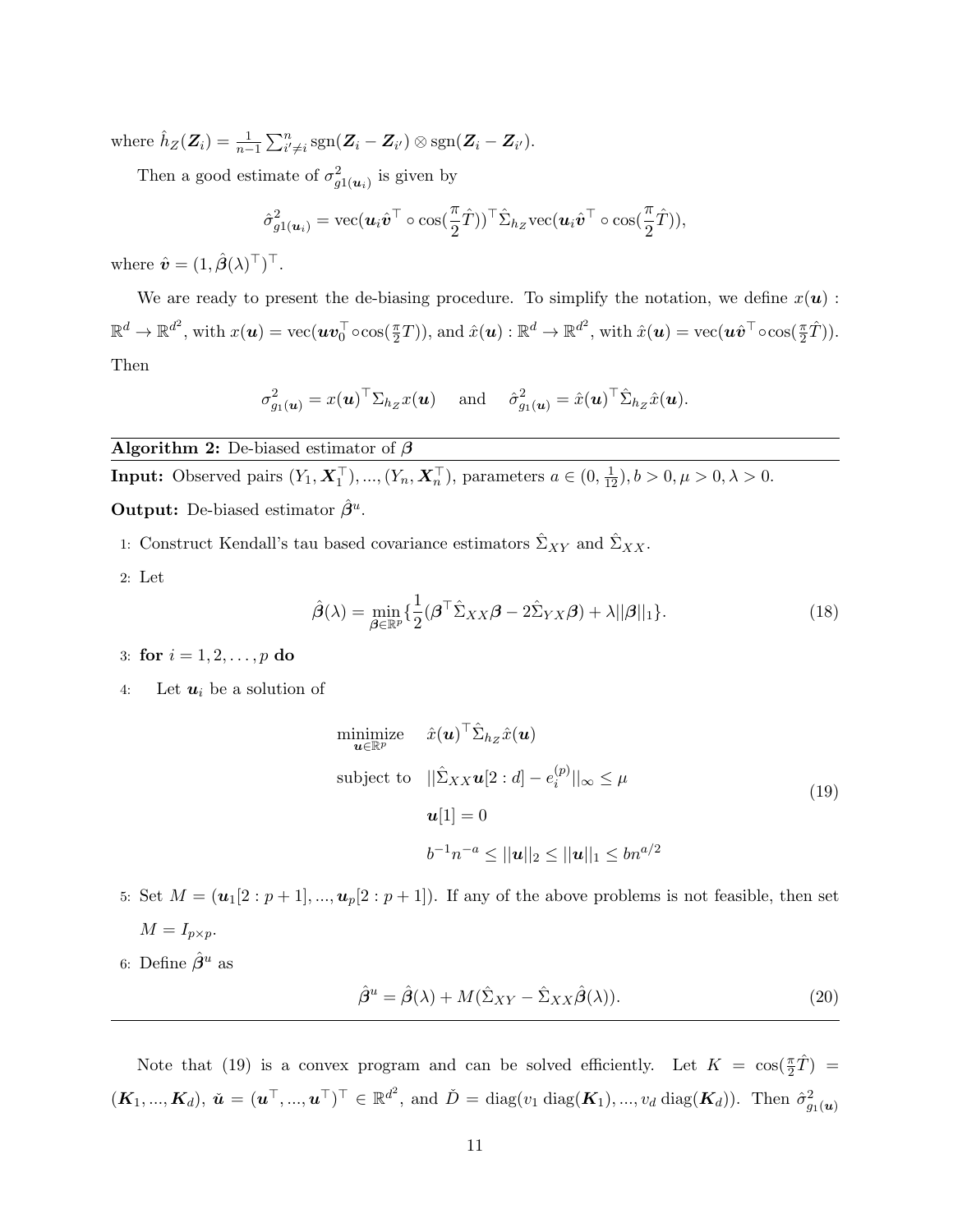where  $\hat{h}_Z(\mathbf{Z}_i) = \frac{1}{n-1} \sum_{i' \neq i}^n \text{sgn}(\mathbf{Z}_i - \mathbf{Z}_{i'}) \otimes \text{sgn}(\mathbf{Z}_i - \mathbf{Z}_{i'}).$ 

Then a good estimate of  $\sigma_{g1(\boldsymbol{u}_i)}^2$  is given by

$$
\hat{\sigma}_{g1(\boldsymbol{u}_i)}^2 = \text{vec}(\boldsymbol{u}_i \hat{\boldsymbol{v}}^\top \circ \text{cos}(\frac{\pi}{2} \hat{T}))^\top \hat{\Sigma}_{h_Z} \text{vec}(\boldsymbol{u}_i \hat{\boldsymbol{v}}^\top \circ \text{cos}(\frac{\pi}{2} \hat{T})),
$$

where  $\hat{\boldsymbol{v}} = (1, \hat{\boldsymbol{\beta}}(\lambda)^{\top})^{\top}$ .

We are ready to present the de-biasing procedure. To simplify the notation, we define  $x(\boldsymbol{u})$ :  $\mathbb{R}^d \to \mathbb{R}^{d^2}$ , with  $x(\boldsymbol{u}) = \text{vec}(\boldsymbol{u}\boldsymbol{v}_0^{\top} \circ \text{cos}(\frac{\pi}{2}T))$ , and  $\hat{x}(\boldsymbol{u}) : \mathbb{R}^d \to \mathbb{R}^{d^2}$ , with  $\hat{x}(\boldsymbol{u}) = \text{vec}(\boldsymbol{u}\hat{\boldsymbol{v}}^{\top} \circ \text{cos}(\frac{\pi}{2}\hat{T}))$ . Then

$$
\sigma_{g_1(\boldsymbol{u})}^2 = x(\boldsymbol{u})^\top \Sigma_{h_Z} x(\boldsymbol{u}) \quad \text{ and } \quad \hat{\sigma}_{g_1(\boldsymbol{u})}^2 = \hat{x}(\boldsymbol{u})^\top \hat{\Sigma}_{h_Z} \hat{x}(\boldsymbol{u}).
$$

Algorithm 2: De-biased estimator of  $\beta$ 

**Input:** Observed pairs 
$$
(Y_1, \mathbf{X}_1^{\top}), ..., (Y_n, \mathbf{X}_n^{\top})
$$
, parameters  $a \in (0, \frac{1}{12}), b > 0, \mu > 0, \lambda > 0$ .  
**Output:** De-biased estimator  $\hat{\beta}^u$ .

- 1: Construct Kendall's tau based covariance estimators  $\hat{\Sigma}_{XY}$  and  $\hat{\Sigma}_{XX}$ .
- 2: Let

$$
\hat{\boldsymbol{\beta}}(\lambda) = \min_{\boldsymbol{\beta} \in \mathbb{R}^p} \{ \frac{1}{2} (\boldsymbol{\beta}^\top \hat{\Sigma}_{XX} \boldsymbol{\beta} - 2\hat{\Sigma}_{YX} \boldsymbol{\beta}) + \lambda ||\boldsymbol{\beta}||_1 \}. \tag{18}
$$

- 3: for  $i = 1, 2, ..., p$  do
- 4: Let  $u_i$  be a solution of

$$
\begin{aligned}\n\text{minimize} & \quad \hat{x}(\mathbf{u})^{\top} \hat{\Sigma}_{h_Z} \hat{x}(\mathbf{u}) \\
\text{subject to} & \quad ||\hat{\Sigma}_{XX} \mathbf{u}[2:d] - e_i^{(p)}||_{\infty} \le \mu \\
& \mathbf{u}[1] = 0 \\
& \quad b^{-1} n^{-a} \le ||\mathbf{u}||_2 \le ||\mathbf{u}||_1 \le bn^{a/2}\n\end{aligned} \tag{19}
$$

- 5: Set  $M = (u_1[2:p+1],...,u_p[2:p+1])$ . If any of the above problems is not feasible, then set  $M = I_{p \times p}$ .
- 6: Define  $\hat{\beta}^u$  as

$$
\hat{\beta}^u = \hat{\beta}(\lambda) + M(\hat{\Sigma}_{XY} - \hat{\Sigma}_{XX}\hat{\beta}(\lambda)).\tag{20}
$$

Note that (19) is a convex program and can be solved efficiently. Let  $K = \cos(\frac{\pi}{2}\hat{T}) =$  $(\boldsymbol{K}_1, ..., \boldsymbol{K}_d), \ \boldsymbol{\check{u}} = (\boldsymbol{u}^\top, ..., \boldsymbol{u}^\top)^\top \in \mathbb{R}^{d^2}$ , and  $\boldsymbol{\check{D}} = \text{diag}(v_1 \text{ diag}(\boldsymbol{K}_1), ..., v_d \text{ diag}(\boldsymbol{K}_d)).$  Then  $\hat{\sigma}_{g_1(\boldsymbol{u})}^2$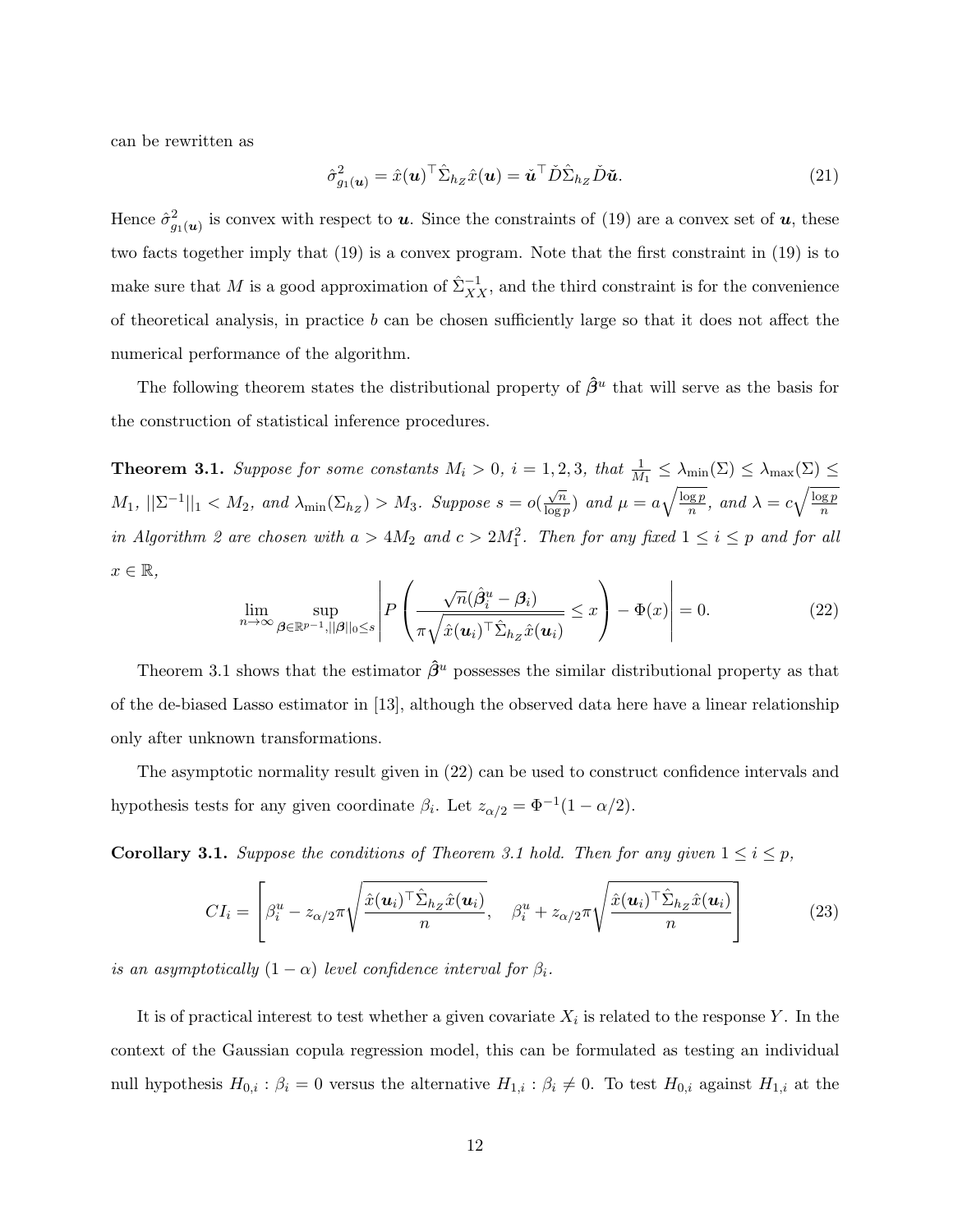can be rewritten as

$$
\hat{\sigma}_{g_1(\boldsymbol{u})}^2 = \hat{x}(\boldsymbol{u})^\top \hat{\Sigma}_{h_Z} \hat{x}(\boldsymbol{u}) = \check{\boldsymbol{u}}^\top \check{D} \hat{\Sigma}_{h_Z} \check{D} \check{\boldsymbol{u}}.
$$
\n(21)

Hence  $\hat{\sigma}_{g_1(u)}^2$  is convex with respect to **u**. Since the constraints of (19) are a convex set of **u**, these two facts together imply that (19) is a convex program. Note that the first constraint in (19) is to make sure that M is a good approximation of  $\hat{\Sigma}_{XX}^{-1}$ , and the third constraint is for the convenience of theoretical analysis, in practice  $b$  can be chosen sufficiently large so that it does not affect the numerical performance of the algorithm.

The following theorem states the distributional property of  $\hat{\beta}^u$  that will serve as the basis for the construction of statistical inference procedures.

**Theorem 3.1.** Suppose for some constants  $M_i > 0$ ,  $i = 1, 2, 3$ , that  $\frac{1}{M_1} \leq \lambda_{\min}(\Sigma) \leq \lambda_{\max}(\Sigma) \leq$  $M_1, \, ||\Sigma^{-1}||_1 < M_2, \text{ and } \lambda_{\min}(\Sigma_{h_Z}) > M_3.$  Suppose  $s = o(\frac{\sqrt{n}}{\log n})$  $\frac{\sqrt{n}}{\log p}$  and  $\mu = a \sqrt{\frac{\log p}{n}}$  $\sqrt{\frac{\log p}{n}}$ , and  $\lambda = c \sqrt{\frac{\log p}{n}}$ n in Algorithm 2 are chosen with  $a > 4M_2$  and  $c > 2M_1^2$ . Then for any fixed  $1 \le i \le p$  and for all  $x \in \mathbb{R},$ 

$$
\lim_{n \to \infty} \sup_{\beta \in \mathbb{R}^{p-1}, ||\beta||_0 \le s} \left| P\left(\frac{\sqrt{n}(\hat{\beta}_i^u - \beta_i)}{\pi \sqrt{\hat{x}(u_i)^\top \hat{\Sigma}_{h_Z} \hat{x}(u_i)}} \le x \right) - \Phi(x) \right| = 0. \tag{22}
$$

Theorem 3.1 shows that the estimator  $\hat{\beta}^u$  possesses the similar distributional property as that of the de-biased Lasso estimator in [13], although the observed data here have a linear relationship only after unknown transformations.

The asymptotic normality result given in (22) can be used to construct confidence intervals and hypothesis tests for any given coordinate  $\beta_i$ . Let  $z_{\alpha/2} = \Phi^{-1}(1 - \alpha/2)$ .

**Corollary 3.1.** Suppose the conditions of Theorem 3.1 hold. Then for any given  $1 \le i \le p$ ,

$$
CI_i = \left[\beta_i^u - z_{\alpha/2}\pi \sqrt{\frac{\hat{x}(\boldsymbol{u}_i)^\top \hat{\Sigma}_{h_Z}\hat{x}(\boldsymbol{u}_i)}{n}}, \quad \beta_i^u + z_{\alpha/2}\pi \sqrt{\frac{\hat{x}(\boldsymbol{u}_i)^\top \hat{\Sigma}_{h_Z}\hat{x}(\boldsymbol{u}_i)}{n}}\right]
$$
(23)

is an asymptotically  $(1 - \alpha)$  level confidence interval for  $\beta_i$ .

It is of practical interest to test whether a given covariate  $X_i$  is related to the response Y. In the context of the Gaussian copula regression model, this can be formulated as testing an individual null hypothesis  $H_{0,i}$ :  $\beta_i = 0$  versus the alternative  $H_{1,i}$ :  $\beta_i \neq 0$ . To test  $H_{0,i}$  against  $H_{1,i}$  at the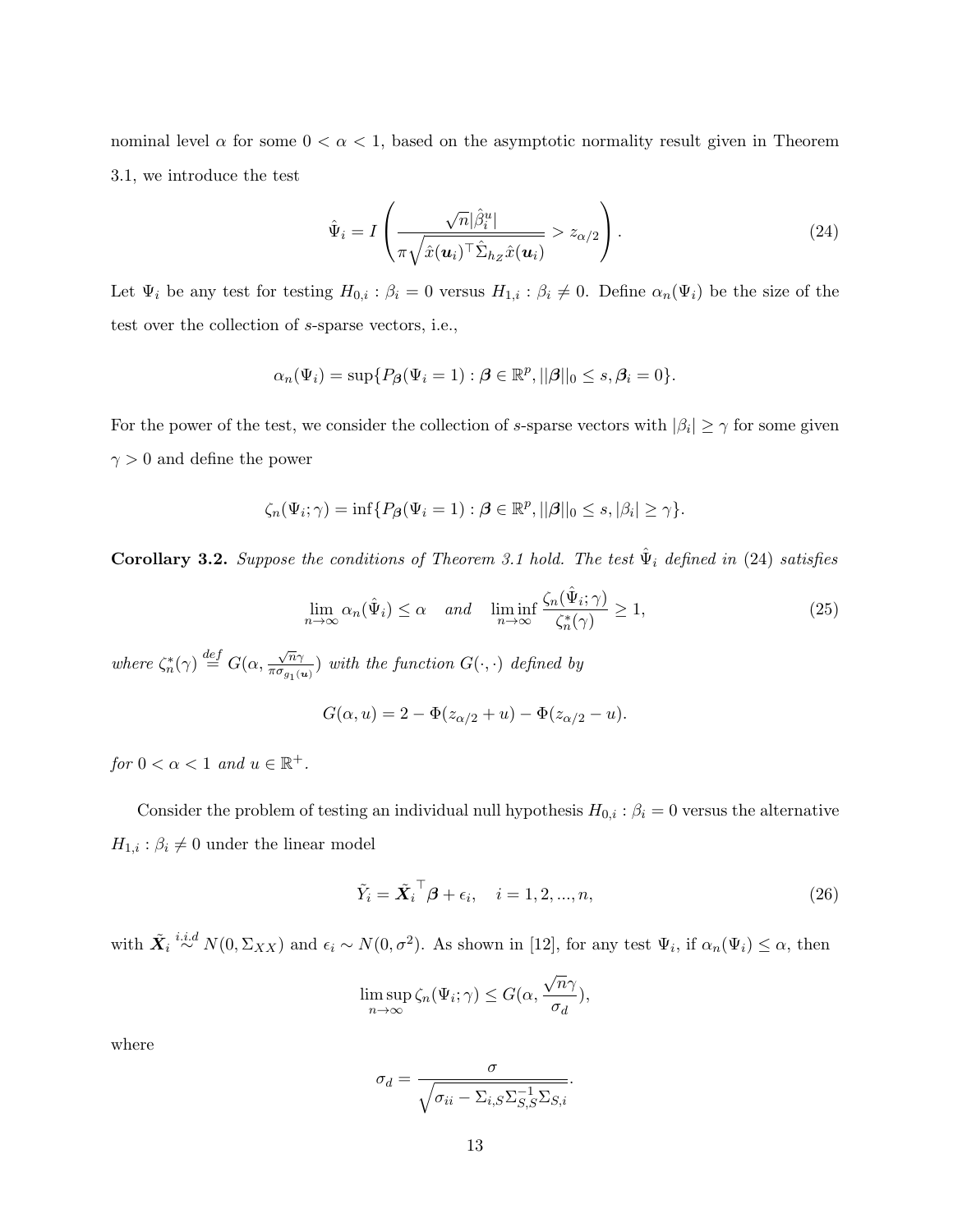nominal level  $\alpha$  for some  $0 < \alpha < 1$ , based on the asymptotic normality result given in Theorem 3.1, we introduce the test

$$
\hat{\Psi}_i = I\left(\frac{\sqrt{n}|\hat{\beta}_i^u|}{\pi\sqrt{\hat{x}(\boldsymbol{u}_i)^\top\hat{\Sigma}_{h_Z}\hat{x}(\boldsymbol{u}_i)}} > z_{\alpha/2}\right).
$$
\n(24)

Let  $\Psi_i$  be any test for testing  $H_{0,i}$ :  $\beta_i = 0$  versus  $H_{1,i}$ :  $\beta_i \neq 0$ . Define  $\alpha_n(\Psi_i)$  be the size of the test over the collection of s-sparse vectors, i.e.,

$$
\alpha_n(\Psi_i) = \sup \{ P_{\beta}(\Psi_i = 1) : \beta \in \mathbb{R}^p, ||\beta||_0 \le s, \beta_i = 0 \}.
$$

For the power of the test, we consider the collection of s-sparse vectors with  $|\beta_i| \geq \gamma$  for some given  $\gamma > 0$  and define the power

$$
\zeta_n(\Psi_i; \gamma) = \inf \{ P_{\boldsymbol{\beta}}(\Psi_i = 1) : \boldsymbol{\beta} \in \mathbb{R}^p, ||\boldsymbol{\beta}||_0 \le s, |\beta_i| \ge \gamma \}.
$$

**Corollary 3.2.** Suppose the conditions of Theorem 3.1 hold. The test  $\hat{\Psi}_i$  defined in (24) satisfies

$$
\lim_{n \to \infty} \alpha_n(\hat{\Psi}_i) \le \alpha \quad and \quad \liminf_{n \to \infty} \frac{\zeta_n(\hat{\Psi}_i; \gamma)}{\zeta_n^*(\gamma)} \ge 1,
$$
\n(25)

where  $\zeta_n^*(\gamma) \stackrel{def}{=} G(\alpha, \frac{\sqrt{n}\gamma}{\pi \sigma_{\alpha, \alpha}})$  $\frac{\sqrt{n}\gamma}{\pi \sigma_{g_1(\boldsymbol{u})}}$  with the function  $G(\cdot, \cdot)$  defined by

$$
G(\alpha, u) = 2 - \Phi(z_{\alpha/2} + u) - \Phi(z_{\alpha/2} - u).
$$

for  $0 < \alpha < 1$  and  $u \in \mathbb{R}^+$ .

Consider the problem of testing an individual null hypothesis  $H_{0,i}$ :  $\beta_i = 0$  versus the alternative  $H_{1,i}: \beta_i \neq 0$  under the linear model

$$
\tilde{Y}_i = \tilde{\boldsymbol{X}_i}^\top \boldsymbol{\beta} + \epsilon_i, \quad i = 1, 2, ..., n,
$$
\n(26)

with  $\tilde{\mathbf{X}}_i \stackrel{i.i.d}{\sim} N(0, \Sigma_{XX})$  and  $\epsilon_i \sim N(0, \sigma^2)$ . As shown in [12], for any test  $\Psi_i$ , if  $\alpha_n(\Psi_i) \leq \alpha$ , then

$$
\limsup_{n \to \infty} \zeta_n(\Psi_i; \gamma) \le G(\alpha, \frac{\sqrt{n}\gamma}{\sigma_d}),
$$

where

$$
\sigma_d = \frac{\sigma}{\sqrt{\sigma_{ii} - \Sigma_{i,S} \Sigma_{S,S}^{-1} \Sigma_{S,i}}}.
$$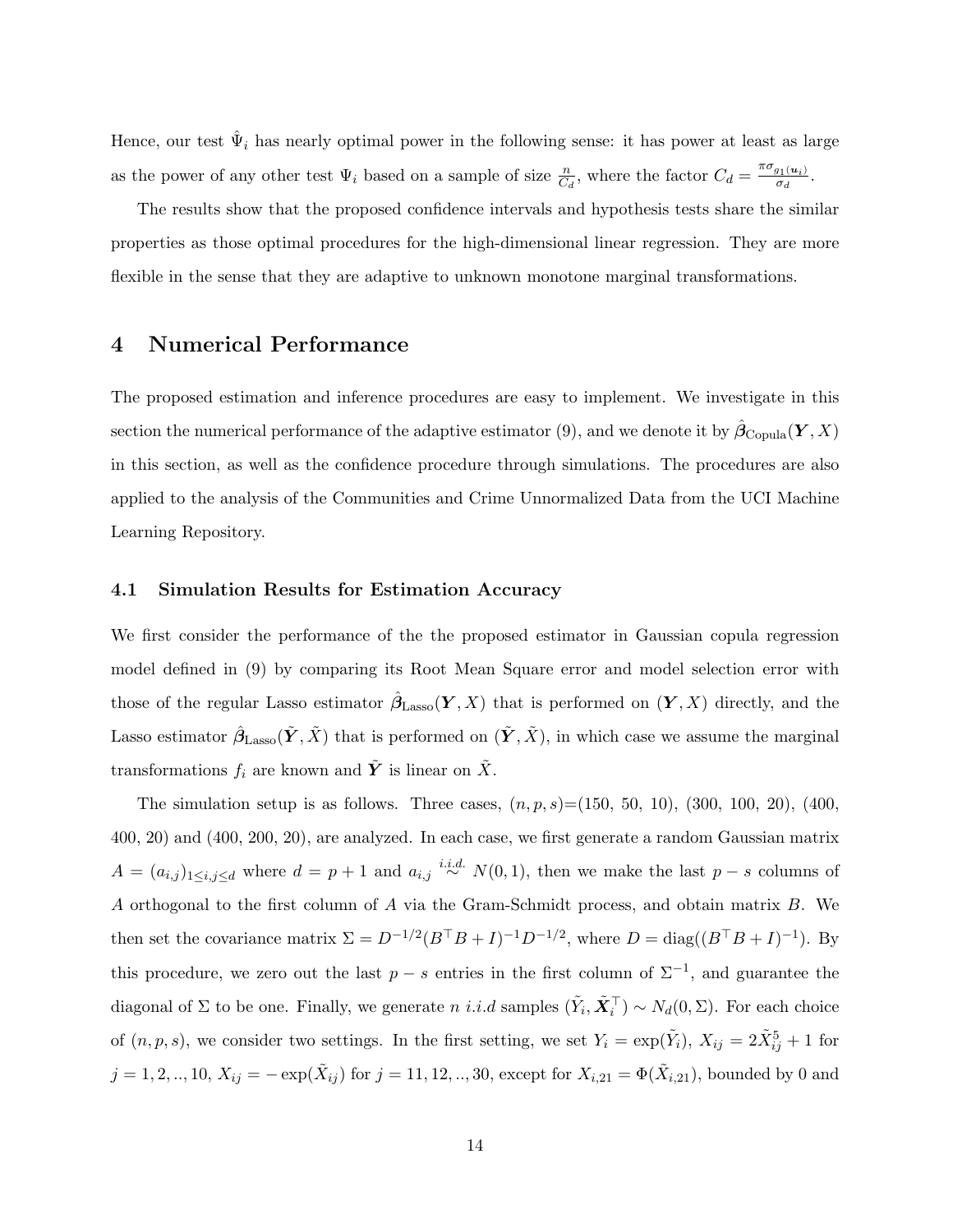Hence, our test  $\hat{\Psi}_i$  has nearly optimal power in the following sense: it has power at least as large as the power of any other test  $\Psi_i$  based on a sample of size  $\frac{n}{C_d}$ , where the factor  $C_d = \frac{\pi \sigma_{g_1(u_i)}}{\sigma_d}$ .

The results show that the proposed confidence intervals and hypothesis tests share the similar properties as those optimal procedures for the high-dimensional linear regression. They are more flexible in the sense that they are adaptive to unknown monotone marginal transformations.

## 4 Numerical Performance

The proposed estimation and inference procedures are easy to implement. We investigate in this section the numerical performance of the adaptive estimator (9), and we denote it by  $\hat{\boldsymbol{\beta}}_{\text{Copula}}(\boldsymbol{Y},X)$ in this section, as well as the confidence procedure through simulations. The procedures are also applied to the analysis of the Communities and Crime Unnormalized Data from the UCI Machine Learning Repository.

#### 4.1 Simulation Results for Estimation Accuracy

We first consider the performance of the the proposed estimator in Gaussian copula regression model defined in (9) by comparing its Root Mean Square error and model selection error with those of the regular Lasso estimator  $\hat{\beta}_{\text{Lasso}}(\boldsymbol{Y}, X)$  that is performed on  $(\boldsymbol{Y}, X)$  directly, and the Lasso estimator  $\hat{\beta}_{\text{Lasso}}(\tilde{Y}, \tilde{X})$  that is performed on  $(\tilde{Y}, \tilde{X})$ , in which case we assume the marginal transformations  $f_i$  are known and  $\tilde{Y}$  is linear on  $\tilde{X}$ .

The simulation setup is as follows. Three cases,  $(n, p, s) = (150, 50, 10), (300, 100, 20), (400,$ 400, 20) and (400, 200, 20), are analyzed. In each case, we first generate a random Gaussian matrix  $A = (a_{i,j})_{1 \leq i,j \leq d}$  where  $d = p + 1$  and  $a_{i,j} \stackrel{i.i.d.}{\sim} N(0, 1)$ , then we make the last  $p - s$  columns of A orthogonal to the first column of A via the Gram-Schmidt process, and obtain matrix B. We then set the covariance matrix  $\Sigma = D^{-1/2} (B^{\top}B + I)^{-1} D^{-1/2}$ , where  $D = \text{diag}((B^{\top}B + I)^{-1})$ . By this procedure, we zero out the last  $p - s$  entries in the first column of  $\Sigma^{-1}$ , and guarantee the diagonal of  $\Sigma$  to be one. Finally, we generate n i.i.d samples  $(\tilde{Y}_i, \tilde{X}_i^{\top}) \sim N_d(0, \Sigma)$ . For each choice of  $(n, p, s)$ , we consider two settings. In the first setting, we set  $Y_i = \exp(\tilde{Y}_i)$ ,  $X_{ij} = 2\tilde{X}_{ij}^5 + 1$  for  $j = 1, 2, ..., 10, X_{ij} = -\exp(\tilde{X}_{ij})$  for  $j = 11, 12, ..., 30$ , except for  $X_{i,21} = \Phi(\tilde{X}_{i,21})$ , bounded by 0 and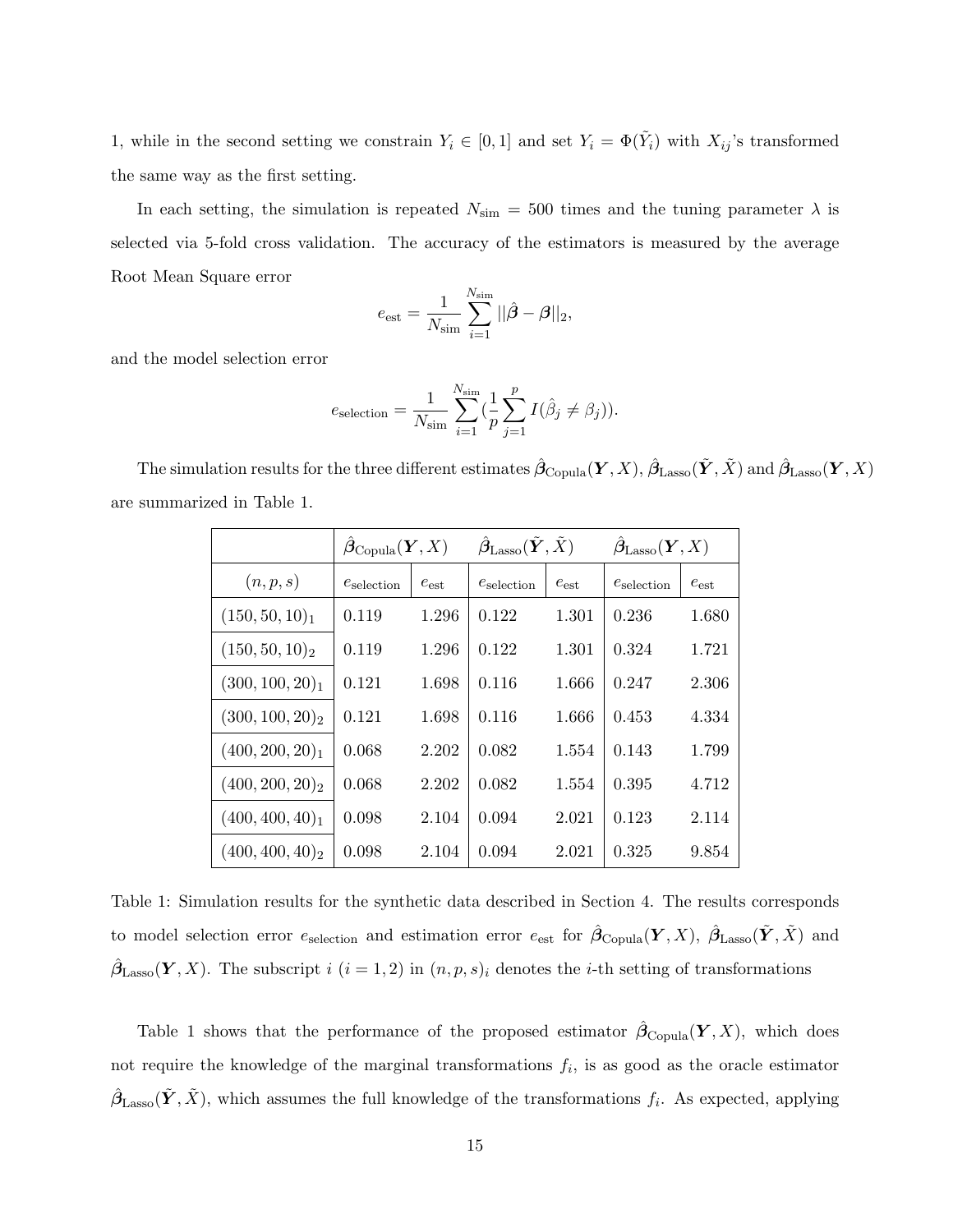1, while in the second setting we constrain  $Y_i \in [0,1]$  and set  $Y_i = \Phi(\tilde{Y}_i)$  with  $X_{ij}$ 's transformed the same way as the first setting.

In each setting, the simulation is repeated  $N_{\text{sim}} = 500$  times and the tuning parameter  $\lambda$  is selected via 5-fold cross validation. The accuracy of the estimators is measured by the average Root Mean Square error

$$
e_{\rm est} = \frac{1}{N_{\rm sim}} \sum_{i=1}^{N_{\rm sim}} ||\hat{\beta} - \beta||_2,
$$

and the model selection error

$$
e_\text{selection} = \frac{1}{N_\text{sim}} \sum_{i=1}^{N_\text{sim}} (\frac{1}{p} \sum_{j=1}^p I(\hat{\beta}_j \neq \beta_j)).
$$

The simulation results for the three different estimates  $\hat{\boldsymbol{\beta}}_{\text{Copula}}(\boldsymbol{Y},X)$ ,  $\hat{\boldsymbol{\beta}}_{\text{Lasso}}(\tilde{\boldsymbol{Y}},\tilde{X})$  and  $\hat{\boldsymbol{\beta}}_{\text{Lasso}}(\boldsymbol{Y},X)$ are summarized in Table 1.

|                    | $\beta_{\rm Copula}({\bm Y},X)$ |           | $\bm{\beta}_{\rm Lasso}(\tilde{\bm{Y}}, \tilde{X})$ |           | $\beta_{\rm Lasso} (Y, X)$ |           |
|--------------------|---------------------------------|-----------|-----------------------------------------------------|-----------|----------------------------|-----------|
| (n, p, s)          | $e_{\rm selection}$             | $e_{est}$ | $e_{\rm selection}$                                 | $e_{est}$ | $e_{\rm selection}$        | $e_{est}$ |
| $(150, 50, 10)_1$  | 0.119                           | 1.296     | 0.122                                               | 1.301     | 0.236                      | 1.680     |
| $(150, 50, 10)_2$  | 0.119                           | 1.296     | 0.122                                               | 1.301     | 0.324                      | 1.721     |
| $(300, 100, 20)_1$ | 0.121                           | 1.698     | 0.116                                               | 1.666     | 0.247                      | 2.306     |
| $(300, 100, 20)_2$ | 0.121                           | 1.698     | 0.116                                               | 1.666     | 0.453                      | 4.334     |
| $(400, 200, 20)_1$ | 0.068                           | 2.202     | 0.082                                               | 1.554     | 0.143                      | 1.799     |
| $(400, 200, 20)_2$ | 0.068                           | 2.202     | 0.082                                               | 1.554     | 0.395                      | 4.712     |
| $(400, 400, 40)_1$ | 0.098                           | 2.104     | 0.094                                               | 2.021     | 0.123                      | 2.114     |
| $(400, 400, 40)_2$ | 0.098                           | 2.104     | 0.094                                               | 2.021     | 0.325                      | 9.854     |

Table 1: Simulation results for the synthetic data described in Section 4. The results corresponds to model selection error  $e_{\text{selection}}$  and estimation error  $e_{\text{est}}$  for  $\hat{\beta}_{\text{Copula}}(Y,X)$ ,  $\hat{\beta}_{\text{Lasso}}(\tilde{Y},\tilde{X})$  and  $\hat{\beta}_{\text{Lasso}}(\boldsymbol{Y}, X)$ . The subscript i  $(i = 1, 2)$  in  $(n, p, s)_i$  denotes the *i*-th setting of transformations

Table 1 shows that the performance of the proposed estimator  $\hat{\beta}_{\text{Copula}}(Y,X)$ , which does not require the knowledge of the marginal transformations  $f_i$ , is as good as the oracle estimator  $\hat{\beta}_{\text{Lasso}}(\tilde{Y}, \tilde{X})$ , which assumes the full knowledge of the transformations  $f_i$ . As expected, applying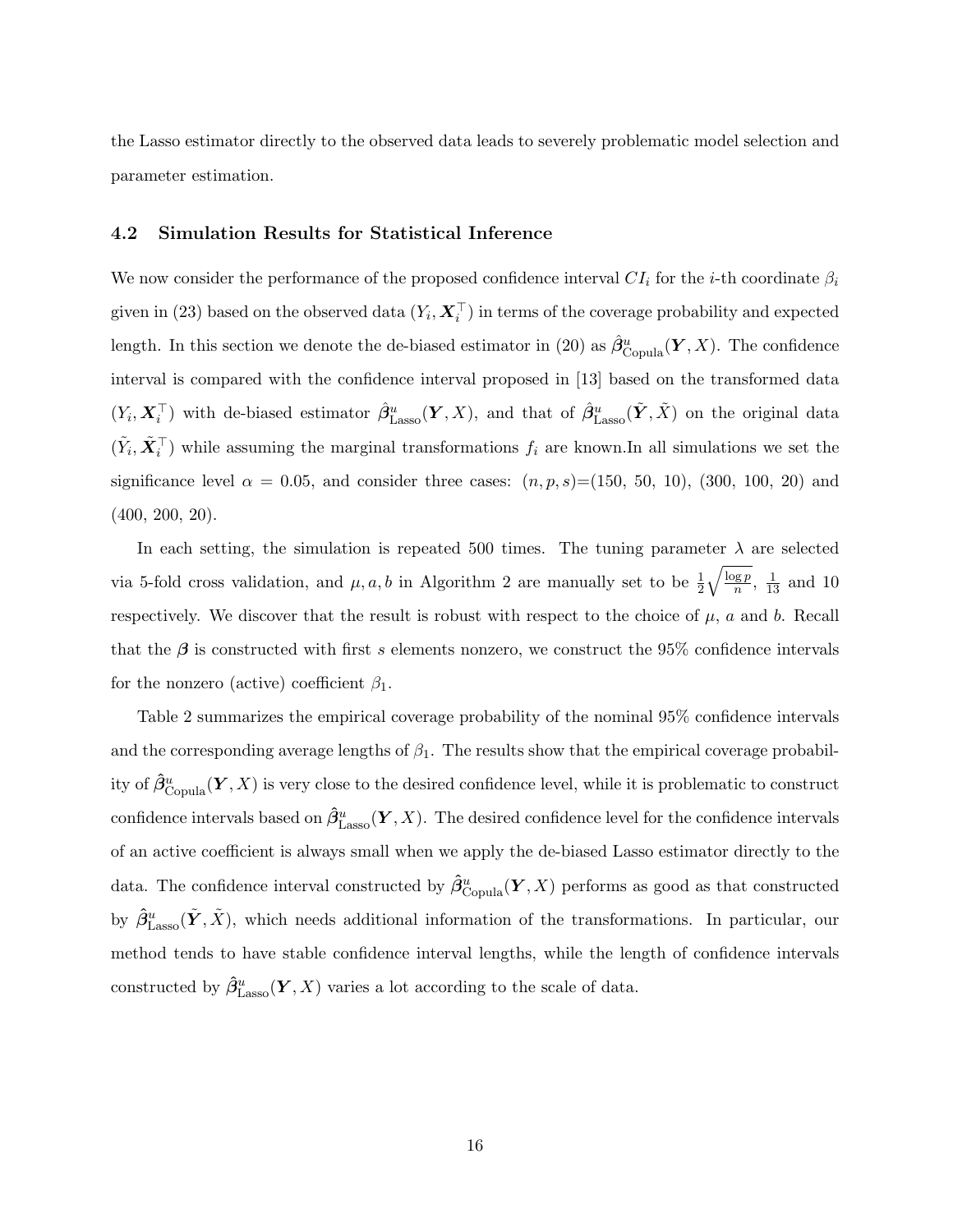the Lasso estimator directly to the observed data leads to severely problematic model selection and parameter estimation.

#### 4.2 Simulation Results for Statistical Inference

We now consider the performance of the proposed confidence interval  $CI_i$  for the *i*-th coordinate  $\beta_i$ given in (23) based on the observed data  $(Y_i, X_i^+)$  in terms of the coverage probability and expected length. In this section we denote the de-biased estimator in (20) as  $\hat{\beta}^u_{\text{Copula}}(\bm{Y},X)$ . The confidence interval is compared with the confidence interval proposed in [13] based on the transformed data  $(Y_i, \boldsymbol{X}_i^{\top})$  with de-biased estimator  $\hat{\beta}^u_{\text{Lasso}}(\boldsymbol{Y}, X)$ , and that of  $\hat{\beta}^u_{\text{Lasso}}(\tilde{\boldsymbol{Y}}, \tilde{X})$  on the original data  $(\tilde{Y}_i, \tilde{\boldsymbol{X}}_i^{\top})$  while assuming the marginal transformations  $f_i$  are known.In all simulations we set the significance level  $\alpha = 0.05$ , and consider three cases:  $(n, p, s) = (150, 50, 10)$ ,  $(300, 100, 20)$  and (400, 200, 20).

In each setting, the simulation is repeated 500 times. The tuning parameter  $\lambda$  are selected via 5-fold cross validation, and  $\mu$ , a, b in Algorithm 2 are manually set to be  $\frac{1}{2}$  $\sqrt{\log p}$  $\frac{\log p}{n}$ ,  $\frac{1}{13}$  and 10 respectively. We discover that the result is robust with respect to the choice of  $\mu$ , a and b. Recall that the  $\beta$  is constructed with first s elements nonzero, we construct the 95% confidence intervals for the nonzero (active) coefficient  $\beta_1$ .

Table 2 summarizes the empirical coverage probability of the nominal 95% confidence intervals and the corresponding average lengths of  $\beta_1$ . The results show that the empirical coverage probability of  $\hat{\beta}^u_{\text{Copula}}(\bm{Y},X)$  is very close to the desired confidence level, while it is problematic to construct confidence intervals based on  $\hat{\beta}^u_{\text{Lasso}}(Y, X)$ . The desired confidence level for the confidence intervals of an active coefficient is always small when we apply the de-biased Lasso estimator directly to the data. The confidence interval constructed by  $\hat{\beta}^u_{\text{Copula}}(Y,X)$  performs as good as that constructed by  $\hat{\beta}^u_{\text{Lasso}}(\tilde{Y}, \tilde{X})$ , which needs additional information of the transformations. In particular, our method tends to have stable confidence interval lengths, while the length of confidence intervals constructed by  $\hat{\beta}^u_{\text{Lasso}}(\boldsymbol{Y}, X)$  varies a lot according to the scale of data.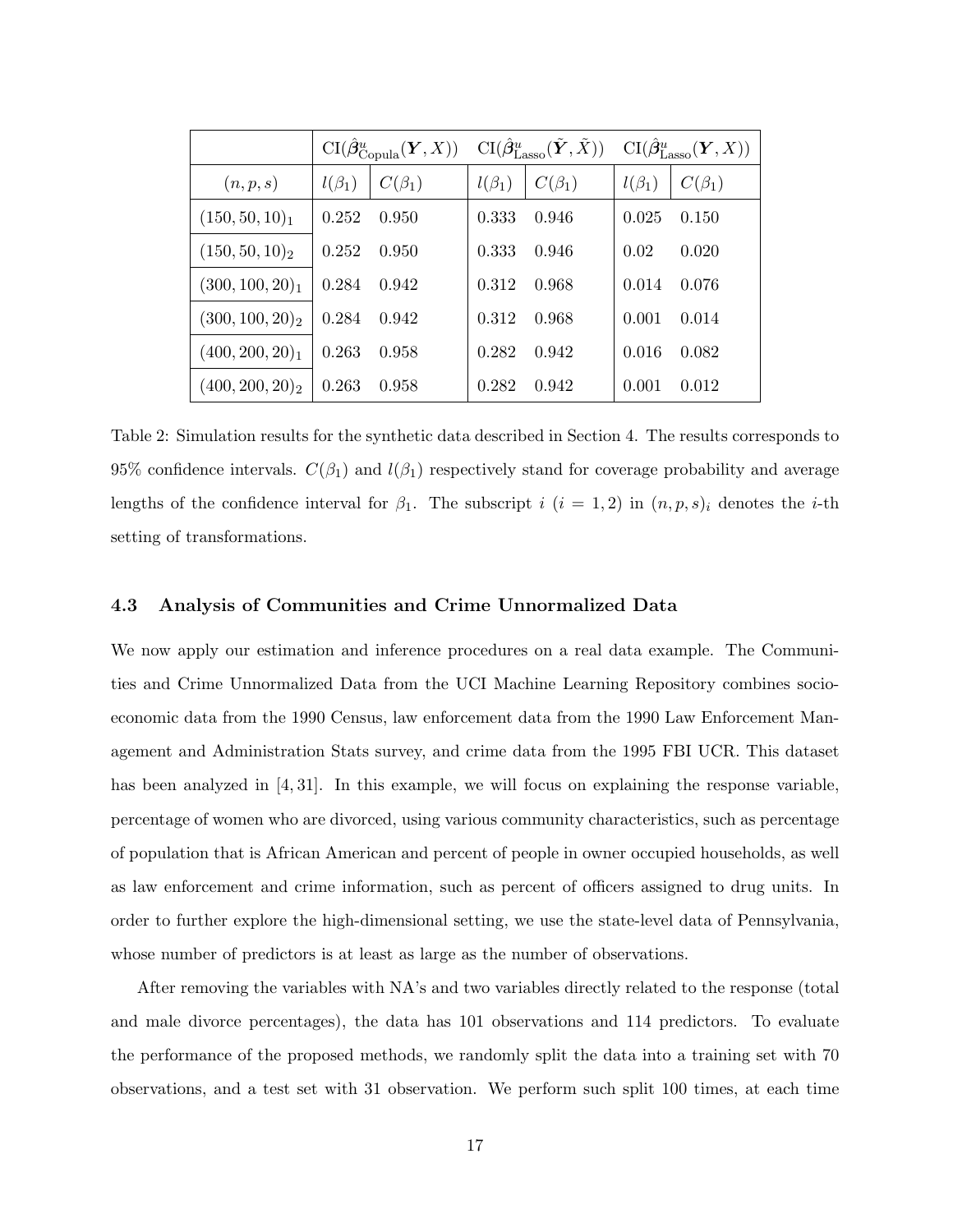|                    |              | $\operatorname{CI}(\hat{\bm{\beta}}_{\operatorname{Copula}}^u(\bm{Y},X))$ |              | $\mathrm{CI}(\hat{\beta}^u_{\mathrm{Lasso}}(\tilde{\boldsymbol{Y}}, \tilde{X})) \quad \mathrm{CI}(\hat{\beta}^u_{\mathrm{Lasso}}(\boldsymbol{Y}, X))$ |              |              |
|--------------------|--------------|---------------------------------------------------------------------------|--------------|-------------------------------------------------------------------------------------------------------------------------------------------------------|--------------|--------------|
| (n, p, s)          | $l(\beta_1)$ | $C(\beta_1)$                                                              | $l(\beta_1)$ | $C(\beta_1)$                                                                                                                                          | $l(\beta_1)$ | $C(\beta_1)$ |
| $(150, 50, 10)_1$  | 0.252        | 0.950                                                                     | 0.333        | 0.946                                                                                                                                                 | 0.025        | 0.150        |
| $(150, 50, 10)_2$  | 0.252        | 0.950                                                                     | 0.333        | 0.946                                                                                                                                                 | 0.02         | 0.020        |
| $(300, 100, 20)_1$ | 0.284        | 0.942                                                                     | 0.312        | 0.968                                                                                                                                                 | 0.014        | 0.076        |
| $(300, 100, 20)_2$ | 0.284        | 0.942                                                                     | 0.312        | 0.968                                                                                                                                                 | 0.001        | 0.014        |
| $(400, 200, 20)_1$ | 0.263        | 0.958                                                                     | 0.282        | 0.942                                                                                                                                                 | 0.016        | 0.082        |
| $(400, 200, 20)_2$ | 0.263        | 0.958                                                                     | 0.282        | 0.942                                                                                                                                                 | 0.001        | 0.012        |

Table 2: Simulation results for the synthetic data described in Section 4. The results corresponds to 95% confidence intervals.  $C(\beta_1)$  and  $l(\beta_1)$  respectively stand for coverage probability and average lengths of the confidence interval for  $\beta_1$ . The subscript  $i$   $(i = 1, 2)$  in  $(n, p, s)_i$  denotes the *i*-th setting of transformations.

#### 4.3 Analysis of Communities and Crime Unnormalized Data

We now apply our estimation and inference procedures on a real data example. The Communities and Crime Unnormalized Data from the UCI Machine Learning Repository combines socioeconomic data from the 1990 Census, law enforcement data from the 1990 Law Enforcement Management and Administration Stats survey, and crime data from the 1995 FBI UCR. This dataset has been analyzed in [4, 31]. In this example, we will focus on explaining the response variable, percentage of women who are divorced, using various community characteristics, such as percentage of population that is African American and percent of people in owner occupied households, as well as law enforcement and crime information, such as percent of officers assigned to drug units. In order to further explore the high-dimensional setting, we use the state-level data of Pennsylvania, whose number of predictors is at least as large as the number of observations.

After removing the variables with NA's and two variables directly related to the response (total and male divorce percentages), the data has 101 observations and 114 predictors. To evaluate the performance of the proposed methods, we randomly split the data into a training set with 70 observations, and a test set with 31 observation. We perform such split 100 times, at each time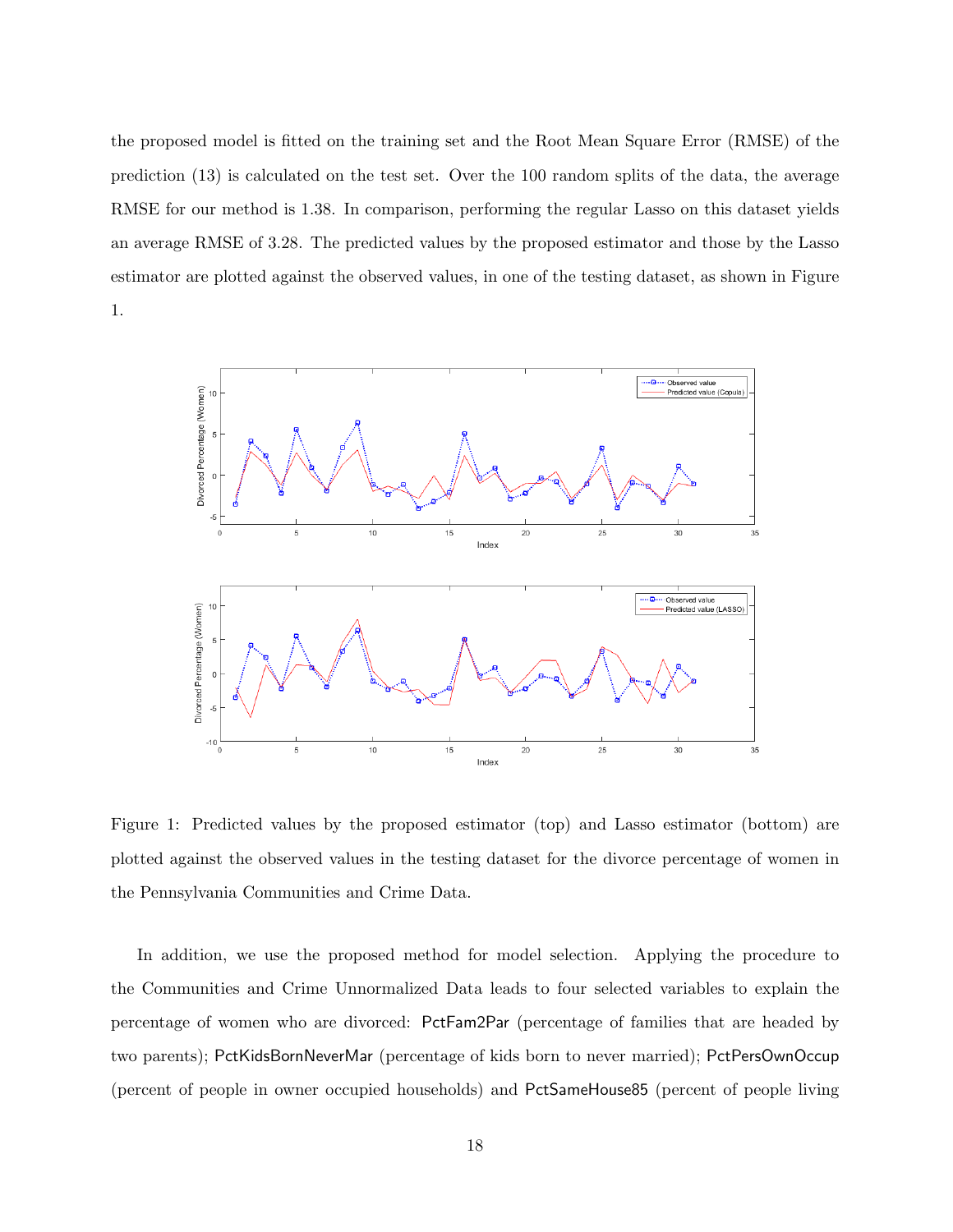the proposed model is fitted on the training set and the Root Mean Square Error (RMSE) of the prediction (13) is calculated on the test set. Over the 100 random splits of the data, the average RMSE for our method is 1.38. In comparison, performing the regular Lasso on this dataset yields an average RMSE of 3.28. The predicted values by the proposed estimator and those by the Lasso estimator are plotted against the observed values, in one of the testing dataset, as shown in Figure 1.



Figure 1: Predicted values by the proposed estimator (top) and Lasso estimator (bottom) are plotted against the observed values in the testing dataset for the divorce percentage of women in the Pennsylvania Communities and Crime Data.

In addition, we use the proposed method for model selection. Applying the procedure to the Communities and Crime Unnormalized Data leads to four selected variables to explain the percentage of women who are divorced: PctFam2Par (percentage of families that are headed by two parents); PctKidsBornNeverMar (percentage of kids born to never married); PctPersOwnOccup (percent of people in owner occupied households) and PctSameHouse85 (percent of people living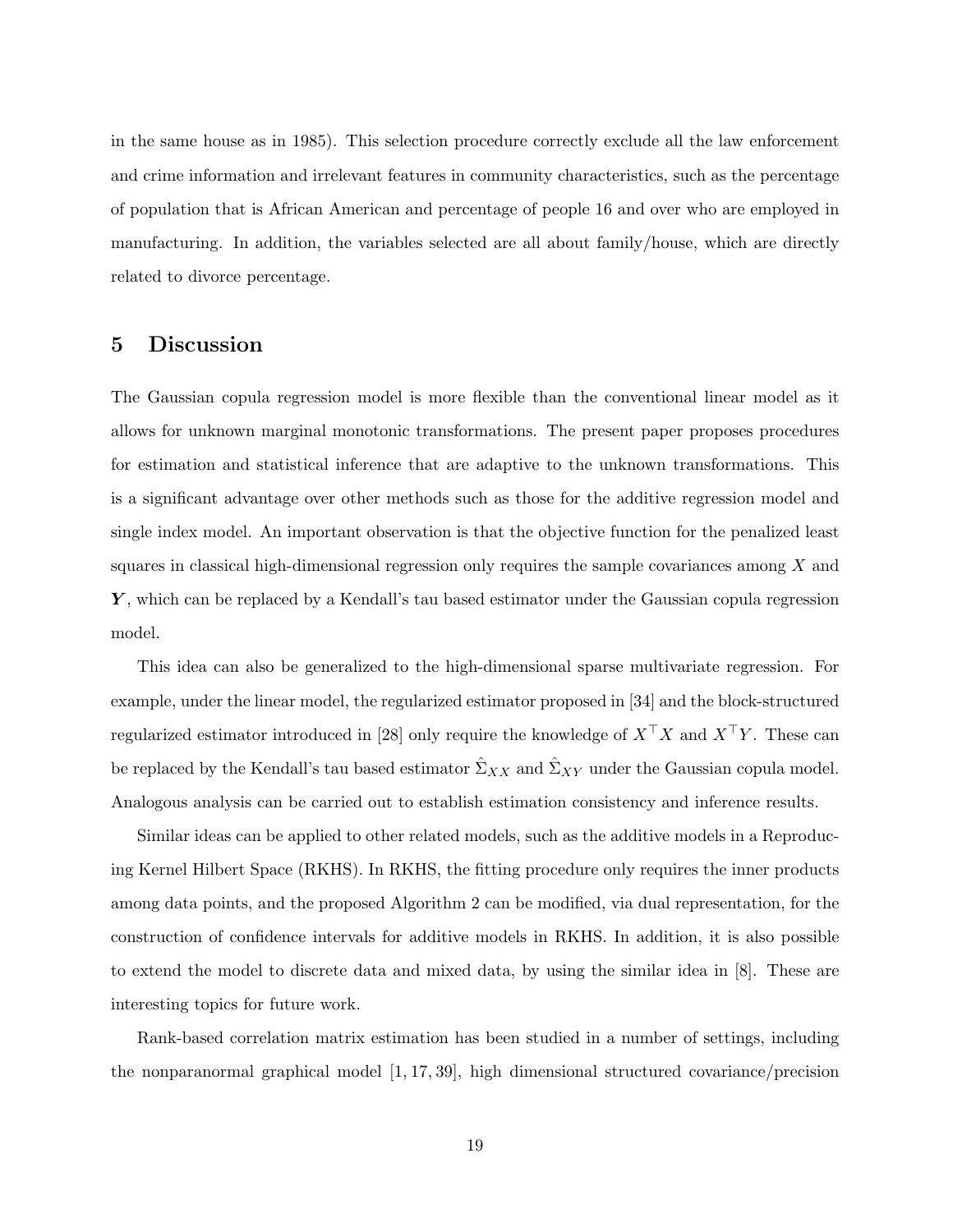in the same house as in 1985). This selection procedure correctly exclude all the law enforcement and crime information and irrelevant features in community characteristics, such as the percentage of population that is African American and percentage of people 16 and over who are employed in manufacturing. In addition, the variables selected are all about family/house, which are directly related to divorce percentage.

# 5 Discussion

The Gaussian copula regression model is more flexible than the conventional linear model as it allows for unknown marginal monotonic transformations. The present paper proposes procedures for estimation and statistical inference that are adaptive to the unknown transformations. This is a significant advantage over other methods such as those for the additive regression model and single index model. An important observation is that the objective function for the penalized least squares in classical high-dimensional regression only requires the sample covariances among  $X$  and  $\boldsymbol{Y}$ , which can be replaced by a Kendall's tau based estimator under the Gaussian copula regression model.

This idea can also be generalized to the high-dimensional sparse multivariate regression. For example, under the linear model, the regularized estimator proposed in [34] and the block-structured regularized estimator introduced in [28] only require the knowledge of  $X^{\top}X$  and  $X^{\top}Y$ . These can be replaced by the Kendall's tau based estimator  $\hat{\Sigma}_{XX}$  and  $\hat{\Sigma}_{XY}$  under the Gaussian copula model. Analogous analysis can be carried out to establish estimation consistency and inference results.

Similar ideas can be applied to other related models, such as the additive models in a Reproducing Kernel Hilbert Space (RKHS). In RKHS, the fitting procedure only requires the inner products among data points, and the proposed Algorithm 2 can be modified, via dual representation, for the construction of confidence intervals for additive models in RKHS. In addition, it is also possible to extend the model to discrete data and mixed data, by using the similar idea in [8]. These are interesting topics for future work.

Rank-based correlation matrix estimation has been studied in a number of settings, including the nonparanormal graphical model [1, 17, 39], high dimensional structured covariance/precision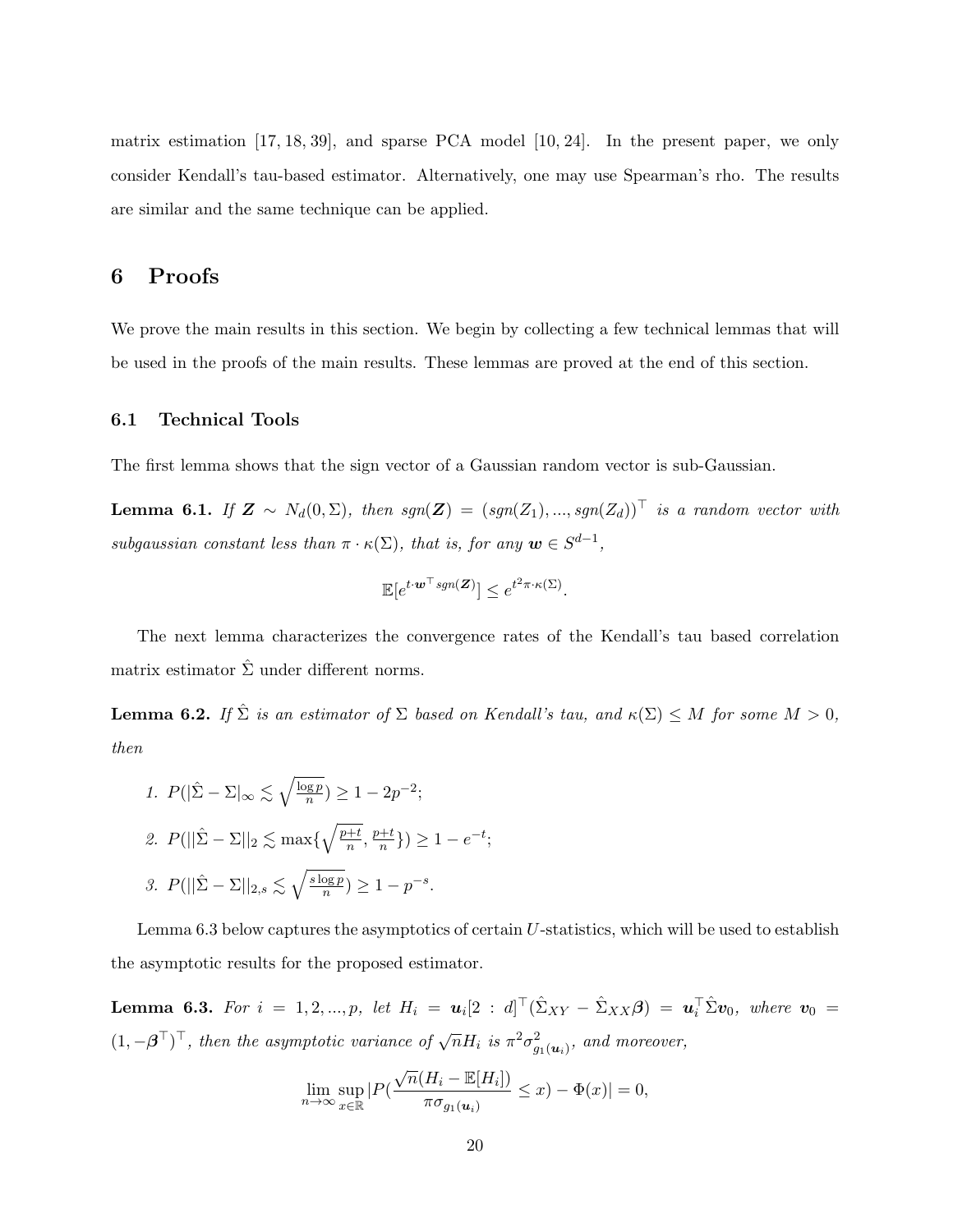matrix estimation [17, 18, 39], and sparse PCA model [10, 24]. In the present paper, we only consider Kendall's tau-based estimator. Alternatively, one may use Spearman's rho. The results are similar and the same technique can be applied.

## 6 Proofs

We prove the main results in this section. We begin by collecting a few technical lemmas that will be used in the proofs of the main results. These lemmas are proved at the end of this section.

#### 6.1 Technical Tools

The first lemma shows that the sign vector of a Gaussian random vector is sub-Gaussian.

**Lemma 6.1.** If  $\mathbf{Z} \sim N_d(0, \Sigma)$ , then  $sgn(\mathbf{Z}) = (sgn(Z_1), ..., sgn(Z_d))^T$  is a random vector with subgaussian constant less than  $\pi \cdot \kappa(\Sigma)$ , that is, for any  $\mathbf{w} \in S^{d-1}$ ,

$$
\mathbb{E}[e^{t \cdot \boldsymbol{w}^\top sgn(\boldsymbol{Z})}] \leq e^{t^2 \pi \cdot \kappa(\Sigma)}.
$$

The next lemma characterizes the convergence rates of the Kendall's tau based correlation matrix estimator  $\hat{\Sigma}$  under different norms.

**Lemma 6.2.** If  $\hat{\Sigma}$  is an estimator of  $\Sigma$  based on Kendall's tau, and  $\kappa(\Sigma) \leq M$  for some  $M > 0$ , then

1. 
$$
P(|\hat{\Sigma} - \Sigma|_{\infty} \lesssim \sqrt{\frac{\log p}{n}}) \ge 1 - 2p^{-2};
$$
  
\n2.  $P(||\hat{\Sigma} - \Sigma||_2 \lesssim \max\{\sqrt{\frac{p+t}{n}}, \frac{p+t}{n}\}) \ge 1 - e^{-t};$   
\n3.  $P(||\hat{\Sigma} - \Sigma||_{2,s} \lesssim \sqrt{\frac{s \log p}{n}}) \ge 1 - p^{-s}.$ 

Lemma 6.3 below captures the asymptotics of certain U-statistics, which will be used to establish the asymptotic results for the proposed estimator.

**Lemma 6.3.** For  $i = 1, 2, ..., p$ , let  $H_i = u_i[2 : d]^T(\hat{\Sigma}_{XY} - \hat{\Sigma}_{XX}\beta) = u_i^T\hat{\Sigma}v_0$ , where  $v_0 =$  $(1, -\boldsymbol{\beta}^\top)^\top$ , then the asymptotic variance of  $\sqrt{n}H_i$  is  $\pi^2\sigma_{g_1(u_i)}^2$ , and moreover,

$$
\lim_{n \to \infty} \sup_{x \in \mathbb{R}} |P(\frac{\sqrt{n}(H_i - \mathbb{E}[H_i])}{\pi \sigma_{g_1(\boldsymbol{u}_i)}} \le x) - \Phi(x)| = 0,
$$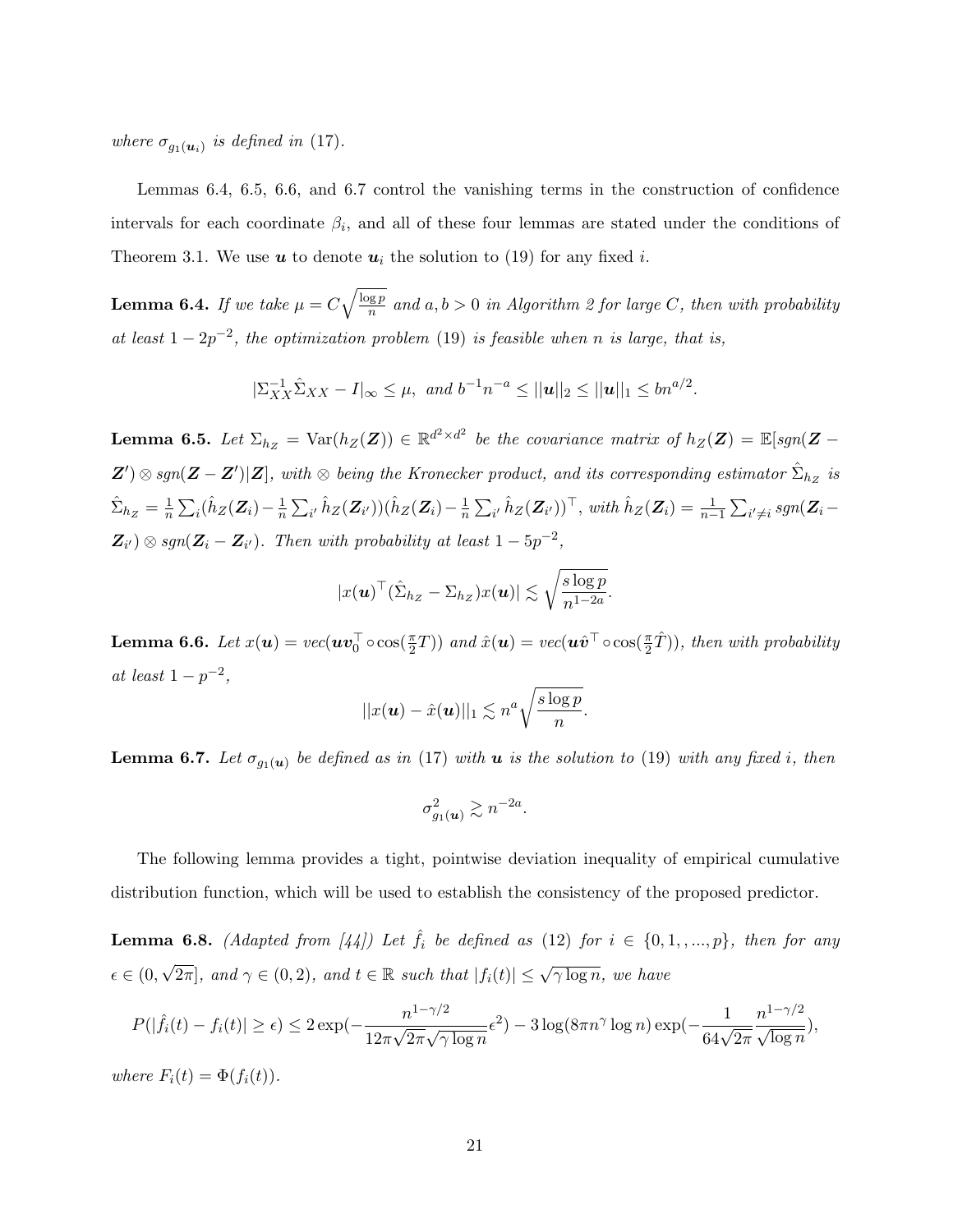where  $\sigma_{g_1(\boldsymbol{u}_i)}$  is defined in (17).

Lemmas 6.4, 6.5, 6.6, and 6.7 control the vanishing terms in the construction of confidence intervals for each coordinate  $\beta_i$ , and all of these four lemmas are stated under the conditions of Theorem 3.1. We use **u** to denote  $u_i$  the solution to (19) for any fixed *i*.

**Lemma 6.4.** If we take  $\mu = C \sqrt{\frac{\log p}{n}}$  $\frac{gp}{n}$  and  $a, b > 0$  in Algorithm 2 for large C, then with probability at least  $1 - 2p^{-2}$ , the optimization problem (19) is feasible when n is large, that is,

$$
|\Sigma_{XX}^{-1}\hat{\Sigma}_{XX} - I|_{\infty} \leq \mu
$$
, and  $b^{-1}n^{-a} \leq ||\boldsymbol{u}||_2 \leq ||\boldsymbol{u}||_1 \leq bn^{a/2}$ .

**Lemma 6.5.** Let  $\Sigma_{h_Z} = \text{Var}(h_Z(\mathbf{Z})) \in \mathbb{R}^{d^2 \times d^2}$  be the covariance matrix of  $h_Z(\mathbf{Z}) = \mathbb{E}[sgn(\mathbf{Z} - \mathbf{Z})]$  $Z'$ )  $\otimes$  sgn( $Z - Z'$ )| $Z$ ], with  $\otimes$  being the Kronecker product, and its corresponding estimator  $\hat{\Sigma}_{h_Z}$  is  $\hat{\Sigma}_{h_Z} = \frac{1}{n}$  $\frac{1}{n} \sum_i (\hat{h}_Z(\boldsymbol{Z}_i) - \frac{1}{n}$  $\frac{1}{n}\sum_{i'}\hat{h}_Z(\boldsymbol{Z}_{i'}))(\hat{h}_Z(\boldsymbol{Z}_{i})-\frac{1}{n}$  $\frac{1}{n} \sum_{i'} \hat{h}_Z(\mathbf{Z}_{i'})^\top$ , with  $\hat{h}_Z(\mathbf{Z}_i) = \frac{1}{n-1} \sum_{i' \neq i} sgn(\mathbf{Z}_i - \mathbf{Z}_i)$  $\mathbf{Z}_{i'}\big)\otimes sgn(\mathbf{Z}_i-\mathbf{Z}_{i'})$ . Then with probability at least  $1-5p^{-2}$ ,

$$
|x(\boldsymbol{u})^{\top}(\hat{\Sigma}_{h_Z}-\Sigma_{h_Z})x(\boldsymbol{u})|\lesssim \sqrt{\frac{s\log p}{n^{1-2a}}}.
$$

**Lemma 6.6.** Let  $x(u) = vec(uv_0^{\top} \circ cos(\frac{\pi}{2}T))$  and  $\hat{x}(u) = vec(u\hat{v}^{\top} \circ cos(\frac{\pi}{2}\hat{T}))$ , then with probability at least  $1 - p^{-2}$ ,

$$
||x(\boldsymbol{u}) - \hat{x}(\boldsymbol{u})||_1 \lesssim n^a \sqrt{\frac{s \log p}{n}}.
$$

**Lemma 6.7.** Let  $\sigma_{g_1(u)}$  be defined as in (17) with **u** is the solution to (19) with any fixed i, then

$$
\sigma_{g_1(u)}^2 \gtrsim n^{-2a}.
$$

The following lemma provides a tight, pointwise deviation inequality of empirical cumulative distribution function, which will be used to establish the consistency of the proposed predictor.

**Lemma 6.8.** (Adapted from [44]) Let  $\hat{f}_i$  be defined as (12) for  $i \in \{0, 1, ..., p\}$ , then for any  $\epsilon \in (0, \sqrt{2\pi}],$  and  $\gamma \in (0, 2)$ , and  $t \in \mathbb{R}$  such that  $|f_i(t)| \leq \sqrt{\gamma \log n}$ , we have

$$
P(|\hat{f}_i(t) - f_i(t)| \ge \epsilon) \le 2 \exp(-\frac{n^{1-\gamma/2}}{12\pi\sqrt{2\pi}\sqrt{\gamma \log n}}\epsilon^2) - 3\log(8\pi n^{\gamma} \log n) \exp(-\frac{1}{64\sqrt{2\pi}}\frac{n^{1-\gamma/2}}{\sqrt{\log n}}),
$$

where  $F_i(t) = \Phi(f_i(t)).$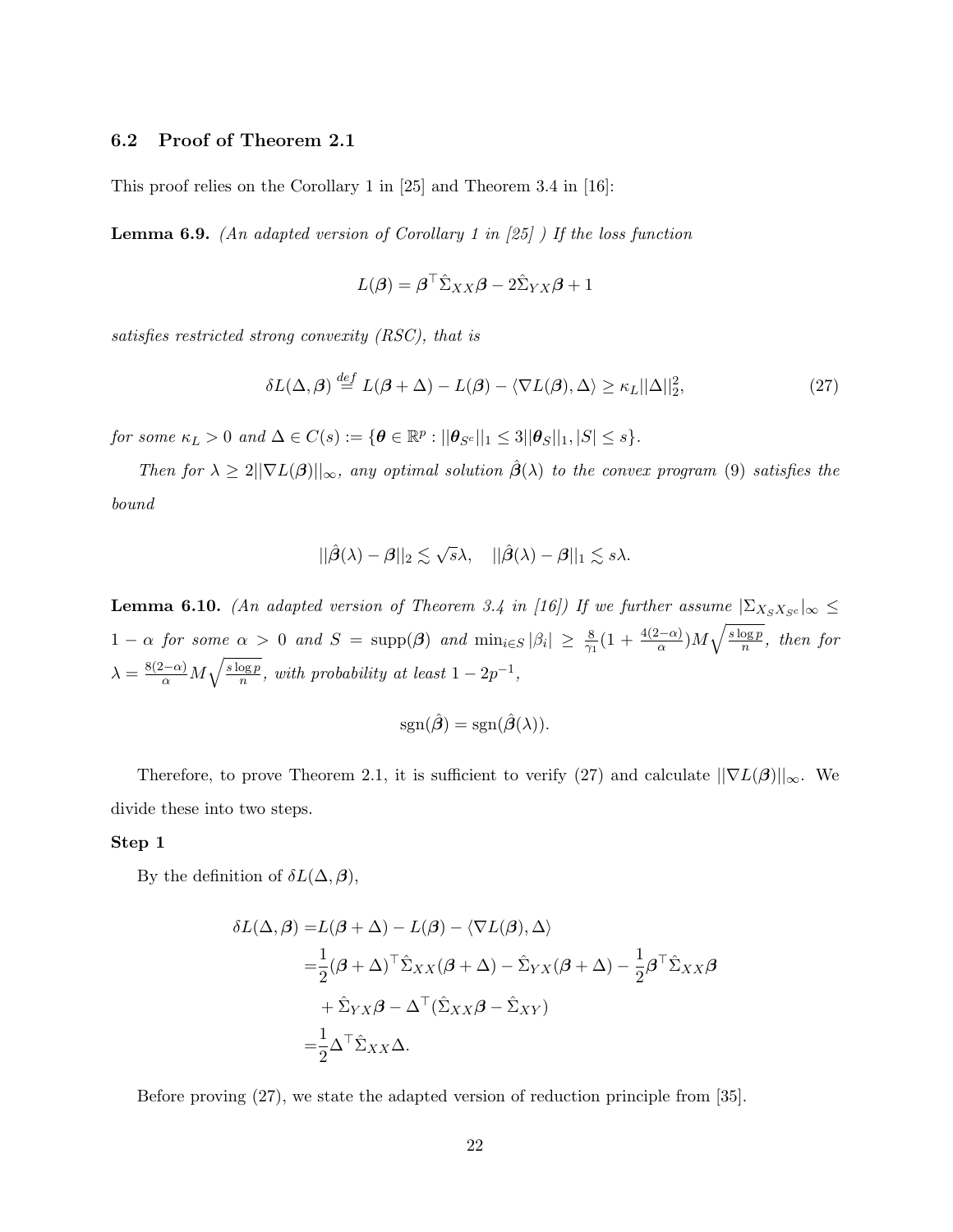#### 6.2 Proof of Theorem 2.1

This proof relies on the Corollary 1 in [25] and Theorem 3.4 in [16]:

**Lemma 6.9.** (An adapted version of Corollary 1 in [25]) If the loss function

$$
L(\boldsymbol{\beta}) = \boldsymbol{\beta}^\top \hat{\Sigma}_{XX} \boldsymbol{\beta} - 2\hat{\Sigma}_{YX} \boldsymbol{\beta} + 1
$$

satisfies restricted strong convexity (RSC), that is

$$
\delta L(\Delta, \beta) \stackrel{def}{=} L(\beta + \Delta) - L(\beta) - \langle \nabla L(\beta), \Delta \rangle \ge \kappa_L ||\Delta||_2^2,
$$
\n(27)

for some  $\kappa_L > 0$  and  $\Delta \in C(s) := \{ \boldsymbol{\theta} \in \mathbb{R}^p : ||\boldsymbol{\theta}_{S^c}||_1 \leq 3||\boldsymbol{\theta}_S||_1, |S| \leq s \}.$ 

Then for  $\lambda \geq 2||\nabla L(\boldsymbol{\beta})||_{\infty}$ , any optimal solution  $\hat{\boldsymbol{\beta}}(\lambda)$  to the convex program (9) satisfies the bound

$$
||\hat{\boldsymbol{\beta}}(\lambda)-\boldsymbol{\beta}||_2 \lesssim \sqrt{s}\lambda, \quad ||\hat{\boldsymbol{\beta}}(\lambda)-\boldsymbol{\beta}||_1 \lesssim s\lambda.
$$

**Lemma 6.10.** (An adapted version of Theorem 3.4 in [16]) If we further assume  $|\Sigma_{X_S X_{S^c}}|_{\infty} \le$ 1 −  $\alpha$  for some  $\alpha > 0$  and  $S = \text{supp}(\beta)$  and  $\min_{i \in S} |\beta_i| \geq \frac{8}{\gamma_1} (1 + \frac{4(2-\alpha)}{\alpha}) M \sqrt{\frac{s \log p}{n}}$  $\frac{\log p}{n}$ , then for  $\lambda = \frac{8(2-\alpha)}{\alpha} M \sqrt{\frac{s \log p}{n}}$  $\frac{\log p}{n}$ , with probability at least  $1 - 2p^{-1}$ ,

$$
sgn(\hat{\boldsymbol{\beta}}) = sgn(\hat{\boldsymbol{\beta}}(\lambda)).
$$

Therefore, to prove Theorem 2.1, it is sufficient to verify (27) and calculate  $||\nabla L(\boldsymbol{\beta})||_{\infty}$ . We divide these into two steps.

#### Step 1

By the definition of  $\delta L(\Delta, \beta)$ ,

$$
\delta L(\Delta, \beta) = L(\beta + \Delta) - L(\beta) - \langle \nabla L(\beta), \Delta \rangle
$$
  
=  $\frac{1}{2} (\beta + \Delta)^{\top} \hat{\Sigma}_{XX} (\beta + \Delta) - \hat{\Sigma}_{YX} (\beta + \Delta) - \frac{1}{2} \beta^{\top} \hat{\Sigma}_{XX} \beta$   
+  $\hat{\Sigma}_{YX} \beta - \Delta^{\top} (\hat{\Sigma}_{XX} \beta - \hat{\Sigma}_{XY})$   
=  $\frac{1}{2} \Delta^{\top} \hat{\Sigma}_{XX} \Delta.$ 

Before proving (27), we state the adapted version of reduction principle from [35].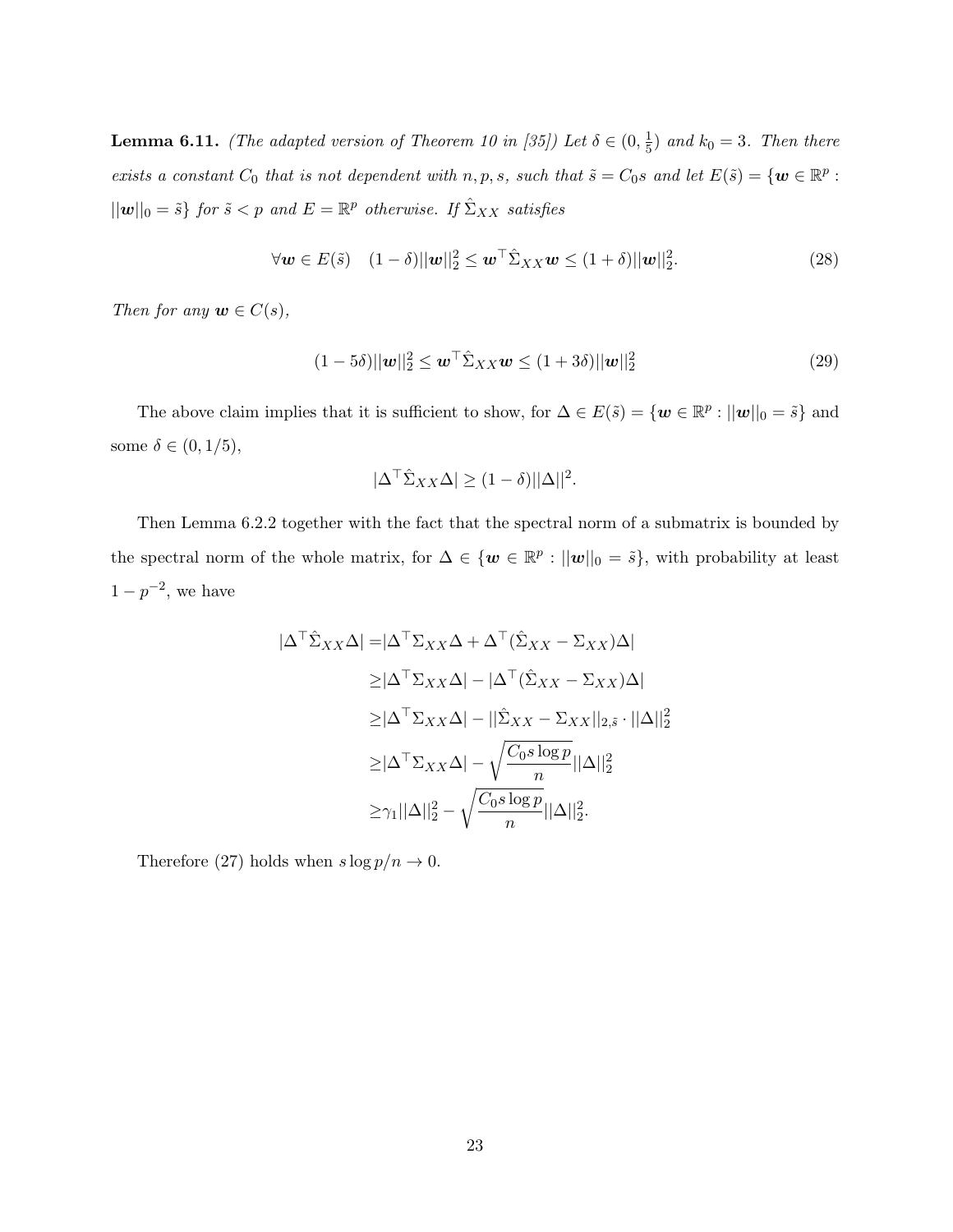**Lemma 6.11.** (The adapted version of Theorem 10 in [35]) Let  $\delta \in (0, \frac{1}{5})$  $(\frac{1}{5})$  and  $k_0 = 3$ . Then there exists a constant  $C_0$  that is not dependent with  $n, p, s$ , such that  $\tilde{s} = C_0 s$  and let  $E(\tilde{s}) = \{w \in \mathbb{R}^p :$  $||w||_0 = \tilde{s}$  for  $\tilde{s} < p$  and  $E = \mathbb{R}^p$  otherwise. If  $\hat{\Sigma}_{XX}$  satisfies

$$
\forall \mathbf{w} \in E(\tilde{s}) \quad (1 - \delta) ||\mathbf{w}||_2^2 \le \mathbf{w}^\top \hat{\Sigma}_{XX} \mathbf{w} \le (1 + \delta) ||\mathbf{w}||_2^2. \tag{28}
$$

Then for any  $\mathbf{w} \in C(s)$ ,

$$
(1 - 5\delta)||\mathbf{w}||_2^2 \le \mathbf{w}^\top \hat{\Sigma}_{XX} \mathbf{w} \le (1 + 3\delta)||\mathbf{w}||_2^2
$$
\n(29)

The above claim implies that it is sufficient to show, for  $\Delta \in E(\tilde{s}) = \{ \bm{w} \in \mathbb{R}^p : ||\bm{w}||_0 = \tilde{s} \}$  and some  $\delta \in (0, 1/5)$ ,

$$
|\Delta^{\top} \hat{\Sigma}_{XX} \Delta| \ge (1 - \delta) ||\Delta||^2.
$$

Then Lemma 6.2.2 together with the fact that the spectral norm of a submatrix is bounded by the spectral norm of the whole matrix, for  $\Delta \in \{w \in \mathbb{R}^p : ||w||_0 = \tilde{s}\}$ , with probability at least  $1-p^{-2}$ , we have

$$
|\Delta^{\top} \hat{\Sigma}_{XX} \Delta| = |\Delta^{\top} \Sigma_{XX} \Delta + \Delta^{\top} (\hat{\Sigma}_{XX} - \Sigma_{XX}) \Delta|
$$
  
\n
$$
\geq |\Delta^{\top} \Sigma_{XX} \Delta| - |\Delta^{\top} (\hat{\Sigma}_{XX} - \Sigma_{XX}) \Delta|
$$
  
\n
$$
\geq |\Delta^{\top} \Sigma_{XX} \Delta| - ||\hat{\Sigma}_{XX} - \Sigma_{XX}||_{2, \tilde{s}} \cdot ||\Delta||_{2}^{2}
$$
  
\n
$$
\geq |\Delta^{\top} \Sigma_{XX} \Delta| - \sqrt{\frac{C_0 s \log p}{n}} ||\Delta||_{2}^{2}
$$
  
\n
$$
\geq \gamma_{1} ||\Delta||_{2}^{2} - \sqrt{\frac{C_0 s \log p}{n}} ||\Delta||_{2}^{2}.
$$

Therefore (27) holds when  $s\log p/n\to 0.$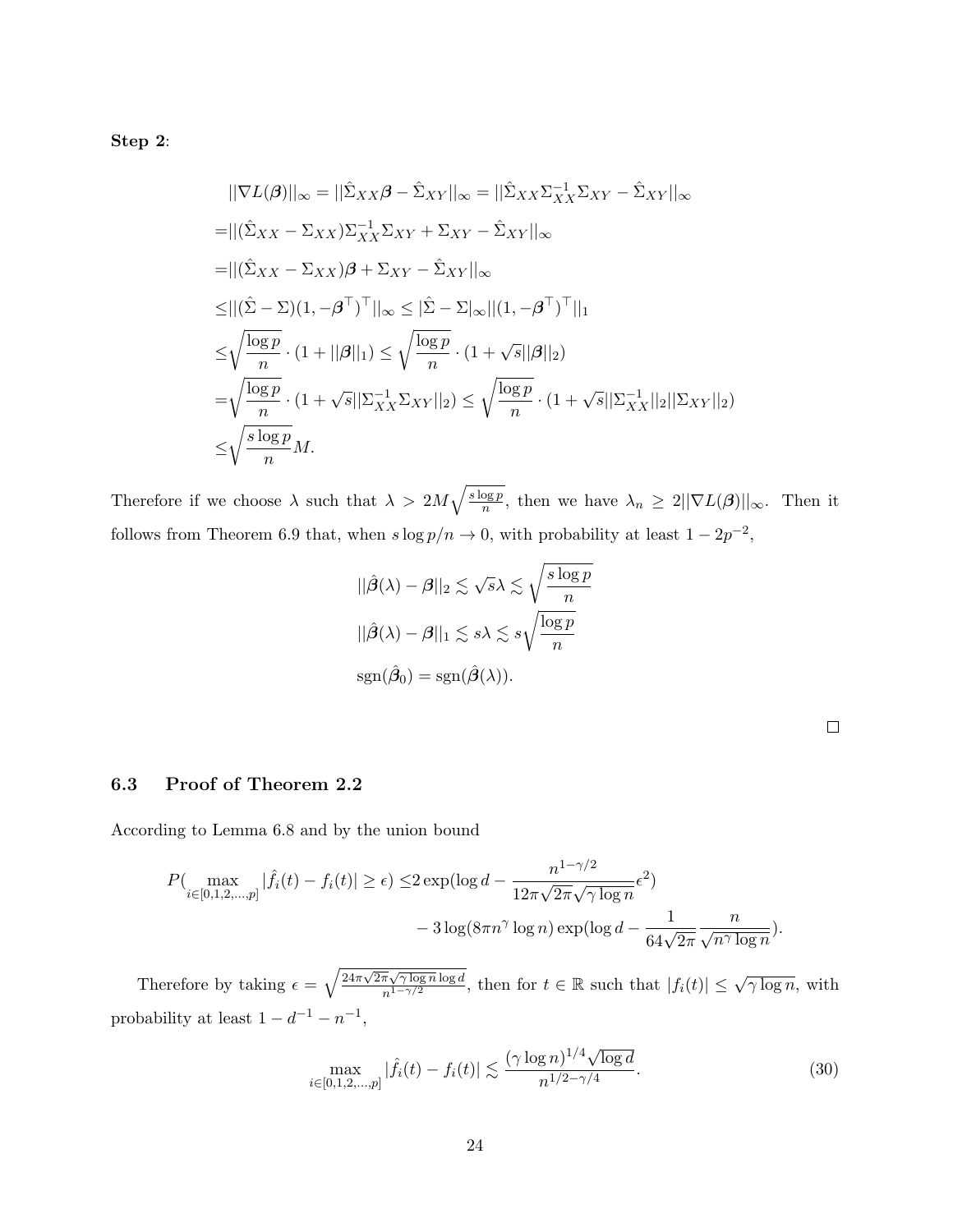Step 2:

$$
||\nabla L(\boldsymbol{\beta})||_{\infty} = ||\hat{\Sigma}_{XX}\boldsymbol{\beta} - \hat{\Sigma}_{XY}||_{\infty} = ||\hat{\Sigma}_{XX}\Sigma_{XX}^{-1}\Sigma_{XY} - \hat{\Sigma}_{XY}||_{\infty}
$$
  
\n
$$
= ||(\hat{\Sigma}_{XX} - \Sigma_{XX})\Sigma_{XX}^{-1}\Sigma_{XY} + \Sigma_{XY} - \hat{\Sigma}_{XY}||_{\infty}
$$
  
\n
$$
= ||(\hat{\Sigma}_{XX} - \Sigma_{XX})\boldsymbol{\beta} + \Sigma_{XY} - \hat{\Sigma}_{XY}||_{\infty}
$$
  
\n
$$
\leq ||(\hat{\Sigma} - \Sigma)(1, -\boldsymbol{\beta}^{\top})^{\top}||_{\infty} \leq ||\hat{\Sigma} - \Sigma|_{\infty} ||(1, -\boldsymbol{\beta}^{\top})^{\top}||_{1}
$$
  
\n
$$
\leq \sqrt{\frac{\log p}{n}} \cdot (1 + ||\boldsymbol{\beta}||_{1}) \leq \sqrt{\frac{\log p}{n}} \cdot (1 + \sqrt{s}||\boldsymbol{\beta}||_{2})
$$
  
\n
$$
= \sqrt{\frac{\log p}{n}} \cdot (1 + \sqrt{s}||\Sigma_{XX}^{-1}\Sigma_{XY}||_{2}) \leq \sqrt{\frac{\log p}{n}} \cdot (1 + \sqrt{s}||\Sigma_{XX}^{-1}||_{2}||\Sigma_{XY}||_{2})
$$
  
\n
$$
\leq \sqrt{\frac{s\log p}{n}} M.
$$

Therefore if we choose  $\lambda$  such that  $\lambda > 2M\sqrt{\frac{s \log p}{n}}$  $\frac{\log p}{n}$ , then we have  $\lambda_n \geq 2||\nabla L(\boldsymbol{\beta})||_{\infty}$ . Then it follows from Theorem 6.9 that, when  $s \log p/n \to 0$ , with probability at least  $1 - 2p^{-2}$ ,

$$
||\hat{\beta}(\lambda) - \beta||_2 \lesssim \sqrt{s}\lambda \lesssim \sqrt{\frac{s \log p}{n}}
$$
  

$$
||\hat{\beta}(\lambda) - \beta||_1 \lesssim s\lambda \lesssim s\sqrt{\frac{\log p}{n}}
$$
  

$$
\text{sgn}(\hat{\beta}_0) = \text{sgn}(\hat{\beta}(\lambda)).
$$

## 6.3 Proof of Theorem 2.2

According to Lemma 6.8 and by the union bound

$$
P\left(\max_{i\in[0,1,2,\dots,p]}|\hat{f}_i(t)-f_i(t)|\geq \epsilon\right) \leq 2\exp\left(\log d - \frac{n^{1-\gamma/2}}{12\pi\sqrt{2\pi}\sqrt{\gamma\log n}}\epsilon^2\right) - 3\log(8\pi n^{\gamma}\log n)\exp\left(\log d - \frac{1}{64\sqrt{2\pi}}\frac{n}{\sqrt{n^{\gamma}\log n}}\right).
$$

Therefore by taking  $\epsilon = \sqrt{\frac{24\pi\sqrt{2\pi}\sqrt{\gamma\log n}\log d}{n^{1-\gamma/2}}}$  $\frac{\pi\sqrt{\gamma\log n}\log d}{n^{1-\gamma/2}}$ , then for  $t \in \mathbb{R}$  such that  $|f_i(t)| \leq \sqrt{\gamma\log n}$ , with probability at least  $1 - d^{-1} - n^{-1}$ ,

$$
\max_{i \in [0,1,2,\dots,p]} |\hat{f}_i(t) - f_i(t)| \lesssim \frac{(\gamma \log n)^{1/4} \sqrt{\log d}}{n^{1/2 - \gamma/4}}.
$$
 (30)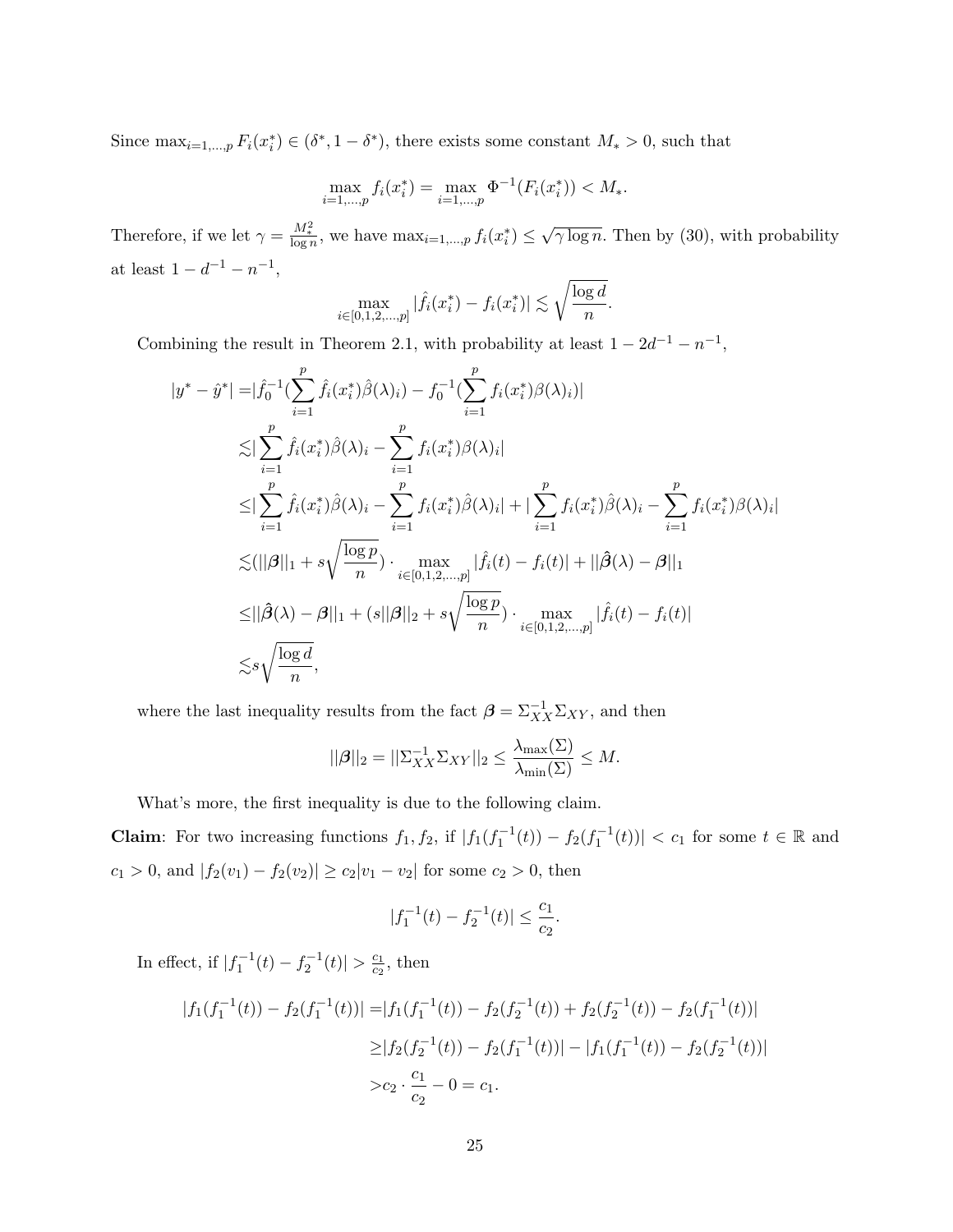Since  $\max_{i=1,\dots,p} F_i(x_i^*) \in (\delta^*, 1-\delta^*)$ , there exists some constant  $M_* > 0$ , such that

$$
\max_{i=1,\dots,p} f_i(x_i^*) = \max_{i=1,\dots,p} \Phi^{-1}(F_i(x_i^*)) < M_*.
$$

Therefore, if we let  $\gamma = \frac{M_*^2}{\log n}$ , we have  $\max_{i=1,\dots,p} f_i(x_i^*) \leq \sqrt{\gamma \log n}$ . Then by (30), with probability at least  $1 - d^{-1} - n^{-1}$ ,

$$
\max_{i\in[0,1,2,\ldots,p]}|\hat{f}_i(x_i^*)-f_i(x_i^*)|\lesssim \sqrt{\frac{\log d}{n}}.
$$

Combining the result in Theorem 2.1, with probability at least  $1 - 2d^{-1} - n^{-1}$ ,

$$
y^* - \hat{y}^*| = |\hat{f}_0^{-1}(\sum_{i=1}^p \hat{f}_i(x_i^*)\hat{\beta}(\lambda)_i) - f_0^{-1}(\sum_{i=1}^p f_i(x_i^*)\beta(\lambda)_i)|
$$
  
\n
$$
\lesssim |\sum_{i=1}^p \hat{f}_i(x_i^*)\hat{\beta}(\lambda)_i - \sum_{i=1}^p f_i(x_i^*)\beta(\lambda)_i|
$$
  
\n
$$
\leq |\sum_{i=1}^p \hat{f}_i(x_i^*)\hat{\beta}(\lambda)_i - \sum_{i=1}^p f_i(x_i^*)\hat{\beta}(\lambda)_i| + |\sum_{i=1}^p f_i(x_i^*)\hat{\beta}(\lambda)_i - \sum_{i=1}^p f_i(x_i^*)\beta(\lambda)_i|
$$
  
\n
$$
\lesssim (||\beta||_1 + s\sqrt{\frac{\log p}{n}}) \cdot \max_{i \in [0,1,2,...,p]} |\hat{f}_i(t) - f_i(t)| + ||\hat{\beta}(\lambda) - \beta||_1
$$
  
\n
$$
\leq ||\hat{\beta}(\lambda) - \beta||_1 + (s||\beta||_2 + s\sqrt{\frac{\log p}{n}}) \cdot \max_{i \in [0,1,2,...,p]} |\hat{f}_i(t) - f_i(t)|
$$
  
\n
$$
\lesssim s\sqrt{\frac{\log d}{n}},
$$

where the last inequality results from the fact  $\beta = \sum_{XX}^{-1} \sum_{XY}$ , and then

$$
||\boldsymbol{\beta}||_2 = ||\boldsymbol{\Sigma}_{XX}^{-1} \boldsymbol{\Sigma}_{XY}||_2 \le \frac{\lambda_{\max}(\boldsymbol{\Sigma})}{\lambda_{\min}(\boldsymbol{\Sigma})} \le M.
$$

What's more, the first inequality is due to the following claim.

**Claim**: For two increasing functions  $f_1, f_2$ , if  $|f_1(f_1^{-1}(t)) - f_2(f_1^{-1}(t))| < c_1$  for some  $t \in \mathbb{R}$  and  $c_1 > 0$ , and  $|f_2(v_1) - f_2(v_2)| \ge c_2|v_1 - v_2|$  for some  $c_2 > 0$ , then

$$
|f_1^{-1}(t) - f_2^{-1}(t)| \le \frac{c_1}{c_2}.
$$

In effect, if  $|f_1^{-1}(t) - f_2^{-1}(t)| > \frac{c_1}{c_2}$  $rac{c_1}{c_2}$ , then

 $\vert$ 

$$
|f_1(f_1^{-1}(t)) - f_2(f_1^{-1}(t))| = |f_1(f_1^{-1}(t)) - f_2(f_2^{-1}(t)) + f_2(f_2^{-1}(t)) - f_2(f_1^{-1}(t))|
$$
  
\n
$$
\geq |f_2(f_2^{-1}(t)) - f_2(f_1^{-1}(t))| - |f_1(f_1^{-1}(t)) - f_2(f_2^{-1}(t))|
$$
  
\n
$$
> c_2 \cdot \frac{c_1}{c_2} - 0 = c_1.
$$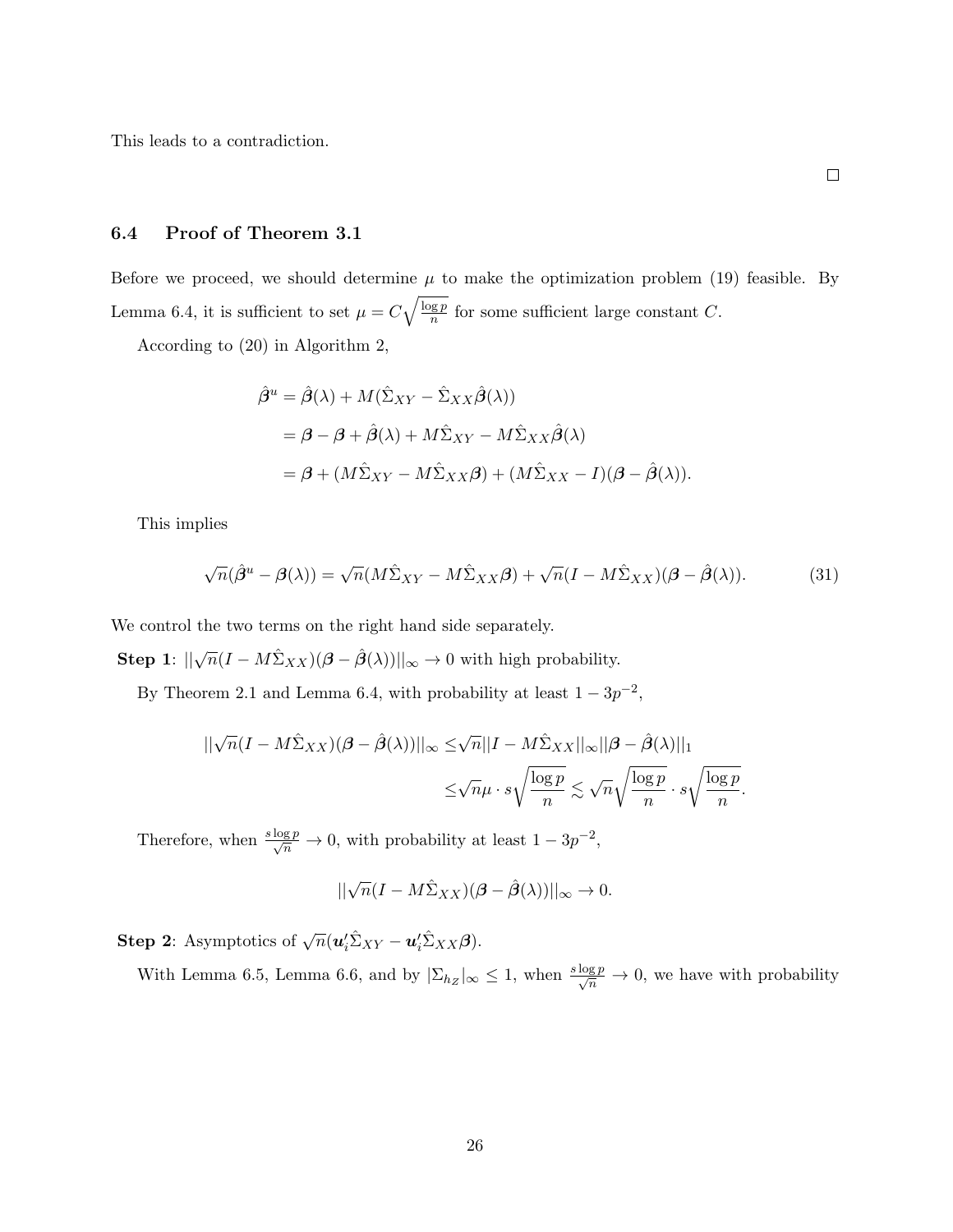This leads to a contradiction.

#### 6.4 Proof of Theorem 3.1

Before we proceed, we should determine  $\mu$  to make the optimization problem (19) feasible. By Lemma 6.4, it is sufficient to set  $\mu = C \sqrt{\frac{\log p}{n}}$  $\frac{g p}{n}$  for some sufficient large constant C.

According to (20) in Algorithm 2,

$$
\hat{\beta}^u = \hat{\beta}(\lambda) + M(\hat{\Sigma}_{XY} - \hat{\Sigma}_{XX}\hat{\beta}(\lambda))
$$
  
=  $\beta - \beta + \hat{\beta}(\lambda) + M\hat{\Sigma}_{XY} - M\hat{\Sigma}_{XX}\hat{\beta}(\lambda)$   
=  $\beta + (M\hat{\Sigma}_{XY} - M\hat{\Sigma}_{XX}\beta) + (M\hat{\Sigma}_{XX} - I)(\beta - \hat{\beta}(\lambda)).$ 

This implies

$$
\sqrt{n}(\hat{\beta}^u - \beta(\lambda)) = \sqrt{n}(M\hat{\Sigma}_{XY} - M\hat{\Sigma}_{XX}\beta) + \sqrt{n}(I - M\hat{\Sigma}_{XX})(\beta - \hat{\beta}(\lambda)).
$$
\n(31)

We control the two terms on the right hand side separately.

**Step 1**:  $\|\sqrt{n}(I - M\hat{\Sigma}_{XX})(\boldsymbol{\beta} - \hat{\boldsymbol{\beta}}(\lambda))\|_{\infty} \to 0$  with high probability.

By Theorem 2.1 and Lemma 6.4, with probability at least  $1 - 3p^{-2}$ ,

$$
||\sqrt{n}(I-M\hat{\Sigma}_{XX})(\boldsymbol{\beta}-\hat{\boldsymbol{\beta}}(\lambda))||_{\infty}\leq\sqrt{n}||I-M\hat{\Sigma}_{XX}||_{\infty}||\boldsymbol{\beta}-\hat{\boldsymbol{\beta}}(\lambda)||_{1}\\ \leq\sqrt{n}\mu\cdot s\sqrt{\frac{\log p}{n}}\lesssim\sqrt{n}\sqrt{\frac{\log p}{n}}\cdot s\sqrt{\frac{\log p}{n}}.
$$

Therefore, when  $\frac{s \log p}{\sqrt{n}} \to 0$ , with probability at least  $1 - 3p^{-2}$ ,

$$
||\sqrt{n}(I-M\hat{\Sigma}_{XX})(\boldsymbol{\beta}-\hat{\boldsymbol{\beta}}(\lambda))||_{\infty}\rightarrow 0.
$$

**Step 2**: Asymptotics of  $\sqrt{n}(\boldsymbol{u}_i'\hat{\Sigma}_{XY} - \boldsymbol{u}_i'\hat{\Sigma}_{XX}\boldsymbol{\beta}).$ 

With Lemma 6.5, Lemma 6.6, and by  $|\Sigma_{h_Z}|_{\infty} \leq 1$ , when  $\frac{s \log p}{\sqrt{n}} \to 0$ , we have with probability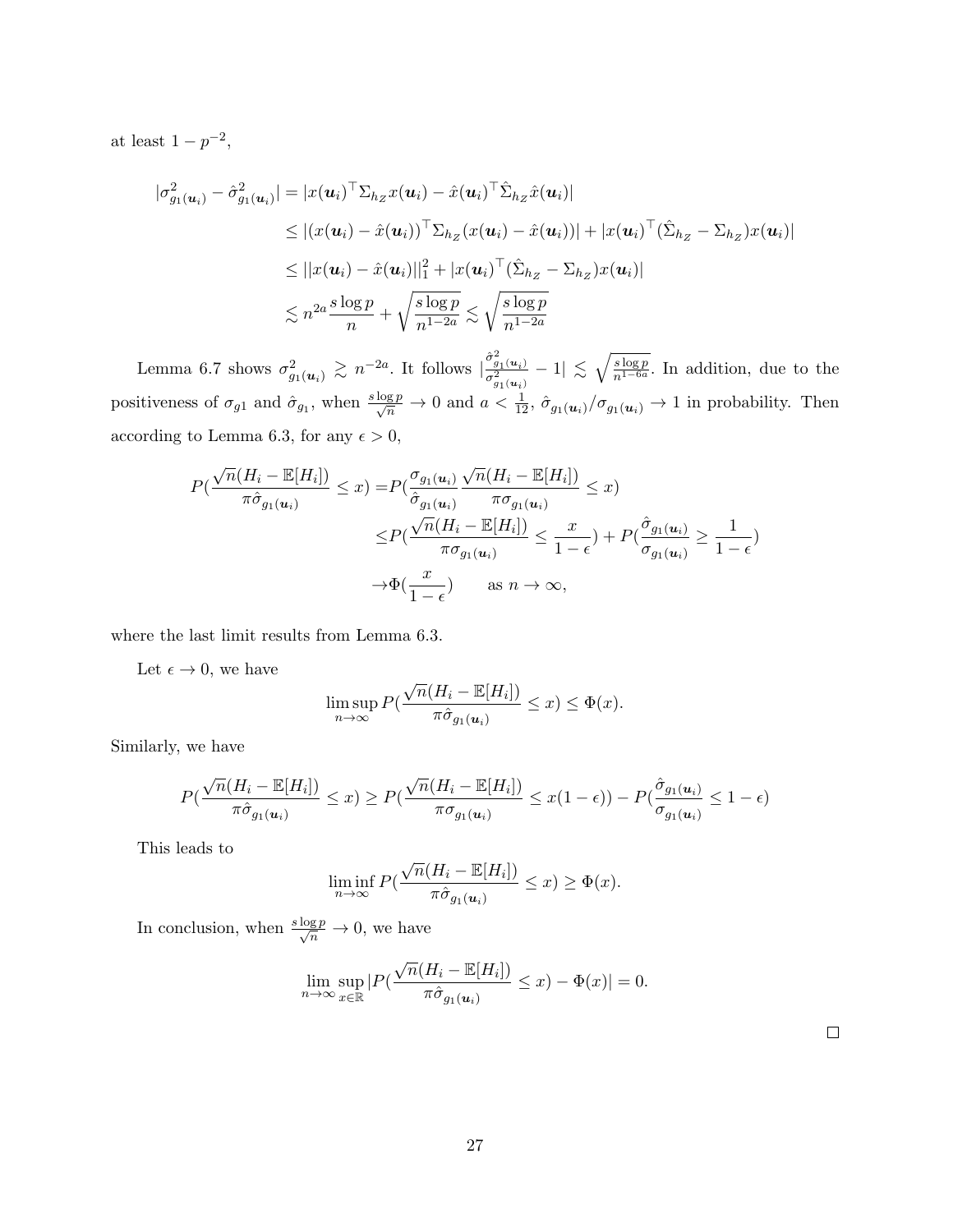at least  $1 - p^{-2}$ ,

$$
|\sigma_{g_1(\boldsymbol{u}_i)}^2 - \hat{\sigma}_{g_1(\boldsymbol{u}_i)}^2| = |x(\boldsymbol{u}_i)^\top \Sigma_{h_Z} x(\boldsymbol{u}_i) - \hat{x}(\boldsymbol{u}_i)^\top \hat{\Sigma}_{h_Z} \hat{x}(\boldsymbol{u}_i)|
$$
  
\n
$$
\leq |(x(\boldsymbol{u}_i) - \hat{x}(\boldsymbol{u}_i))^\top \Sigma_{h_Z} (x(\boldsymbol{u}_i) - \hat{x}(\boldsymbol{u}_i))| + |x(\boldsymbol{u}_i)^\top (\hat{\Sigma}_{h_Z} - \Sigma_{h_Z}) x(\boldsymbol{u}_i)|
$$
  
\n
$$
\leq ||x(\boldsymbol{u}_i) - \hat{x}(\boldsymbol{u}_i)||_1^2 + |x(\boldsymbol{u}_i)^\top (\hat{\Sigma}_{h_Z} - \Sigma_{h_Z}) x(\boldsymbol{u}_i)|
$$
  
\n
$$
\lesssim n^{2a} \frac{s \log p}{n} + \sqrt{\frac{s \log p}{n^{1-2a}}} \lesssim \sqrt{\frac{s \log p}{n^{1-2a}}}
$$

Lemma 6.7 shows  $\sigma_{g_1(\boldsymbol{u}_i)}^2 \gtrsim n^{-2a}$ . It follows  $\left|\frac{\hat{\sigma}_{g_1(\boldsymbol{u}_i)}^2}{\sigma_{g_1(\boldsymbol{u}_i)}^2}\right|$  $\frac{\hat{\sigma}_{g_1(u_i)}^2}{\sigma_{g_1(u_i)}^2} - 1 \leq \sqrt{\frac{s \log p}{n^{1-6a}}}$ . In addition, due to the positiveness of  $\sigma_{g1}$  and  $\hat{\sigma}_{g1}$ , when  $\frac{s \log p}{\sqrt{n}} \to 0$  and  $a < \frac{1}{12}$ ,  $\hat{\sigma}_{g1}(u_i)/\sigma_{g1}(u_i) \to 1$  in probability. Then according to Lemma 6.3, for any  $\epsilon > 0$ ,

$$
P\left(\frac{\sqrt{n}(H_i - \mathbb{E}[H_i])}{\pi \hat{\sigma}_{g_1(\mathbf{u}_i)}} \leq x\right) = P\left(\frac{\sigma_{g_1(\mathbf{u}_i)}}{\hat{\sigma}_{g_1(\mathbf{u}_i)}} \frac{\sqrt{n}(H_i - \mathbb{E}[H_i])}{\pi \sigma_{g_1(\mathbf{u}_i)}} \leq x\right)
$$

$$
\leq P\left(\frac{\sqrt{n}(H_i - \mathbb{E}[H_i])}{\pi \sigma_{g_1(\mathbf{u}_i)}} \leq \frac{x}{1 - \epsilon}\right) + P\left(\frac{\hat{\sigma}_{g_1(\mathbf{u}_i)}}{\sigma_{g_1(\mathbf{u}_i)}} \geq \frac{1}{1 - \epsilon}\right)
$$

$$
\to \Phi\left(\frac{x}{1 - \epsilon}\right) \quad \text{as } n \to \infty,
$$

where the last limit results from Lemma 6.3.

Let  $\epsilon \to 0$ , we have

$$
\limsup_{n\to\infty} P(\frac{\sqrt{n}(H_i - \mathbb{E}[H_i])}{\pi \hat{\sigma}_{g_1(u_i)}} \leq x) \leq \Phi(x).
$$

Similarly, we have

$$
P(\frac{\sqrt{n}(H_i - \mathbb{E}[H_i])}{\pi \hat{\sigma}_{g_1(\mathbf{u}_i)}} \leq x) \geq P(\frac{\sqrt{n}(H_i - \mathbb{E}[H_i])}{\pi \sigma_{g_1(\mathbf{u}_i)}} \leq x(1 - \epsilon)) - P(\frac{\hat{\sigma}_{g_1(\mathbf{u}_i)}}{\sigma_{g_1(\mathbf{u}_i)}} \leq 1 - \epsilon)
$$

This leads to

$$
\liminf_{n\to\infty} P(\frac{\sqrt{n}(H_i - \mathbb{E}[H_i])}{\pi \hat{\sigma}_{g_1(\boldsymbol{u}_i)}} \leq x) \geq \Phi(x).
$$

In conclusion, when  $\frac{s \log p}{\sqrt{n}} \to 0$ , we have

$$
\lim_{n \to \infty} \sup_{x \in \mathbb{R}} |P(\frac{\sqrt{n}(H_i - \mathbb{E}[H_i])}{\pi \hat{\sigma}_{g_1(\boldsymbol{u}_i)}} \le x) - \Phi(x)| = 0.
$$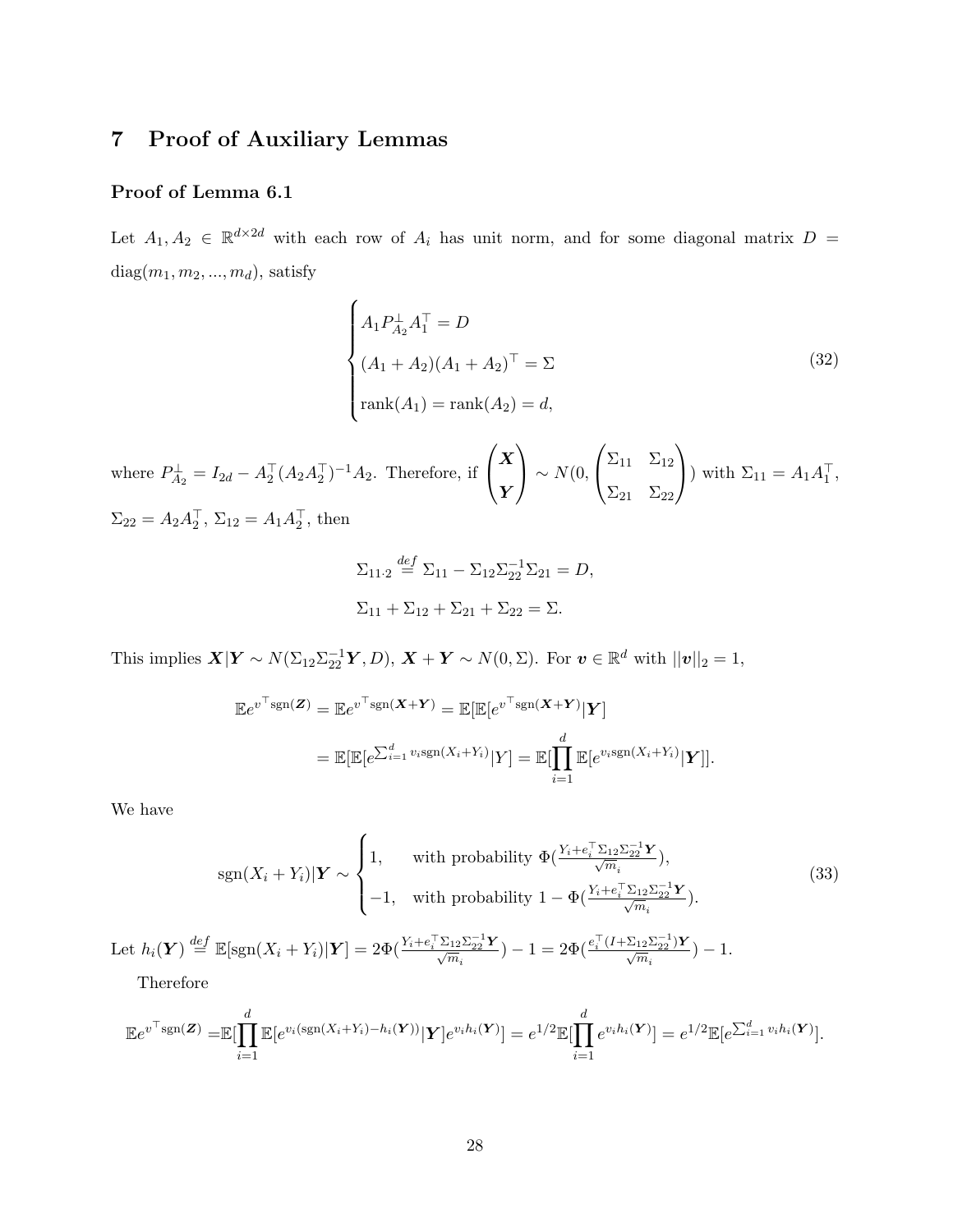# 7 Proof of Auxiliary Lemmas

## Proof of Lemma 6.1

Let  $A_1, A_2 \in \mathbb{R}^{d \times 2d}$  with each row of  $A_i$  has unit norm, and for some diagonal matrix  $D =$  $diag(m_1, m_2, ..., m_d),$  satisfy

$$
\begin{cases}\nA_1 P_{A_2}^{\perp} A_1^{\top} = D \\
(A_1 + A_2)(A_1 + A_2)^{\top} = \Sigma \\
\text{rank}(A_1) = \text{rank}(A_2) = d,\n\end{cases}
$$
\n(32)

where  $P_{A_2}^{\perp} = I_{2d} - A_2^{\top} (A_2 A_2^{\top})^{-1} A_2$ . Therefore, if  $\sqrt{ }$  $\mathbf{I}$  $\boldsymbol{X}$ Y  $\setminus$  $\big| \sim N(0,$  $\sqrt{ }$  $\mathbf{I}$  $\Sigma_{11}$   $\Sigma_{12}$  $\Sigma_{21}$   $\Sigma_{22}$  $\setminus$ ) with  $\Sigma_{11} = A_1 A_1^{\dagger}$ ,  $\Sigma_{22} = A_2 A_2^{\dagger}, \, \Sigma_{12} = A_1 A_2^{\dagger}, \, \text{then}$ 

$$
\Sigma_{11\cdot 2} \stackrel{def}{=} \Sigma_{11} - \Sigma_{12} \Sigma_{22}^{-1} \Sigma_{21} = D,
$$
  

$$
\Sigma_{11} + \Sigma_{12} + \Sigma_{21} + \Sigma_{22} = \Sigma.
$$

This implies  $\mathbf{X}|\mathbf{Y} \sim N(\Sigma_{12}\Sigma_{22}^{-1}\mathbf{Y}, D), \mathbf{X} + \mathbf{Y} \sim N(0, \Sigma)$ . For  $\mathbf{v} \in \mathbb{R}^d$  with  $||\mathbf{v}||_2 = 1$ ,

$$
\mathbb{E}e^{v^\top \text{sgn}(\mathbf{Z})} = \mathbb{E}e^{v^\top \text{sgn}(\mathbf{X} + \mathbf{Y})} = \mathbb{E}[\mathbb{E}[e^{v^\top \text{sgn}(\mathbf{X} + \mathbf{Y})}|\mathbf{Y}]
$$
  
= 
$$
\mathbb{E}[\mathbb{E}[e^{\sum_{i=1}^d v_i \text{sgn}(X_i + Y_i)}|Y] = \mathbb{E}[\prod_{i=1}^d \mathbb{E}[e^{v_i \text{sgn}(X_i + Y_i)}|\mathbf{Y}]].
$$

We have

$$
\text{sgn}(X_i + Y_i)|\mathbf{Y} \sim \begin{cases} 1, & \text{with probability } \Phi(\frac{Y_i + e_i^\top \Sigma_{12} \Sigma_{22}^{-1} \mathbf{Y}}{\sqrt{m_i}}), \\ -1, & \text{with probability } 1 - \Phi(\frac{Y_i + e_i^\top \Sigma_{12} \Sigma_{22}^{-1} \mathbf{Y}}{\sqrt{m_i}}). \end{cases} \tag{33}
$$

Let  $h_i(\boldsymbol{Y}) \stackrel{def}{=} \mathbb{E}[\text{sgn}(X_i + Y_i)|\boldsymbol{Y}] = 2\Phi(\frac{Y_i + e_i^{\top}\Sigma_{12}\Sigma_{22}^{-1}\boldsymbol{Y}}{\sqrt{m_i}}) - 1 = 2\Phi(\frac{e_i^{\top}(I + \Sigma_{12}\Sigma_{22}^{-1})\boldsymbol{Y}}{\sqrt{m_i}}) - 1.$ 

Therefore

$$
\mathbb{E}e^{v^\top \operatorname{sgn}(\mathbf{Z})} = \mathbb{E}[\prod_{i=1}^d \mathbb{E}[e^{v_i(\operatorname{sgn}(X_i + Y_i) - h_i(\mathbf{Y}))}|\mathbf{Y}]e^{v_i h_i(\mathbf{Y})}] = e^{1/2}\mathbb{E}[\prod_{i=1}^d e^{v_i h_i(\mathbf{Y})}] = e^{1/2}\mathbb{E}[e^{\sum_{i=1}^d v_i h_i(\mathbf{Y})}].
$$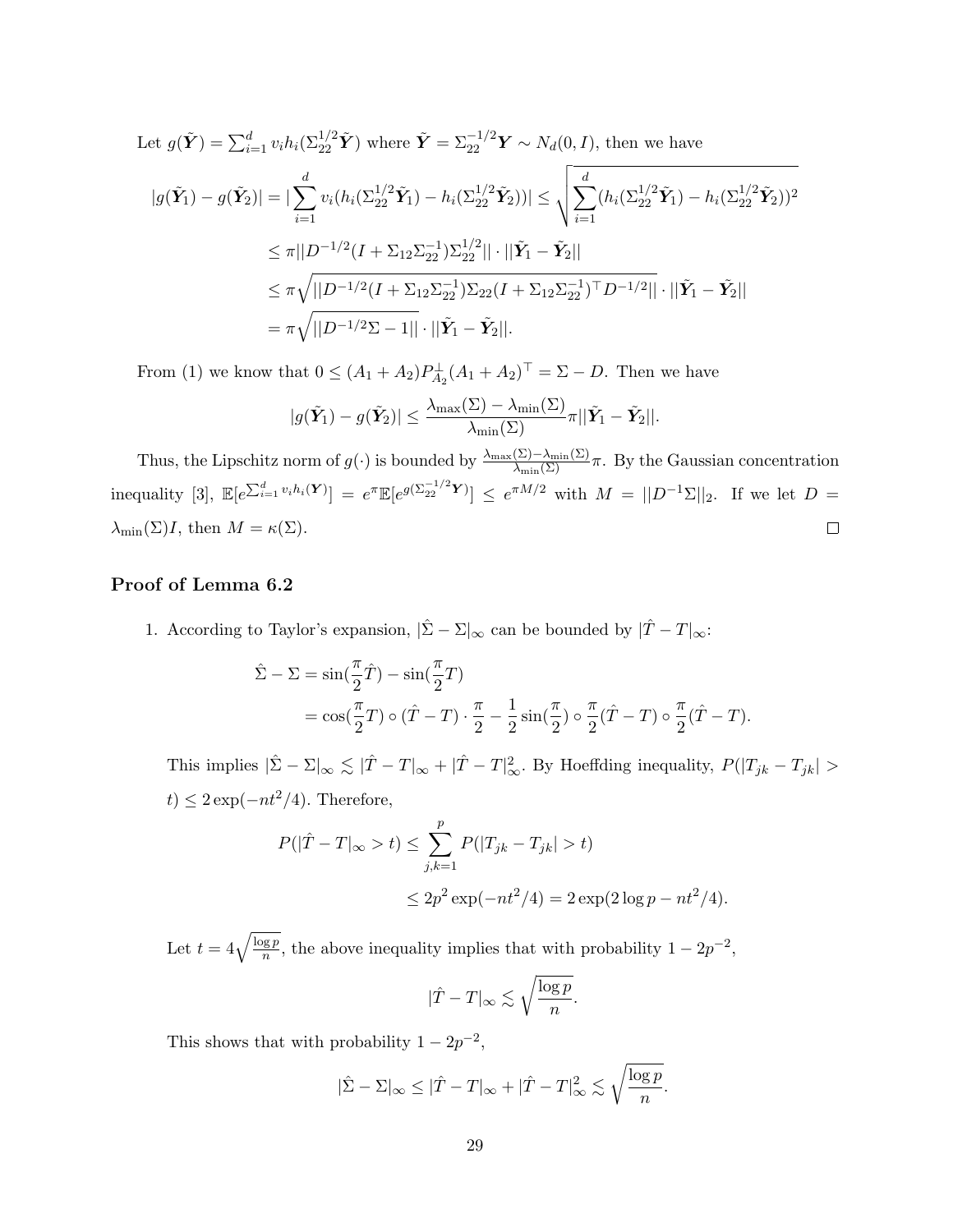Let 
$$
g(\tilde{\mathbf{Y}}) = \sum_{i=1}^{d} v_i h_i (\sum_{22}^{1/2} \tilde{\mathbf{Y}})
$$
 where  $\tilde{\mathbf{Y}} = \sum_{22}^{-1/2} \mathbf{Y} \sim N_d(0, I)$ , then we have  
\n
$$
|g(\tilde{\mathbf{Y}}_1) - g(\tilde{\mathbf{Y}}_2)| = |\sum_{i=1}^{d} v_i (h_i (\sum_{22}^{1/2} \tilde{\mathbf{Y}}_1) - h_i (\sum_{22}^{1/2} \tilde{\mathbf{Y}}_2))| \le \sqrt{\sum_{i=1}^{d} (h_i (\sum_{22}^{1/2} \tilde{\mathbf{Y}}_1) - h_i (\sum_{22}^{1/2} \tilde{\mathbf{Y}}_2))^2}
$$
\n
$$
\le \pi ||D^{-1/2} (I + \sum_{12} \sum_{22}^{-1}) \sum_{22}^{1/2} || \cdot ||\tilde{\mathbf{Y}}_1 - \tilde{\mathbf{Y}}_2 ||
$$
\n
$$
\le \pi \sqrt{||D^{-1/2} (I + \sum_{12} \sum_{22}^{-1}) \sum_{22} (I + \sum_{12} \sum_{22}^{-1})^{\top} D^{-1/2} || \cdot ||\tilde{\mathbf{Y}}_1 - \tilde{\mathbf{Y}}_2||}
$$
\n
$$
= \pi \sqrt{||D^{-1/2} \Sigma - 1||} \cdot ||\tilde{\mathbf{Y}}_1 - \tilde{\mathbf{Y}}_2||.
$$

From (1) we know that  $0 \le (A_1 + A_2)P_{A_2}^{\perp}(A_1 + A_2)^{\perp} = \Sigma - D$ . Then we have

$$
|g(\tilde{\mathbf{Y}}_1) - g(\tilde{\mathbf{Y}}_2)| \leq \frac{\lambda_{\max}(\Sigma) - \lambda_{\min}(\Sigma)}{\lambda_{\min}(\Sigma)} \pi ||\tilde{\mathbf{Y}}_1 - \tilde{\mathbf{Y}}_2||.
$$

Thus, the Lipschitz norm of  $g(\cdot)$  is bounded by  $\frac{\lambda_{\max}(\Sigma)-\lambda_{\min}(\Sigma)}{\lambda_{\min}(\Sigma)}\pi$ . By the Gaussian concentration  $\text{inequality [3], } \mathbb{E}[e^{\sum_{i=1}^d v_i h_i(\boldsymbol{Y})}] = e^{\pi} \mathbb{E}[e^{g(\sum_{i=1}^{d/2} \boldsymbol{Y})}] \leq e^{\pi M/2} \text{ with } M = ||D^{-1}\Sigma||_2. \text{ If we let } D = 0.$  $\lambda_{\min}(\Sigma)I$ , then  $M = \kappa(\Sigma)$ .  $\Box$ 

## Proof of Lemma 6.2

1. According to Taylor's expansion,  $|\hat{\Sigma} - \Sigma|_{\infty}$  can be bounded by  $|\hat{T} - T|_{\infty}$ :

$$
\hat{\Sigma} - \Sigma = \sin(\frac{\pi}{2}\hat{T}) - \sin(\frac{\pi}{2}T)
$$
  
=  $\cos(\frac{\pi}{2}T) \circ (\hat{T} - T) \cdot \frac{\pi}{2} - \frac{1}{2}\sin(\frac{\pi}{2}) \circ \frac{\pi}{2}(\hat{T} - T) \circ \frac{\pi}{2}(\hat{T} - T)$ .

This implies  $|\hat{\Sigma} - \Sigma|_{\infty} \lesssim |\hat{T} - T|_{\infty} + |\hat{T} - T|_{\infty}^2$ . By Hoeffding inequality,  $P(|T_{jk} - T_{jk}| >$  $t) \leq 2 \exp(-nt^2/4)$ . Therefore,

$$
P(|\hat{T} - T|_{\infty} > t) \le \sum_{j,k=1}^{p} P(|T_{jk} - T_{jk}| > t)
$$
  

$$
\le 2p^2 \exp(-nt^2/4) = 2 \exp(2 \log p - nt^2/4).
$$

Let  $t = 4\sqrt{\frac{\log p}{n}}$  $\frac{g p}{n}$ , the above inequality implies that with probability  $1 - 2p^{-2}$ ,

$$
|\hat{T} - T|_{\infty} \lesssim \sqrt{\frac{\log p}{n}}.
$$

This shows that with probability  $1 - 2p^{-2}$ ,

$$
|\hat{\Sigma} - \Sigma|_{\infty} \leq |\hat{T} - T|_{\infty} + |\hat{T} - T|_{\infty}^2 \lesssim \sqrt{\frac{\log p}{n}}.
$$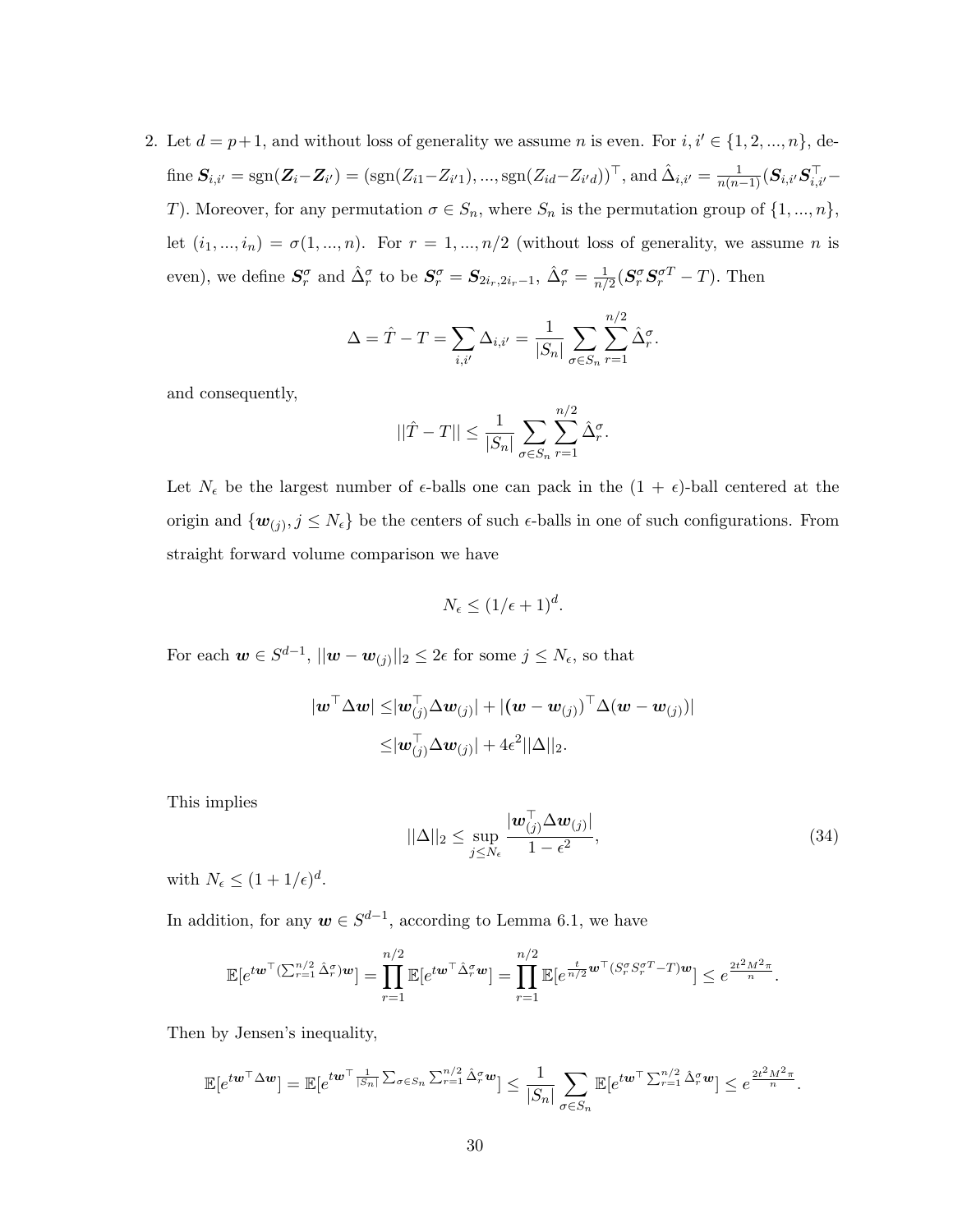2. Let  $d = p+1$ , and without loss of generality we assume n is even. For  $i, i' \in \{1, 2, ..., n\}$ , define  $S_{i,i'} = \text{sgn}(\mathbf{Z}_i - \mathbf{Z}_{i'}) = (\text{sgn}(Z_{i1} - Z_{i'1}), ..., \text{sgn}(Z_{id} - Z_{i'd}))^\top$ , and  $\hat{\Delta}_{i,i'} = \frac{1}{n(n-1)}(\mathbf{S}_{i,i'}\mathbf{S}_{i,i'}^\top -$ T). Moreover, for any permutation  $\sigma \in S_n$ , where  $S_n$  is the permutation group of  $\{1, ..., n\}$ , let  $(i_1, ..., i_n) = \sigma(1, ..., n)$ . For  $r = 1, ..., n/2$  (without loss of generality, we assume n is even), we define  $S_r^{\sigma}$  and  $\hat{\Delta}_r^{\sigma}$  to be  $S_r^{\sigma} = S_{2i_r, 2i_r-1}$ ,  $\hat{\Delta}_r^{\sigma} = \frac{1}{n}$  $\frac{1}{n/2}$  $(\boldsymbol{S}^{\sigma}_{r}\boldsymbol{S}^{\sigma T}_{r}-T)$ . Then

$$
\Delta = \hat{T} - T = \sum_{i,i'} \Delta_{i,i'} = \frac{1}{|S_n|} \sum_{\sigma \in S_n} \sum_{r=1}^{n/2} \hat{\Delta}_r^{\sigma}.
$$

and consequently,

$$
||\hat{T} - T|| \le \frac{1}{|S_n|} \sum_{\sigma \in S_n} \sum_{r=1}^{n/2} \hat{\Delta}_r^{\sigma}.
$$

Let  $N_{\epsilon}$  be the largest number of  $\epsilon$ -balls one can pack in the  $(1 + \epsilon)$ -ball centered at the origin and  $\{w_{(j)}, j \leq N_{\epsilon}\}\)$  be the centers of such  $\epsilon$ -balls in one of such configurations. From straight forward volume comparison we have

$$
N_{\epsilon} \le (1/\epsilon + 1)^d.
$$

For each  $\mathbf{w} \in S^{d-1}$ ,  $||\mathbf{w} - \mathbf{w}_{(j)}||_2 \leq 2\epsilon$  for some  $j \leq N_{\epsilon}$ , so that

$$
\begin{aligned} |\boldsymbol{w}^\top \Delta \boldsymbol{w}| \leq& |\boldsymbol{w}_{(j)}^\top \Delta \boldsymbol{w}_{(j)}| + |(\boldsymbol{w} - \boldsymbol{w}_{(j)})^\top \Delta (\boldsymbol{w} - \boldsymbol{w}_{(j)})| \\ \leq& |\boldsymbol{w}_{(j)}^\top \Delta \boldsymbol{w}_{(j)}| + 4\epsilon^2 ||\Delta||_2. \end{aligned}
$$

This implies

$$
||\Delta||_2 \leq \sup_{j \leq N_{\epsilon}} \frac{|\boldsymbol{w}_{(j)}^{\top} \Delta \boldsymbol{w}_{(j)}|}{1 - \epsilon^2},
$$
\n(34)

with  $N_{\epsilon} \leq (1 + 1/\epsilon)^d$ .

In addition, for any  $w \in S^{d-1}$ , according to Lemma 6.1, we have

$$
\mathbb{E}[e^{t\mathbf{w}^\top (\sum_{r=1}^{n/2} \hat{\Delta}_r^{\sigma})\mathbf{w}}] = \prod_{r=1}^{n/2} \mathbb{E}[e^{t\mathbf{w}^\top \hat{\Delta}_r^{\sigma} \mathbf{w}}] = \prod_{r=1}^{n/2} \mathbb{E}[e^{\frac{t}{n/2} \mathbf{w}^\top (S_r^{\sigma} S_r^{\sigma T} - T)\mathbf{w}}] \leq e^{\frac{2t^2 M^2 \pi}{n}}.
$$

Then by Jensen's inequality,

$$
\mathbb{E}[e^{t\mathbf{w}^\top\Delta\mathbf{w}}] = \mathbb{E}[e^{t\mathbf{w}^\top\frac{1}{|S_n|}\sum_{\sigma\in S_n}\sum_{r=1}^{n/2}\hat{\Delta}_r^{\sigma}\mathbf{w}}] \leq \frac{1}{|S_n|}\sum_{\sigma\in S_n}\mathbb{E}[e^{t\mathbf{w}^\top\sum_{r=1}^{n/2}\hat{\Delta}_r^{\sigma}\mathbf{w}}] \leq e^{\frac{2t^2M^2\pi}{n}}.
$$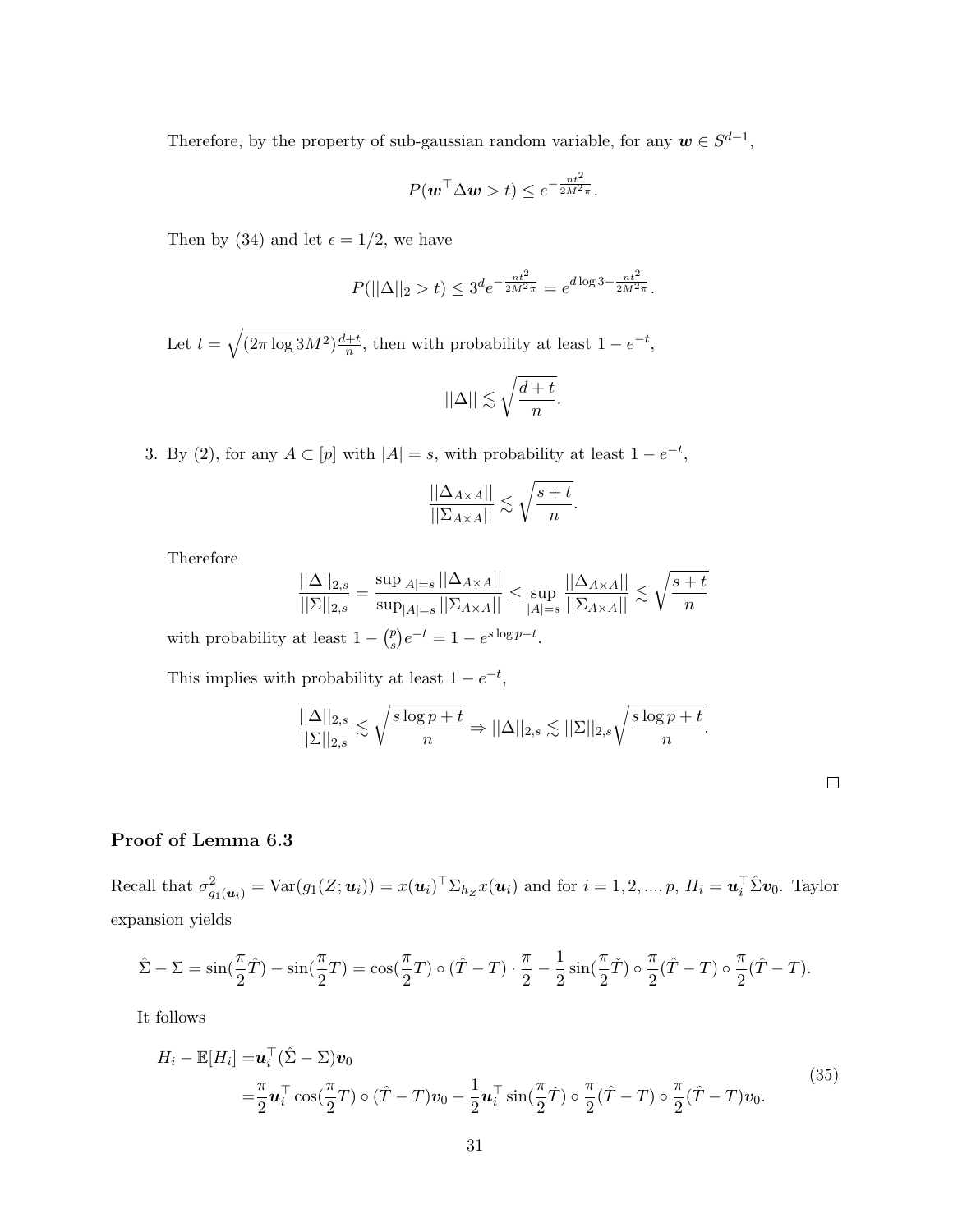Therefore, by the property of sub-gaussian random variable, for any  $w \in S^{d-1}$ ,

$$
P(\boldsymbol{w}^{\top} \Delta \boldsymbol{w} > t) \leq e^{-\frac{nt^2}{2M^2 \pi}}.
$$

Then by (34) and let  $\epsilon = 1/2$ , we have

$$
P(||\Delta||_2 > t) \le 3^d e^{-\frac{nt^2}{2M^2\pi}} = e^{d \log 3 - \frac{nt^2}{2M^2\pi}}.
$$

Let  $t = \sqrt{(2\pi \log 3M^2) \frac{d+t}{n}}$  $\frac{+t}{n}$ , then with probability at least  $1 - e^{-t}$ ,

$$
||\Delta||\lesssim \sqrt{\frac{d+t}{n}}
$$

.

3. By (2), for any  $A \subset [p]$  with  $|A| = s$ , with probability at least  $1 - e^{-t}$ ,

$$
\frac{||\Delta_{A\times A}||}{||\Sigma_{A\times A}||} \lesssim \sqrt{\frac{s+t}{n}}.
$$

Therefore

$$
\frac{||\Delta||_{2,s}}{||\Sigma||_{2,s}} = \frac{\sup_{|A|=s} ||\Delta_{A\times A}||}{\sup_{|A|=s} ||\Sigma_{A\times A}||} \le \sup_{|A|=s} \frac{||\Delta_{A\times A}||}{||\Sigma_{A\times A}||} \lesssim \sqrt{\frac{s+t}{n}}
$$

with probability at least  $1 - {p \choose s}$  $\binom{p}{s}e^{-t} = 1 - e^{s \log p - t}.$ 

This implies with probability at least  $1 - e^{-t}$ ,

$$
\frac{||\Delta||_{2,s}}{||\Sigma||_{2,s}} \lesssim \sqrt{\frac{s\log p + t}{n}} \Rightarrow ||\Delta||_{2,s} \lesssim ||\Sigma||_{2,s} \sqrt{\frac{s\log p + t}{n}}.
$$

## Proof of Lemma 6.3

Recall that  $\sigma_{g_1(\boldsymbol{u}_i)}^2 = \text{Var}(g_1(Z; \boldsymbol{u}_i)) = x(\boldsymbol{u}_i)^\top \Sigma_{h_Z} x(\boldsymbol{u}_i)$  and for  $i = 1, 2, ..., p$ ,  $H_i = \boldsymbol{u}_i^\top \hat{\Sigma} \boldsymbol{v}_0$ . Taylor expansion yields

$$
\hat{\Sigma} - \Sigma = \sin(\frac{\pi}{2}\hat{T}) - \sin(\frac{\pi}{2}T) = \cos(\frac{\pi}{2}T) \circ (\hat{T} - T) \cdot \frac{\pi}{2} - \frac{1}{2}\sin(\frac{\pi}{2}\check{T}) \circ \frac{\pi}{2}(\hat{T} - T) \circ \frac{\pi}{2}(\hat{T} - T).
$$

It follows

$$
H_i - \mathbb{E}[H_i] = \mathbf{u}_i^\top (\hat{\Sigma} - \Sigma) \mathbf{v}_0
$$
  
=  $\frac{\pi}{2} \mathbf{u}_i^\top \cos(\frac{\pi}{2}T) \circ (\hat{T} - T) \mathbf{v}_0 - \frac{1}{2} \mathbf{u}_i^\top \sin(\frac{\pi}{2}T) \circ \frac{\pi}{2} (\hat{T} - T) \circ \frac{\pi}{2} (\hat{T} - T) \mathbf{v}_0.$  (35)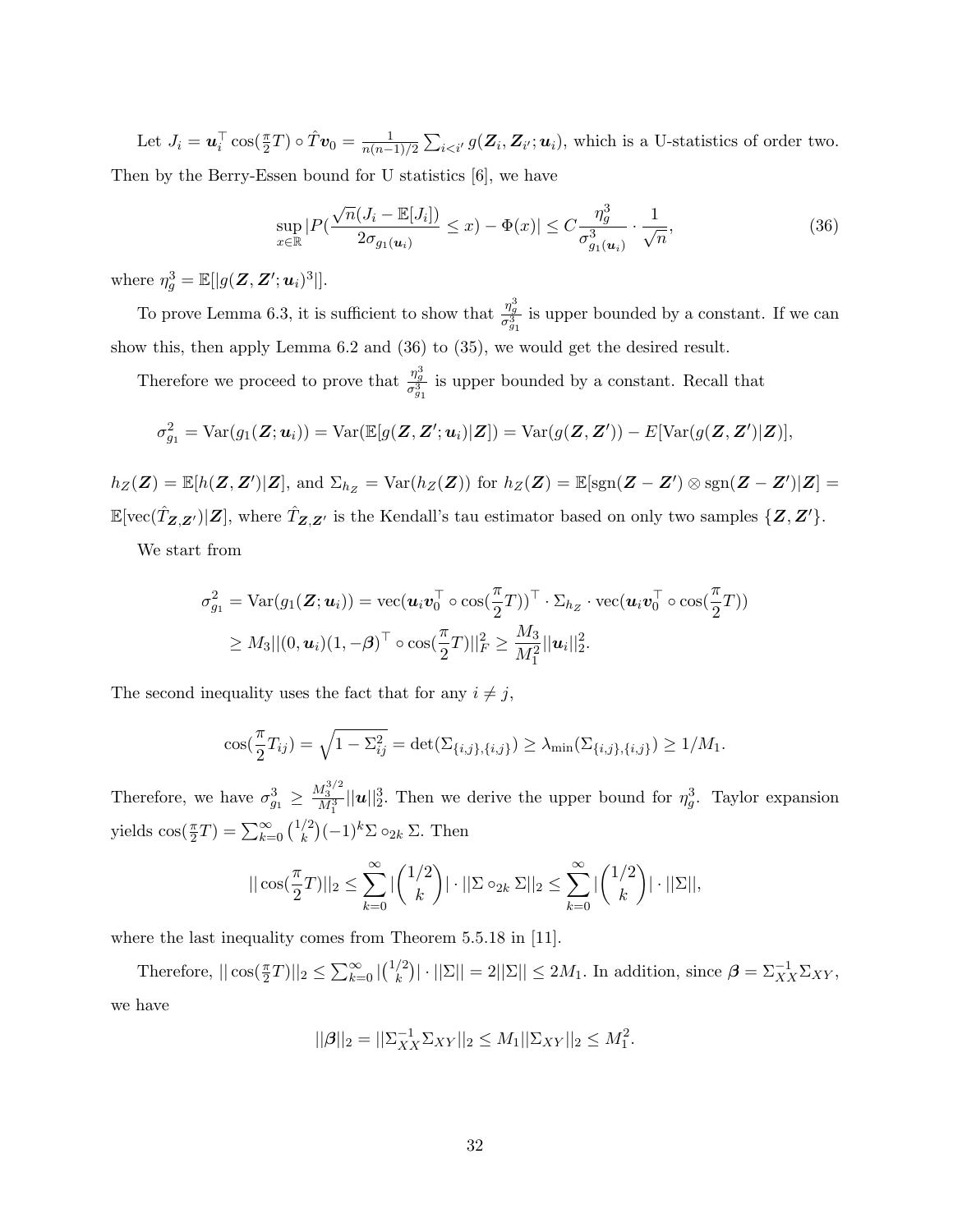Let  $J_i = \boldsymbol{u}_i^\top \cos(\frac{\pi}{2}T) \circ \hat{T} \boldsymbol{v}_0 = \frac{1}{n(n-1)}$  $\frac{1}{n(n-1)/2} \sum_{i \leq i'} g(\mathbf{Z}_i, \mathbf{Z}_{i'}; \boldsymbol{u}_i)$ , which is a U-statistics of order two. Then by the Berry-Essen bound for U statistics [6], we have

$$
\sup_{x \in \mathbb{R}} |P(\frac{\sqrt{n}(J_i - \mathbb{E}[J_i])}{2\sigma_{g_1(\mathbf{u}_i)}} \le x) - \Phi(x)| \le C \frac{\eta_g^3}{\sigma_{g_1(\mathbf{u}_i)}^3} \cdot \frac{1}{\sqrt{n}},\tag{36}
$$

where  $\eta_g^3 = \mathbb{E}[|g(\mathbf{Z}, \mathbf{Z}'; \boldsymbol{u}_i)^3|].$ 

To prove Lemma 6.3, it is sufficient to show that  $\frac{\eta_g^3}{\sigma_{g_1}^3}$  is upper bounded by a constant. If we can show this, then apply Lemma 6.2 and (36) to (35), we would get the desired result.

Therefore we proceed to prove that  $\frac{\eta_g^3}{\sigma_{g_1}^3}$  is upper bounded by a constant. Recall that

$$
\sigma_{g_1}^2 = \text{Var}(g_1(\mathbf{Z}; \boldsymbol{u}_i)) = \text{Var}(\mathbb{E}[g(\mathbf{Z}, \mathbf{Z}'; \boldsymbol{u}_i)|\mathbf{Z}]) = \text{Var}(g(\mathbf{Z}, \mathbf{Z}')) - E[\text{Var}(g(\mathbf{Z}, \mathbf{Z}')|\mathbf{Z})],
$$

 $h_Z(\mathbf{Z}) = \mathbb{E}[h(\mathbf{Z}, \mathbf{Z'})|\mathbf{Z}]$ , and  $\Sigma_{h_Z} = \text{Var}(h_Z(\mathbf{Z}))$  for  $h_Z(\mathbf{Z}) = \mathbb{E}[\text{sgn}(\mathbf{Z} - \mathbf{Z'}) \otimes \text{sgn}(\mathbf{Z} - \mathbf{Z'})|\mathbf{Z}] =$  $\mathbb{E}[\text{vec}(\hat{T}_{Z,Z'})|Z]$ , where  $\hat{T}_{Z,Z'}$  is the Kendall's tau estimator based on only two samples  $\{Z,Z'\}$ .

We start from

$$
\sigma_{g_1}^2 = \text{Var}(g_1(\mathbf{Z}; \boldsymbol{u}_i)) = \text{vec}(\boldsymbol{u}_i \boldsymbol{v}_0^\top \circ \text{cos}(\frac{\pi}{2}T))^\top \cdot \Sigma_{h_Z} \cdot \text{vec}(\boldsymbol{u}_i \boldsymbol{v}_0^\top \circ \text{cos}(\frac{\pi}{2}T))
$$
  
\n
$$
\geq M_3 || (0, \boldsymbol{u}_i) (1, -\beta)^\top \circ \text{cos}(\frac{\pi}{2}T) ||_F^2 \geq \frac{M_3}{M_1^2} ||\boldsymbol{u}_i||_2^2.
$$

The second inequality uses the fact that for any  $i \neq j$ ,

$$
\cos(\frac{\pi}{2}T_{ij}) = \sqrt{1 - \Sigma_{ij}^2} = \det(\Sigma_{\{i,j\},\{i,j\}}) \ge \lambda_{\min}(\Sigma_{\{i,j\},\{i,j\}}) \ge 1/M_1.
$$

Therefore, we have  $\sigma_{g_1}^3 \ge \frac{M_3^{3/2}}{M_1^3} ||u||_2^3$ . Then we derive the upper bound for  $\eta_g^3$ . Taylor expansion yields  $\cos(\frac{\pi}{2}T) = \sum_{k=0}^{\infty} {1/2 \choose k}$  $\binom{2}{k}(-1)^k \Sigma \circ_{2k} \Sigma$ . Then

$$
||\cos(\frac{\pi}{2}T)||_2 \le \sum_{k=0}^{\infty} |\binom{1/2}{k}| \cdot ||\Sigma \circ_{2k} \Sigma||_2 \le \sum_{k=0}^{\infty} |\binom{1/2}{k}| \cdot ||\Sigma||,
$$

where the last inequality comes from Theorem 5.5.18 in [11].

Therefore,  $||\cos(\frac{\pi}{2}T)||_2 \leq \sum_{k=0}^{\infty} |\binom{1/2}{k}$  $|\mathcal{E}_k^{(2)}| \cdot ||\Sigma|| = 2||\Sigma|| \leq 2M_1$ . In addition, since  $\beta = \Sigma_{XX}^{-1} \Sigma_{XY}$ , we have

$$
||\boldsymbol{\beta}||_2 = ||\boldsymbol{\Sigma}_{XX}^{-1} \boldsymbol{\Sigma}_{XY}||_2 \le M_1 ||\boldsymbol{\Sigma}_{XY}||_2 \le M_1^2.
$$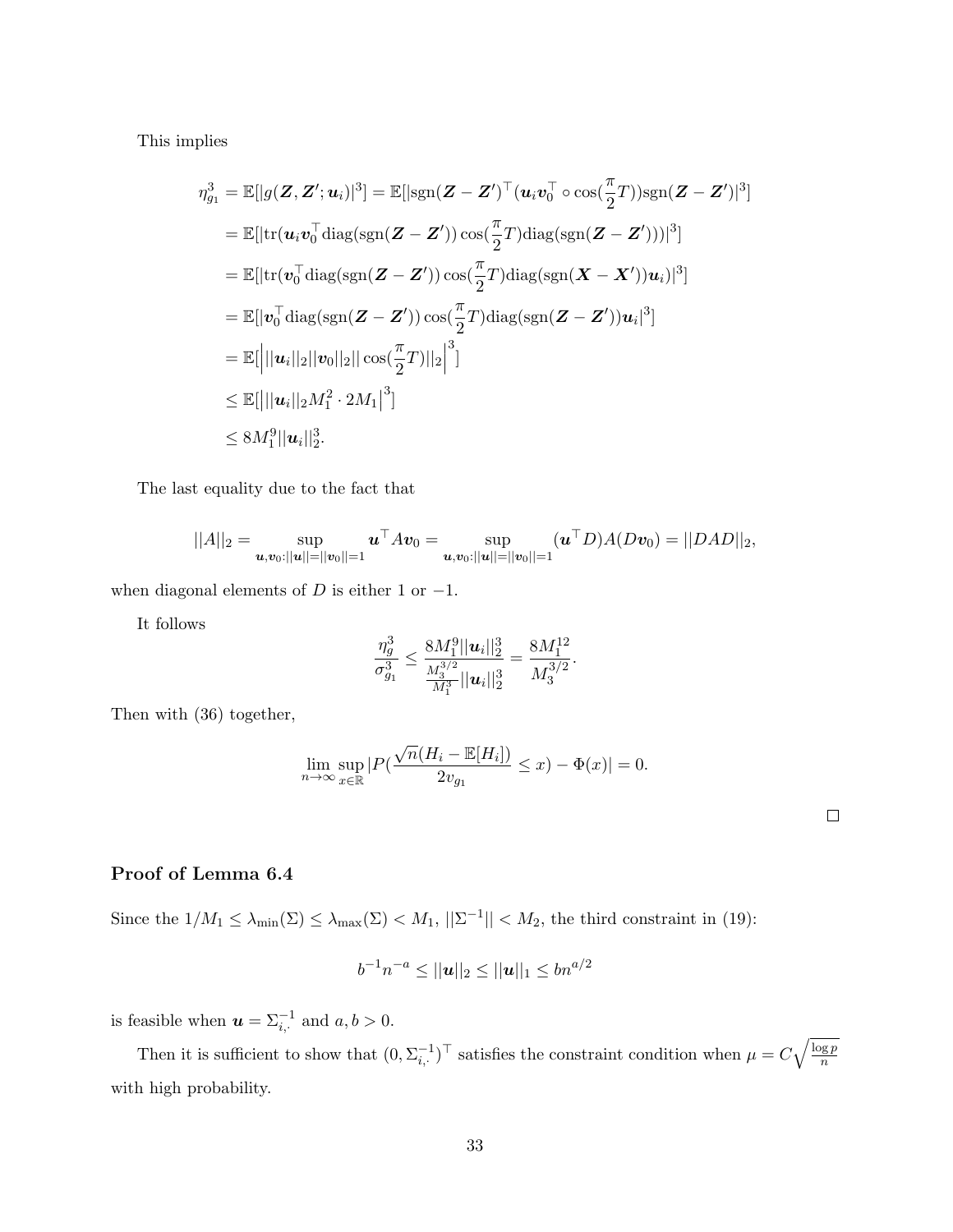This implies

$$
\eta_{g_1}^3 = \mathbb{E}[|g(\mathbf{Z}, \mathbf{Z}'; \boldsymbol{u}_i)|^3] = \mathbb{E}[|\text{sgn}(\mathbf{Z} - \mathbf{Z}')^\top (\boldsymbol{u}_i \boldsymbol{v}_0^\top \circ \cos(\frac{\pi}{2}T)) \text{sgn}(\mathbf{Z} - \mathbf{Z}')|^3]
$$
  
\n
$$
= \mathbb{E}[|\text{tr}(\boldsymbol{u}_i \boldsymbol{v}_0^\top \text{diag}(\text{sgn}(\mathbf{Z} - \mathbf{Z}')) \cos(\frac{\pi}{2}T) \text{diag}(\text{sgn}(\mathbf{Z} - \mathbf{Z}')))|^3]
$$
  
\n
$$
= \mathbb{E}[|\text{tr}(\boldsymbol{v}_0^\top \text{diag}(\text{sgn}(\mathbf{Z} - \mathbf{Z}')) \cos(\frac{\pi}{2}T) \text{diag}(\text{sgn}(\mathbf{X} - \mathbf{X}')) \boldsymbol{u}_i)|^3]
$$
  
\n
$$
= \mathbb{E}[|\boldsymbol{v}_0^\top \text{diag}(\text{sgn}(\mathbf{Z} - \mathbf{Z}')) \cos(\frac{\pi}{2}T) \text{diag}(\text{sgn}(\mathbf{Z} - \mathbf{Z}')) \boldsymbol{u}_i|^3]
$$
  
\n
$$
= \mathbb{E}[||\boldsymbol{u}_i||_2||\boldsymbol{v}_0||_2||\cos(\frac{\pi}{2}T)||_2|^3]
$$
  
\n
$$
\leq \mathbb{E}[||\boldsymbol{u}_i||_2 M_1^2 \cdot 2M_1|^3]
$$
  
\n
$$
\leq 8M_1^9 ||\boldsymbol{u}_i||_2^3.
$$

The last equality due to the fact that

$$
||A||_2 = \sup_{\boldsymbol{u}, \boldsymbol{v}_0:||\boldsymbol{u}||=||\boldsymbol{v}_0||=1} \boldsymbol{u}^\top A \boldsymbol{v}_0 = \sup_{\boldsymbol{u}, \boldsymbol{v}_0:||\boldsymbol{u}||=||\boldsymbol{v}_0||=1} (\boldsymbol{u}^\top D) A (D \boldsymbol{v}_0) = ||D A D||_2,
$$

when diagonal elements of  $D$  is either 1 or  $-1$ .

It follows

$$
\frac{\eta_g^3}{\sigma_{g_1}^3} \leq \frac{8M_1^9||\boldsymbol{u}_i||_2^3}{\frac{M_3^{3/2}}{M_1^3}||\boldsymbol{u}_i||_2^3} = \frac{8M_1^{12}}{M_3^{3/2}}.
$$

Then with (36) together,

$$
\lim_{n \to \infty} \sup_{x \in \mathbb{R}} |P(\frac{\sqrt{n}(H_i - \mathbb{E}[H_i])}{2v_{g_1}} \le x) - \Phi(x)| = 0.
$$

| ۰ |  |  |
|---|--|--|
|   |  |  |
|   |  |  |
|   |  |  |

# Proof of Lemma 6.4

Since the  $1/M_1 \leq \lambda_{\min}(\Sigma) \leq \lambda_{\max}(\Sigma) < M_1$ ,  $||\Sigma^{-1}|| < M_2$ , the third constraint in (19):

$$
b^{-1}n^{-a} \le ||\boldsymbol{u}||_2 \le ||\boldsymbol{u}||_1 \le bn^{a/2}
$$

is feasible when  $u = \sum_{i}^{-1}$  and  $a, b > 0$ .

Then it is sufficient to show that  $(0, \Sigma_{i, \cdot}^{-1})^{\top}$  satisfies the constraint condition when  $\mu = C \sqrt{\frac{\log p}{n}}$ n with high probability.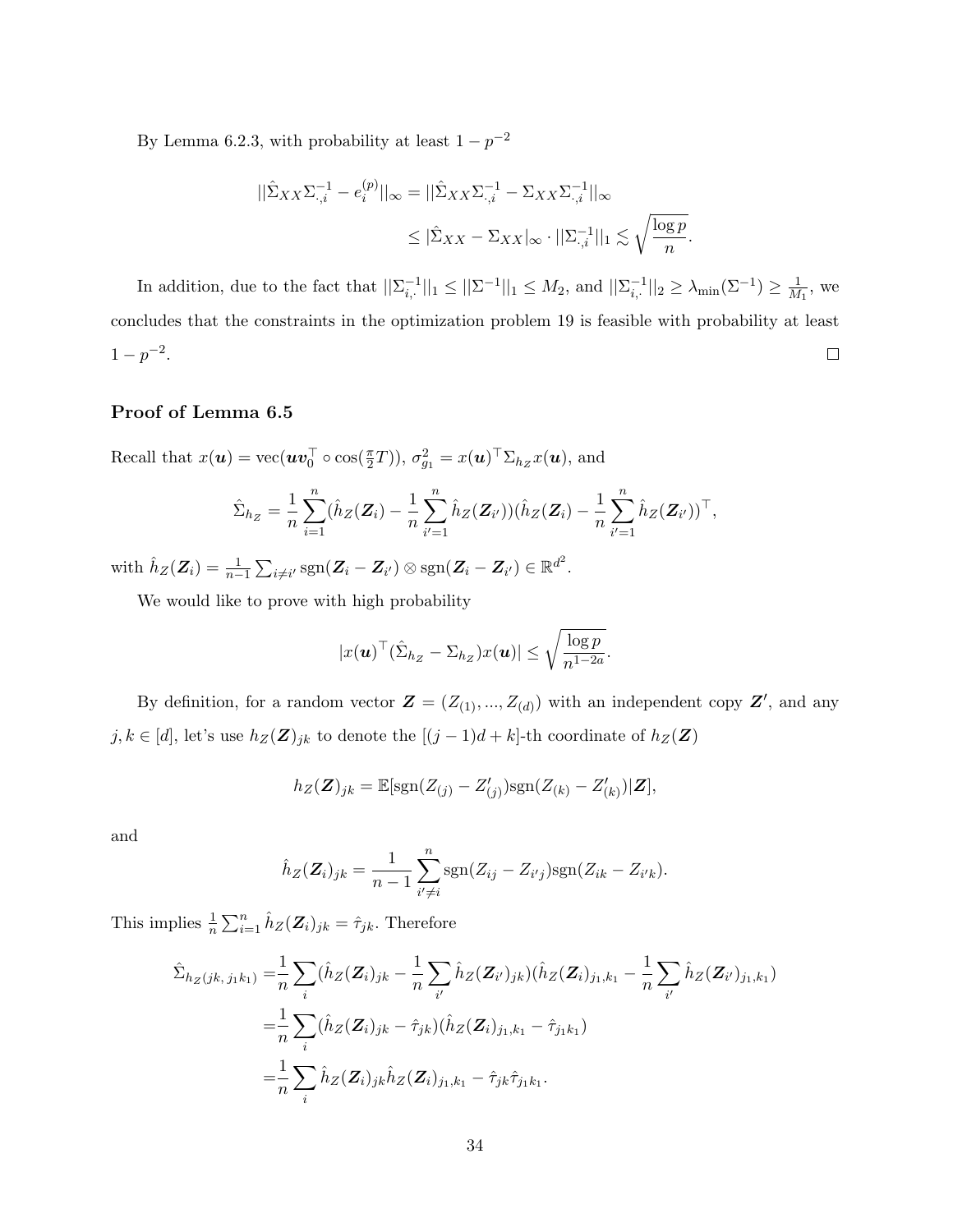By Lemma 6.2.3, with probability at least  $1 - p^{-2}$ 

$$
\begin{aligned} ||\hat{\Sigma}_{XX} \Sigma_{\cdot, i}^{-1} - e_i^{(p)}||_{\infty} &= ||\hat{\Sigma}_{XX} \Sigma_{\cdot, i}^{-1} - \Sigma_{XX} \Sigma_{\cdot, i}^{-1}||_{\infty} \\ &\leq |\hat{\Sigma}_{XX} - \Sigma_{XX}|_{\infty} \cdot ||\Sigma_{\cdot, i}^{-1}||_1 \lesssim \sqrt{\frac{\log p}{n}}. \end{aligned}
$$

In addition, due to the fact that  $||\sum_{i,\cdot}^{-1}||_1 \le ||\sum_{i}^{-1}||_1 \le M_2$ , and  $||\sum_{i,\cdot}^{-1}||_2 \ge \lambda_{\min}(\sum_{i}^{-1}) \ge \frac{1}{M}$  $\frac{1}{M_1}$ , we concludes that the constraints in the optimization problem 19 is feasible with probability at least  $1-p^{-2}$ .  $\Box$ 

## Proof of Lemma 6.5

Recall that  $x(\boldsymbol{u}) = \text{vec}(\boldsymbol{u}\boldsymbol{v}_0^{\top} \circ \text{cos}(\frac{\pi}{2}T)), \sigma_{g_1}^2 = x(\boldsymbol{u})^{\top} \Sigma_{h_Z} x(\boldsymbol{u}),$  and

$$
\hat{\Sigma}_{h_Z} = \frac{1}{n} \sum_{i=1}^n (\hat{h}_Z(\mathbf{Z}_i) - \frac{1}{n} \sum_{i'=1}^n \hat{h}_Z(\mathbf{Z}_{i'})) (\hat{h}_Z(\mathbf{Z}_i) - \frac{1}{n} \sum_{i'=1}^n \hat{h}_Z(\mathbf{Z}_{i'}))^{\top},
$$

with  $\hat{h}_Z(\mathbf{Z}_i) = \frac{1}{n-1} \sum_{i \neq i'} \text{sgn}(\mathbf{Z}_i - \mathbf{Z}_{i'}) \otimes \text{sgn}(\mathbf{Z}_i - \mathbf{Z}_{i'}) \in \mathbb{R}^{d^2}$ .

We would like to prove with high probability

$$
|x(\boldsymbol{u})^{\top}(\hat{\Sigma}_{h_Z} - \Sigma_{h_Z})x(\boldsymbol{u})| \leq \sqrt{\frac{\log p}{n^{1-2a}}}.
$$

By definition, for a random vector  $\mathbf{Z} = (Z_{(1)},..., Z_{(d)})$  with an independent copy  $\mathbf{Z}'$ , and any  $j, k \in [d]$ , let's use  $h_Z(\mathbf{Z})_{jk}$  to denote the  $[(j-1)d+k]$ -th coordinate of  $h_Z(\mathbf{Z})$ 

$$
h_Z(\mathbf{Z})_{jk} = \mathbb{E}[\text{sgn}(Z_{(j)} - Z'_{(j)})\text{sgn}(Z_{(k)} - Z'_{(k)})|\mathbf{Z}],
$$

and

$$
\hat{h}_Z(\mathbf{Z}_i)_{jk} = \frac{1}{n-1} \sum_{i' \neq i}^n \text{sgn}(Z_{ij} - Z_{i'j}) \text{sgn}(Z_{ik} - Z_{i'k}).
$$

This implies  $\frac{1}{n} \sum_{i=1}^{n} \hat{h}_Z(\mathbf{Z}_i)_{jk} = \hat{\tau}_{jk}$ . Therefore

$$
\hat{\Sigma}_{h_Z(jk,j_1k_1)} = \frac{1}{n} \sum_i (\hat{h}_Z(\mathbf{Z}_i)_{jk} - \frac{1}{n} \sum_{i'} \hat{h}_Z(\mathbf{Z}_{i'})_{jk}) (\hat{h}_Z(\mathbf{Z}_i)_{j_1,k_1} - \frac{1}{n} \sum_{i'} \hat{h}_Z(\mathbf{Z}_{i'})_{j_1,k_1})
$$
\n
$$
= \frac{1}{n} \sum_i (\hat{h}_Z(\mathbf{Z}_i)_{jk} - \hat{\tau}_{jk}) (\hat{h}_Z(\mathbf{Z}_i)_{j_1,k_1} - \hat{\tau}_{j_1k_1})
$$
\n
$$
= \frac{1}{n} \sum_i \hat{h}_Z(\mathbf{Z}_i)_{jk} \hat{h}_Z(\mathbf{Z}_i)_{j_1,k_1} - \hat{\tau}_{jk} \hat{\tau}_{j_1k_1}.
$$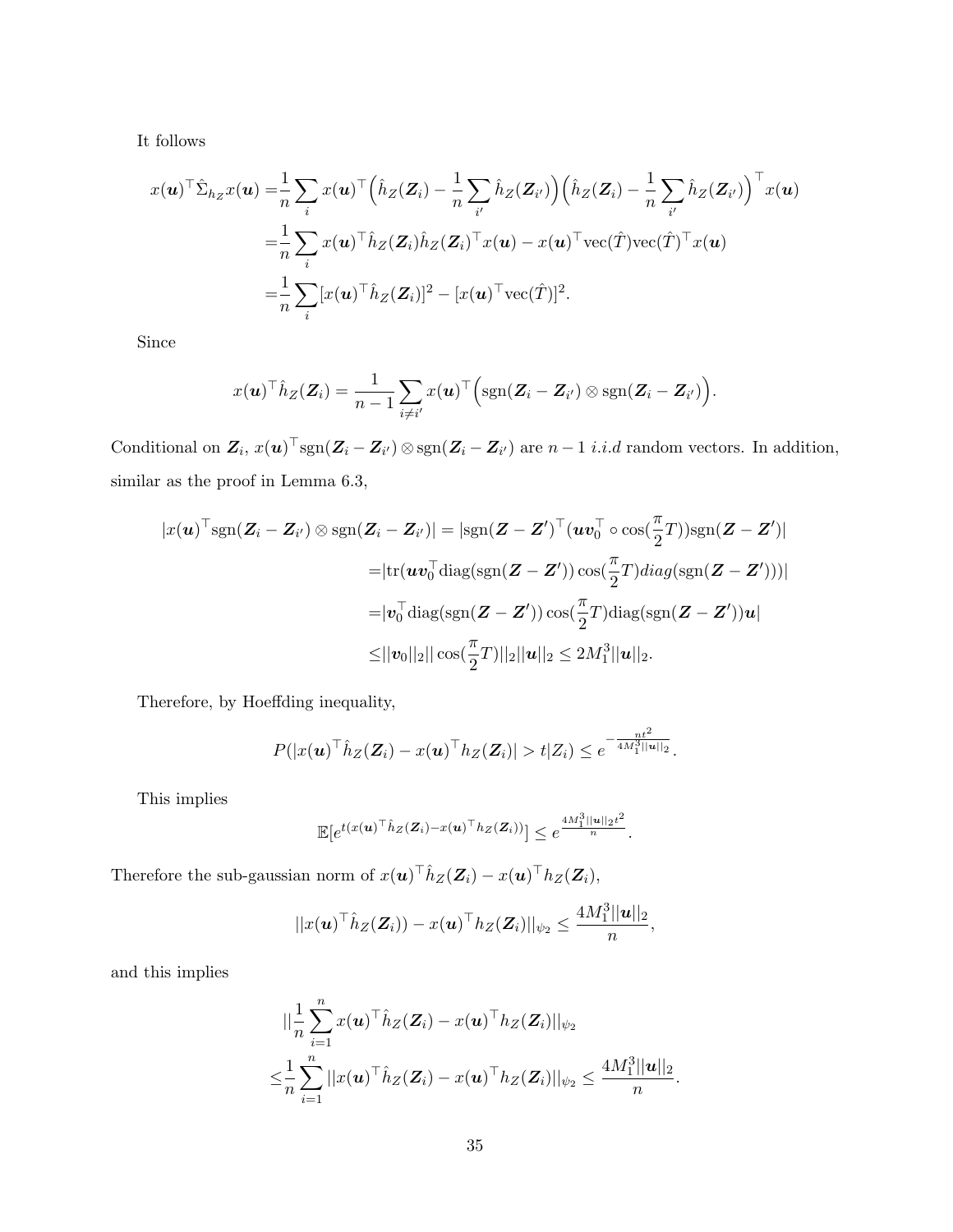It follows

$$
x(\boldsymbol{u})^{\top} \hat{\Sigma}_{h_Z} x(\boldsymbol{u}) = \frac{1}{n} \sum_i x(\boldsymbol{u})^{\top} \Big( \hat{h}_Z(Z_i) - \frac{1}{n} \sum_{i'} \hat{h}_Z(Z_{i'}) \Big) \Big( \hat{h}_Z(Z_i) - \frac{1}{n} \sum_{i'} \hat{h}_Z(Z_{i'}) \Big)^{\top} x(\boldsymbol{u})
$$
  

$$
= \frac{1}{n} \sum_i x(\boldsymbol{u})^{\top} \hat{h}_Z(Z_i) \hat{h}_Z(Z_i)^{\top} x(\boldsymbol{u}) - x(\boldsymbol{u})^{\top} \text{vec}(\hat{T}) \text{vec}(\hat{T})^{\top} x(\boldsymbol{u})
$$
  

$$
= \frac{1}{n} \sum_i [x(\boldsymbol{u})^{\top} \hat{h}_Z(Z_i)]^2 - [x(\boldsymbol{u})^{\top} \text{vec}(\hat{T})]^2.
$$

Since

$$
x(\boldsymbol{u})^{\top} \hat{h}_Z(\boldsymbol{Z}_i) = \frac{1}{n-1} \sum_{i \neq i'} x(\boldsymbol{u})^{\top} \Big( \text{sgn}(\boldsymbol{Z}_i - \boldsymbol{Z}_{i'}) \otimes \text{sgn}(\boldsymbol{Z}_i - \boldsymbol{Z}_{i'}) \Big).
$$

Conditional on  $\mathbf{Z}_i$ ,  $x(\mathbf{u})$  ' $sgn(\mathbf{Z}_i - \mathbf{Z}_{i'}) \otimes sgn(\mathbf{Z}_i - \mathbf{Z}_{i'})$  are  $n-1$  *i.i.d* random vectors. In addition, similar as the proof in Lemma 6.3,

$$
|x(\boldsymbol{u})^{\top} \text{sgn}(\boldsymbol{Z}_{i} - \boldsymbol{Z}_{i'}) \otimes \text{sgn}(\boldsymbol{Z}_{i} - \boldsymbol{Z}_{i'})| = |\text{sgn}(\boldsymbol{Z} - \boldsymbol{Z}')^{\top}(\boldsymbol{u}\boldsymbol{v}_{0}^{\top} \circ \cos(\frac{\pi}{2}T))\text{sgn}(\boldsymbol{Z} - \boldsymbol{Z}')|
$$
  
\n
$$
= |\text{tr}(\boldsymbol{u}\boldsymbol{v}_{0}^{\top}\text{diag}(\text{sgn}(\boldsymbol{Z} - \boldsymbol{Z}')) \cos(\frac{\pi}{2}T) \text{diag}(\text{sgn}(\boldsymbol{Z} - \boldsymbol{Z}')))|
$$
  
\n
$$
= |\boldsymbol{v}_{0}^{\top}\text{diag}(\text{sgn}(\boldsymbol{Z} - \boldsymbol{Z}')) \cos(\frac{\pi}{2}T) \text{diag}(\text{sgn}(\boldsymbol{Z} - \boldsymbol{Z}'))\boldsymbol{u}|
$$
  
\n
$$
\leq ||\boldsymbol{v}_{0}||_{2}|| \cos(\frac{\pi}{2}T)||_{2}||\boldsymbol{u}||_{2} \leq 2M_{1}^{3}||\boldsymbol{u}||_{2}.
$$

Therefore, by Hoeffding inequality,

$$
P(|x(\boldsymbol{u})^{\top}\hat{h}_Z(\boldsymbol{Z}_i)-x(\boldsymbol{u})^{\top}h_Z(\boldsymbol{Z}_i)|>t|Z_i)\leq e^{-\frac{nt^2}{4M_1^3||\boldsymbol{u}||_2}}.
$$

This implies

$$
\mathbb{E}[e^{t(x(\boldsymbol{u})^\top \hat{h}_Z(\boldsymbol{Z}_i)-x(\boldsymbol{u})^\top h_Z(\boldsymbol{Z}_i))}]\leq e^{\frac{4M_1^3||\boldsymbol{u}||_2t^2}{n}}.
$$

Therefore the sub-gaussian norm of  $x(\boldsymbol{u})^{\top} \hat{h}_Z(\boldsymbol{Z}_i) - x(\boldsymbol{u})^{\top} h_Z(\boldsymbol{Z}_i)$ ,

$$
||x(\boldsymbol{u})^{\top}\hat{h}_Z(\boldsymbol{Z}_i)) - x(\boldsymbol{u})^{\top}h_Z(\boldsymbol{Z}_i)||_{\psi_2} \leq \frac{4M_1^3||\boldsymbol{u}||_2}{n},
$$

and this implies

$$
\|\frac{1}{n}\sum_{i=1}^n x(u)^\top \hat{h}_Z(\mathbf{Z}_i) - x(u)^\top h_Z(\mathbf{Z}_i)\|_{\psi_2} \le \frac{1}{n}\sum_{i=1}^n ||x(u)^\top \hat{h}_Z(\mathbf{Z}_i) - x(u)^\top h_Z(\mathbf{Z}_i)\|_{\psi_2} \le \frac{4M_1^3||u||_2}{n}.
$$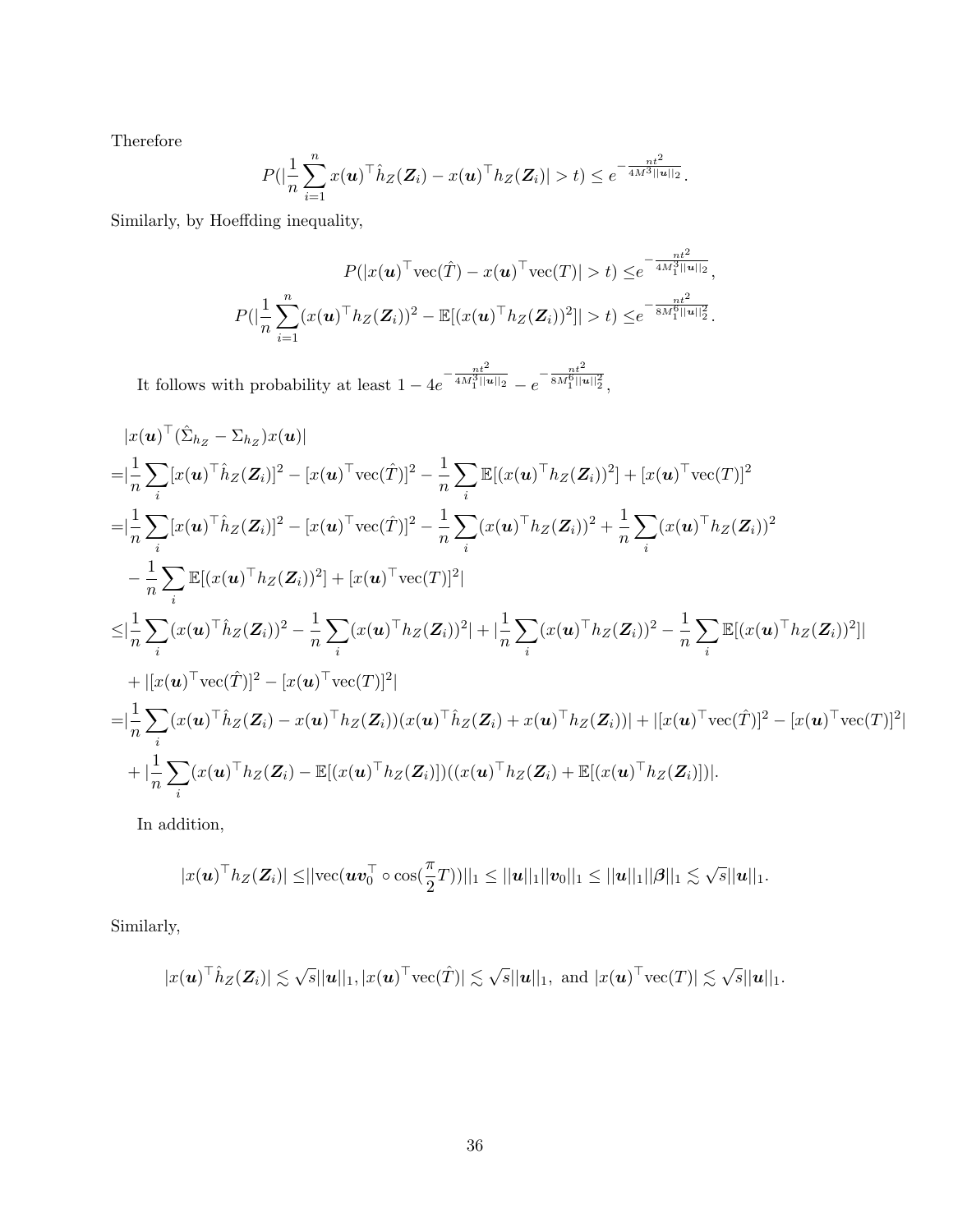Therefore

$$
P(|\frac{1}{n}\sum_{i=1}^n x(\boldsymbol{u})^\top \hat{h}_Z(\boldsymbol{Z}_i) - x(\boldsymbol{u})^\top h_Z(\boldsymbol{Z}_i)| > t) \leq e^{-\frac{nt^2}{4M^3||\boldsymbol{u}||_2}}.
$$

Similarly, by Hoeffding inequality,

$$
P(|x(\boldsymbol{u})^{\top}\text{vec}(\hat{T}) - x(\boldsymbol{u})^{\top}\text{vec}(T)| > t) \leq e^{-\frac{nt^2}{4M_1^3||\boldsymbol{u}||_2}},
$$
  

$$
P(|\frac{1}{n}\sum_{i=1}^n (x(\boldsymbol{u})^{\top}h_Z(\boldsymbol{Z}_i))^2 - \mathbb{E}[(x(\boldsymbol{u})^{\top}h_Z(\boldsymbol{Z}_i))^2]| > t) \leq e^{-\frac{nt^2}{8M_1^6||\boldsymbol{u}||_2^2}}.
$$

It follows with probability at least  $1 - 4e$  $-\frac{nt^2}{4M_1^3||u||_2} - e$  $-\frac{nt^2}{8M_1^6||u||_2^2},$ 

$$
|x(\mathbf{u})^{\top}(\hat{\Sigma}_{h_{Z}} - \Sigma_{h_{Z}})x(\mathbf{u})|
$$
\n
$$
= |\frac{1}{n} \sum_{i} [x(\mathbf{u})^{\top} \hat{h}_{Z}(\mathbf{Z}_{i})]^{2} - [x(\mathbf{u})^{\top} \text{vec}(\hat{T})]^{2} - \frac{1}{n} \sum_{i} \mathbb{E}[(x(\mathbf{u})^{\top} h_{Z}(\mathbf{Z}_{i}))^{2}] + [x(\mathbf{u})^{\top} \text{vec}(T)]^{2}
$$
\n
$$
= |\frac{1}{n} \sum_{i} [x(\mathbf{u})^{\top} \hat{h}_{Z}(\mathbf{Z}_{i})]^{2} - [x(\mathbf{u})^{\top} \text{vec}(\hat{T})]^{2} - \frac{1}{n} \sum_{i} (x(\mathbf{u})^{\top} h_{Z}(\mathbf{Z}_{i}))^{2} + \frac{1}{n} \sum_{i} (x(\mathbf{u})^{\top} h_{Z}(\mathbf{Z}_{i}))^{2}
$$
\n
$$
- \frac{1}{n} \sum_{i} \mathbb{E}[(x(\mathbf{u})^{\top} h_{Z}(\mathbf{Z}_{i}))^{2}] + [x(\mathbf{u})^{\top} \text{vec}(T)]^{2}|
$$
\n
$$
\leq |\frac{1}{n} \sum_{i} (x(\mathbf{u})^{\top} \hat{h}_{Z}(\mathbf{Z}_{i}))^{2} - \frac{1}{n} \sum_{i} (x(\mathbf{u})^{\top} h_{Z}(\mathbf{Z}_{i}))^{2} + |\frac{1}{n} \sum_{i} (x(\mathbf{u})^{\top} h_{Z}(\mathbf{Z}_{i}))^{2} - \frac{1}{n} \sum_{i} \mathbb{E}[(x(\mathbf{u})^{\top} h_{Z}(\mathbf{Z}_{i}))^{2}]|
$$
\n
$$
+ |[x(\mathbf{u})^{\top} \text{vec}(\hat{T})]^{2} - [x(\mathbf{u})^{\top} \text{vec}(T)]^{2}|
$$
\n
$$
= |\frac{1}{n} \sum_{i} (x(\mathbf{u})^{\top} \hat{h}_{Z}(\mathbf{Z}_{i}) - x(\mathbf{u})^{\top} h_{Z}(\mathbf{Z}_{i})) (x(\mathbf{u})^{\top} \hat{h}_{Z}(\
$$

In addition,

$$
|x(\boldsymbol{u})^{\top}h_{Z}(\boldsymbol{Z}_{i})| \leq ||\text{vec}(\boldsymbol{u}\boldsymbol{v}_{0}^{\top} \circ \text{cos}(\frac{\pi}{2}T))||_{1} \leq ||\boldsymbol{u}||_{1}||\boldsymbol{v}_{0}||_{1} \leq ||\boldsymbol{u}||_{1}||\boldsymbol{\beta}||_{1} \lesssim \sqrt{s}||\boldsymbol{u}||_{1}.
$$

Similarly,

$$
|x(\boldsymbol{u})^{\top}\hat{h}_Z(\boldsymbol{Z}_i)| \lesssim \sqrt{s}||\boldsymbol{u}||_1, |x(\boldsymbol{u})^{\top}\text{vec}(\hat{T})| \lesssim \sqrt{s}||\boldsymbol{u}||_1, \text{ and } |x(\boldsymbol{u})^{\top}\text{vec}(T)| \lesssim \sqrt{s}||\boldsymbol{u}||_1.
$$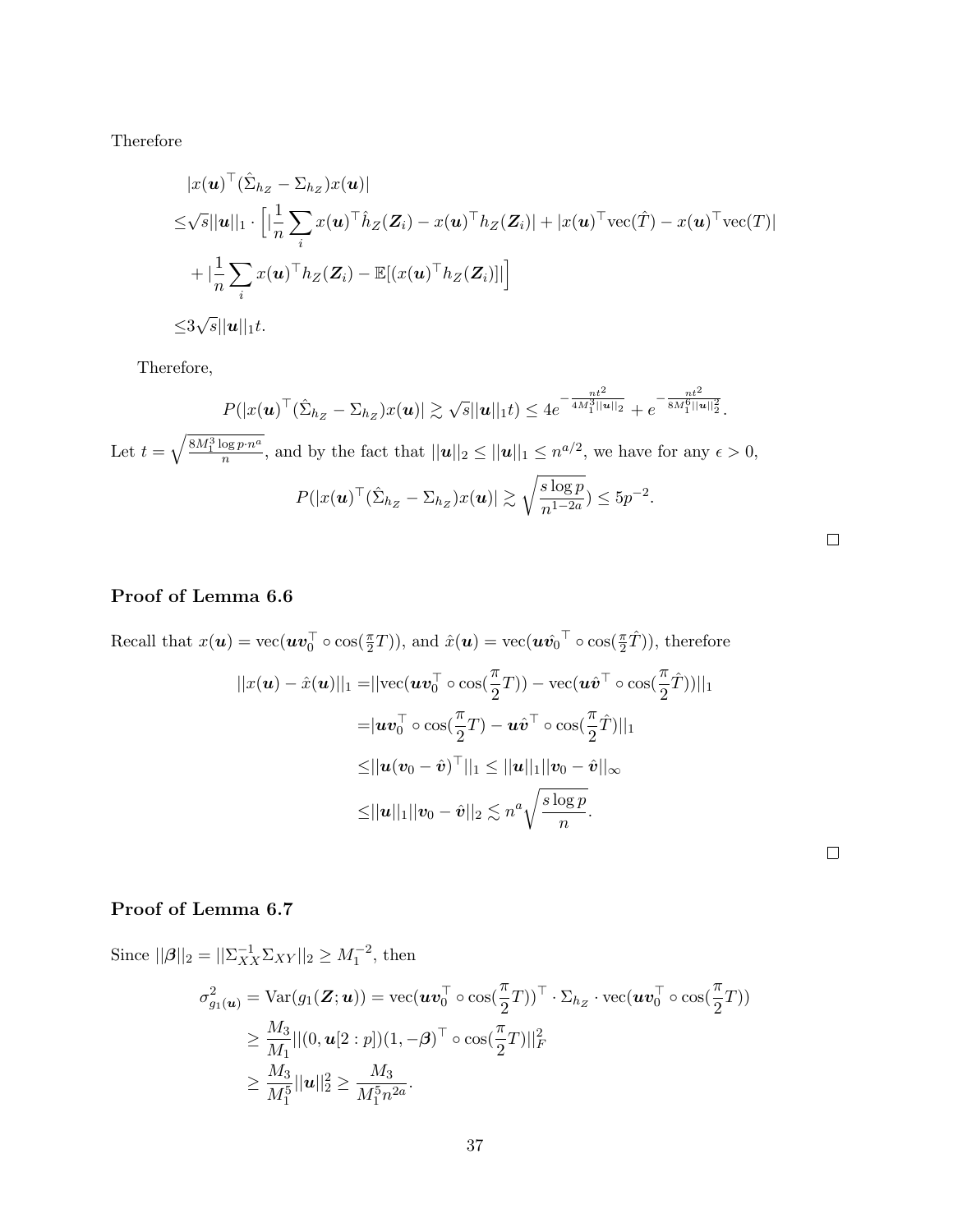Therefore

$$
|x(\boldsymbol{u})^{\top}(\hat{\Sigma}_{h_Z} - \Sigma_{h_Z})x(\boldsymbol{u})|
$$
  
\n
$$
\leq \sqrt{s}||\boldsymbol{u}||_1 \cdot \left[|\frac{1}{n}\sum_i x(\boldsymbol{u})^{\top}\hat{h}_Z(\boldsymbol{Z}_i) - x(\boldsymbol{u})^{\top}h_Z(\boldsymbol{Z}_i)| + |x(\boldsymbol{u})^{\top}\text{vec}(\hat{T}) - x(\boldsymbol{u})^{\top}\text{vec}(T)| + |\frac{1}{n}\sum_i x(\boldsymbol{u})^{\top}h_Z(\boldsymbol{Z}_i) - \mathbb{E}[(x(\boldsymbol{u})^{\top}h_Z(\boldsymbol{Z}_i)]|\right]
$$
  
\n
$$
\leq 3\sqrt{s}||\boldsymbol{u}||_1 t.
$$

Therefore,

$$
P(|x(\mathbf{u})^{\top}(\hat{\Sigma}_{h_Z} - \Sigma_{h_Z})x(\mathbf{u})| \gtrsim \sqrt{s}||\mathbf{u}||_1 t) \le 4e^{-\frac{nt^2}{4M_1^3||\mathbf{u}||_2}} + e^{-\frac{nt^2}{8M_1^6||\mathbf{u}||_2^2}}.
$$
  
Let  $t = \sqrt{\frac{8M_1^3 \log p \cdot n^a}{n}}$ , and by the fact that  $||\mathbf{u}||_2 \le ||\mathbf{u}||_1 \le n^{a/2}$ , we have for any  $\epsilon > 0$ ,  

$$
P(|x(\mathbf{u})^{\top}(\hat{\Sigma}_{h_Z} - \Sigma_{h_Z})x(\mathbf{u})| \gtrsim \sqrt{\frac{s \log p}{n^{1-2a}}}) \le 5p^{-2}.
$$

 $\Box$ 

 $\Box$ 

Recall that 
$$
x(\boldsymbol{u}) = \text{vec}(\boldsymbol{u}\boldsymbol{v}_0^{\top} \circ \cos(\frac{\pi}{2}T))
$$
, and  $\hat{x}(\boldsymbol{u}) = \text{vec}(\boldsymbol{u}\hat{v}_0^{\top} \circ \cos(\frac{\pi}{2}\hat{T}))$ , therefore  
\n
$$
||x(\boldsymbol{u}) - \hat{x}(\boldsymbol{u})||_1 = ||\text{vec}(\boldsymbol{u}\boldsymbol{v}_0^{\top} \circ \cos(\frac{\pi}{2}T)) - \text{vec}(\boldsymbol{u}\hat{\boldsymbol{v}}^{\top} \circ \cos(\frac{\pi}{2}\hat{T}))||_1
$$
\n
$$
= |\boldsymbol{u}\boldsymbol{v}_0^{\top} \circ \cos(\frac{\pi}{2}T) - \boldsymbol{u}\hat{\boldsymbol{v}}^{\top} \circ \cos(\frac{\pi}{2}\hat{T})||_1
$$
\n
$$
\leq ||\boldsymbol{u}(\boldsymbol{v}_0 - \hat{\boldsymbol{v}})^{\top}||_1 \leq ||\boldsymbol{u}||_1 ||\boldsymbol{v}_0 - \hat{\boldsymbol{v}}||_{\infty}
$$
\n
$$
\leq ||\boldsymbol{u}||_1 ||\boldsymbol{v}_0 - \hat{\boldsymbol{v}}||_2 \leq n^a \sqrt{\frac{s \log p}{n}}.
$$

# Proof of Lemma 6.7

Since  $||\boldsymbol{\beta}||_2 = ||\sum_{XX}^{-1} \sum_{XY} ||_2 \ge M_1^{-2}$ , then  $\sigma_{g_1(\boldsymbol{u})}^2 = \text{Var}(g_1(\boldsymbol{Z};\boldsymbol{u})) = \text{vec}(\boldsymbol{u}\boldsymbol{v}_0^\top\circ\cos(\frac{\pi}{2}T))^\top\cdot\Sigma_{h_Z}\cdot\text{vec}(\boldsymbol{u}\boldsymbol{v}_0^\top\circ\cos(\frac{\pi}{2}T))$ ≥  $M_3$  $\frac{M_3}{M_1}||(0, {\boldsymbol{u}}[2:p])(1, -\boldsymbol{\beta})^\top \circ \cos(\frac{\pi}{2}T)||_F^2$ ≥  $M_3$  $\frac{M_3}{M_1^5} ||u||_2^2 \geq$  $M_3$  $\frac{1}{M_1^5 n^{2a}}$ .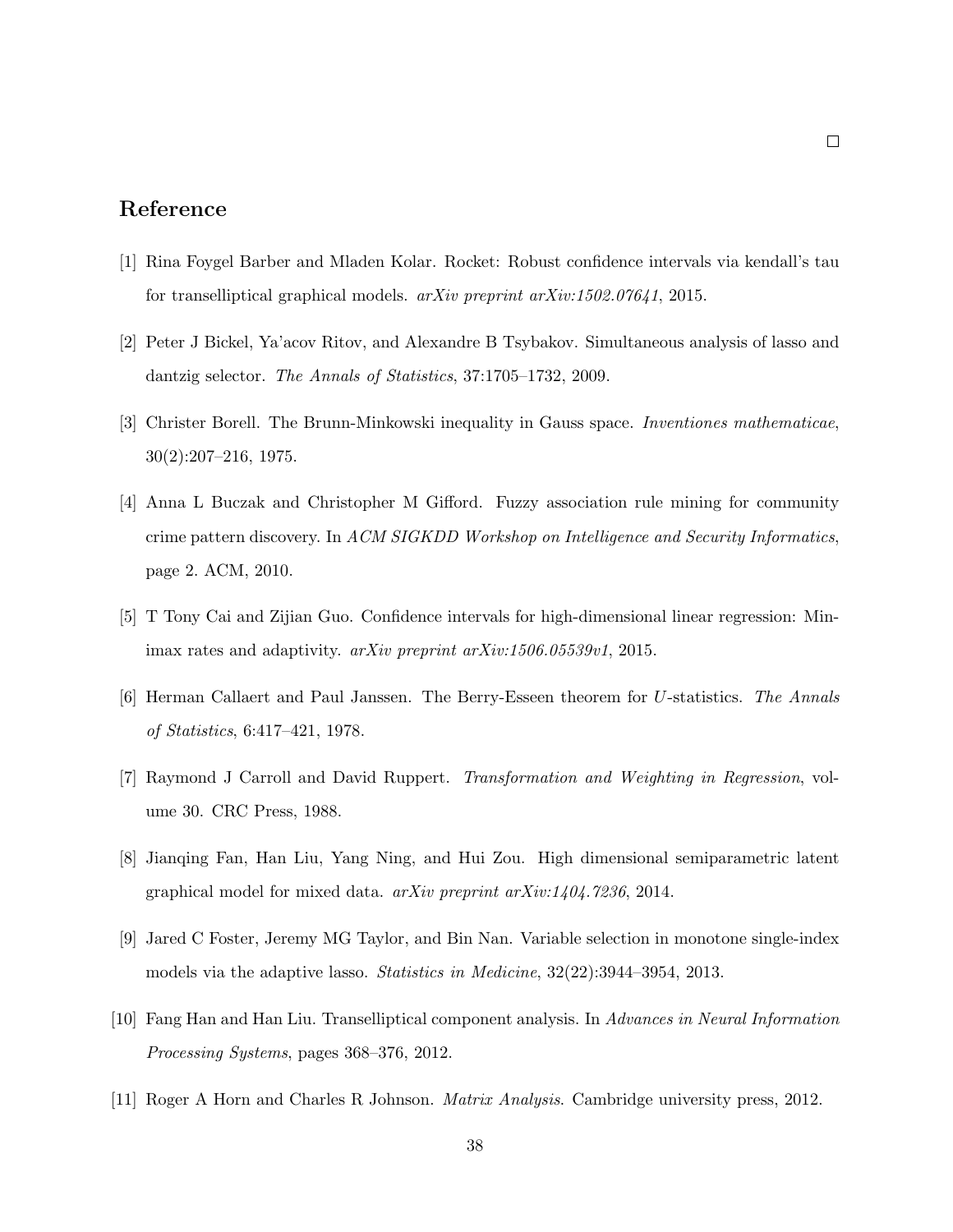## Reference

- [1] Rina Foygel Barber and Mladen Kolar. Rocket: Robust confidence intervals via kendall's tau for transelliptical graphical models.  $arXiv$  preprint  $arXiv:1502.07641$ , 2015.
- [2] Peter J Bickel, Ya'acov Ritov, and Alexandre B Tsybakov. Simultaneous analysis of lasso and dantzig selector. The Annals of Statistics, 37:1705–1732, 2009.
- [3] Christer Borell. The Brunn-Minkowski inequality in Gauss space. Inventiones mathematicae, 30(2):207–216, 1975.
- [4] Anna L Buczak and Christopher M Gifford. Fuzzy association rule mining for community crime pattern discovery. In ACM SIGKDD Workshop on Intelligence and Security Informatics, page 2. ACM, 2010.
- [5] T Tony Cai and Zijian Guo. Confidence intervals for high-dimensional linear regression: Minimax rates and adaptivity. arXiv preprint arXiv:1506.05539v1, 2015.
- [6] Herman Callaert and Paul Janssen. The Berry-Esseen theorem for U-statistics. The Annals of Statistics, 6:417–421, 1978.
- [7] Raymond J Carroll and David Ruppert. Transformation and Weighting in Regression, volume 30. CRC Press, 1988.
- [8] Jianqing Fan, Han Liu, Yang Ning, and Hui Zou. High dimensional semiparametric latent graphical model for mixed data. arXiv preprint arXiv:1404.7236, 2014.
- [9] Jared C Foster, Jeremy MG Taylor, and Bin Nan. Variable selection in monotone single-index models via the adaptive lasso. *Statistics in Medicine*,  $32(22):3944-3954$ , 2013.
- [10] Fang Han and Han Liu. Transelliptical component analysis. In Advances in Neural Information Processing Systems, pages 368–376, 2012.
- [11] Roger A Horn and Charles R Johnson. Matrix Analysis. Cambridge university press, 2012.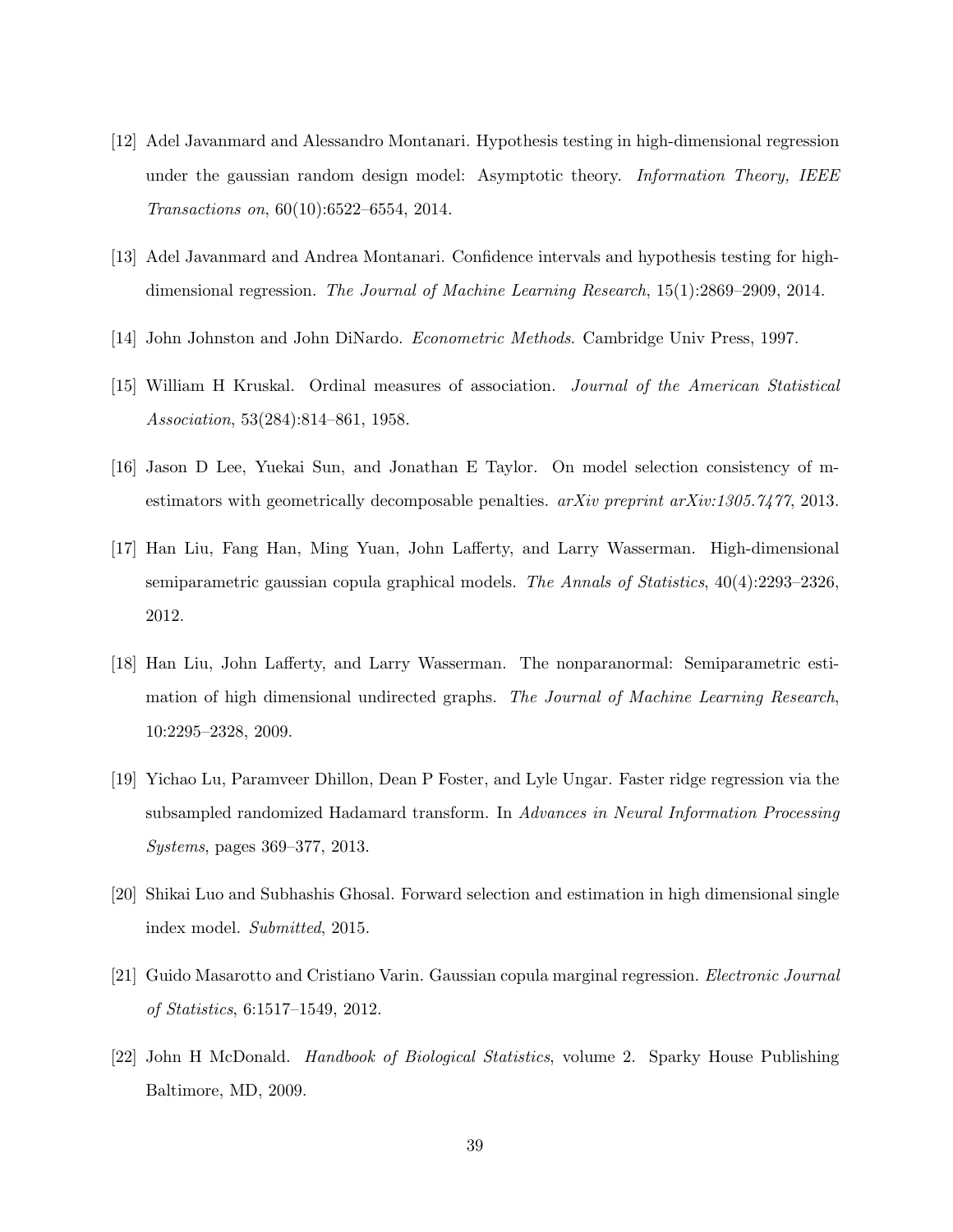- [12] Adel Javanmard and Alessandro Montanari. Hypothesis testing in high-dimensional regression under the gaussian random design model: Asymptotic theory. *Information Theory*, IEEE Transactions on, 60(10):6522–6554, 2014.
- [13] Adel Javanmard and Andrea Montanari. Confidence intervals and hypothesis testing for highdimensional regression. The Journal of Machine Learning Research, 15(1):2869–2909, 2014.
- [14] John Johnston and John DiNardo. Econometric Methods. Cambridge Univ Press, 1997.
- [15] William H Kruskal. Ordinal measures of association. Journal of the American Statistical Association, 53(284):814–861, 1958.
- [16] Jason D Lee, Yuekai Sun, and Jonathan E Taylor. On model selection consistency of mestimators with geometrically decomposable penalties.  $arXiv$  preprint  $arXiv:1305.7477$ , 2013.
- [17] Han Liu, Fang Han, Ming Yuan, John Lafferty, and Larry Wasserman. High-dimensional semiparametric gaussian copula graphical models. The Annals of Statistics, 40(4):2293–2326, 2012.
- [18] Han Liu, John Lafferty, and Larry Wasserman. The nonparanormal: Semiparametric estimation of high dimensional undirected graphs. The Journal of Machine Learning Research, 10:2295–2328, 2009.
- [19] Yichao Lu, Paramveer Dhillon, Dean P Foster, and Lyle Ungar. Faster ridge regression via the subsampled randomized Hadamard transform. In Advances in Neural Information Processing Systems, pages 369–377, 2013.
- [20] Shikai Luo and Subhashis Ghosal. Forward selection and estimation in high dimensional single index model. Submitted, 2015.
- [21] Guido Masarotto and Cristiano Varin. Gaussian copula marginal regression. Electronic Journal of Statistics, 6:1517–1549, 2012.
- [22] John H McDonald. Handbook of Biological Statistics, volume 2. Sparky House Publishing Baltimore, MD, 2009.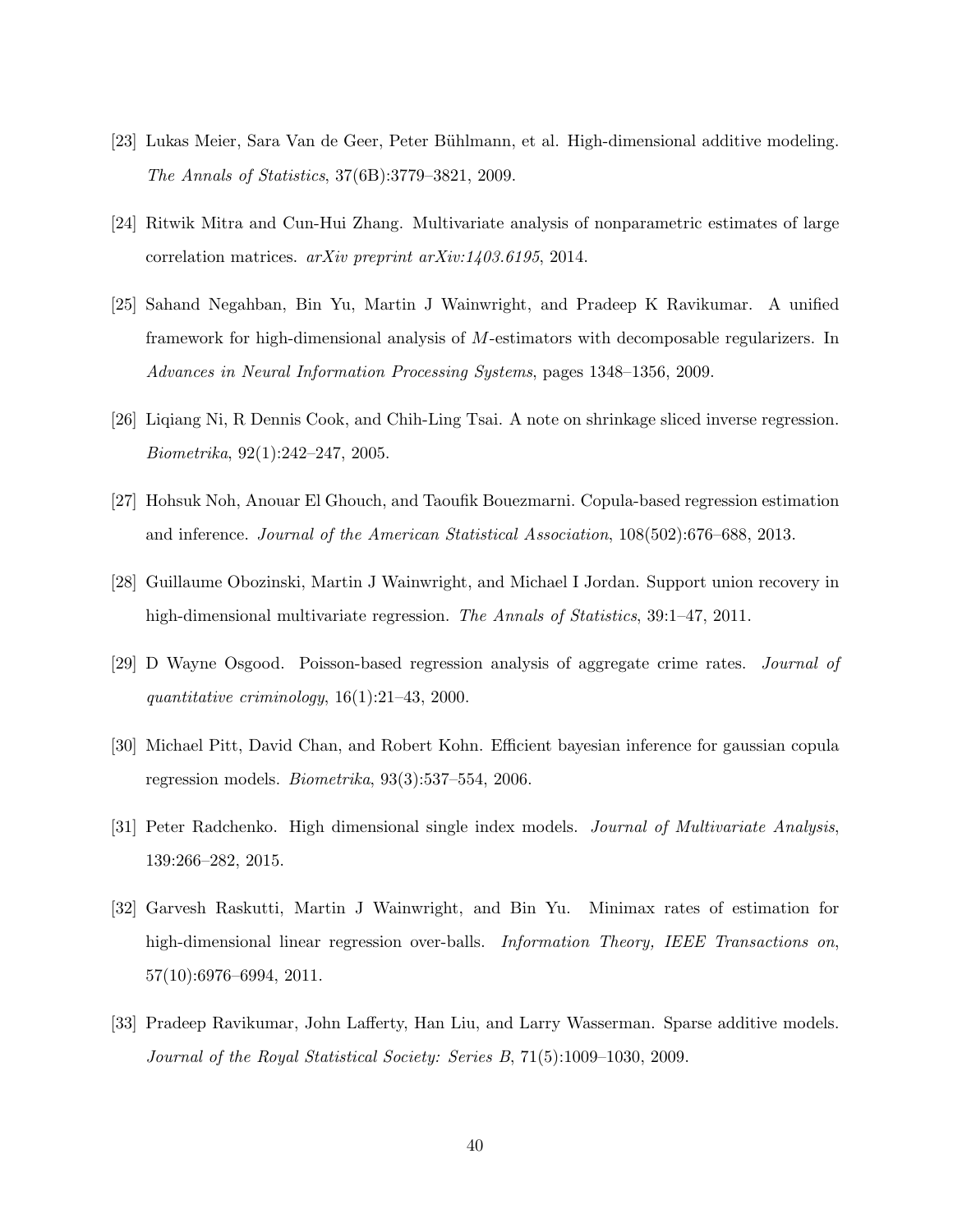- [23] Lukas Meier, Sara Van de Geer, Peter Bühlmann, et al. High-dimensional additive modeling. The Annals of Statistics, 37(6B):3779–3821, 2009.
- [24] Ritwik Mitra and Cun-Hui Zhang. Multivariate analysis of nonparametric estimates of large correlation matrices. arXiv preprint arXiv:1403.6195, 2014.
- [25] Sahand Negahban, Bin Yu, Martin J Wainwright, and Pradeep K Ravikumar. A unified framework for high-dimensional analysis of M-estimators with decomposable regularizers. In Advances in Neural Information Processing Systems, pages 1348–1356, 2009.
- [26] Liqiang Ni, R Dennis Cook, and Chih-Ling Tsai. A note on shrinkage sliced inverse regression. Biometrika, 92(1):242–247, 2005.
- [27] Hohsuk Noh, Anouar El Ghouch, and Taoufik Bouezmarni. Copula-based regression estimation and inference. Journal of the American Statistical Association, 108(502):676–688, 2013.
- [28] Guillaume Obozinski, Martin J Wainwright, and Michael I Jordan. Support union recovery in high-dimensional multivariate regression. The Annals of Statistics, 39:1–47, 2011.
- [29] D Wayne Osgood. Poisson-based regression analysis of aggregate crime rates. Journal of quantitative criminology, 16(1):21–43, 2000.
- [30] Michael Pitt, David Chan, and Robert Kohn. Efficient bayesian inference for gaussian copula regression models.  $Biometrika$ ,  $93(3):537-554$ ,  $2006$ .
- [31] Peter Radchenko. High dimensional single index models. Journal of Multivariate Analysis, 139:266–282, 2015.
- [32] Garvesh Raskutti, Martin J Wainwright, and Bin Yu. Minimax rates of estimation for high-dimensional linear regression over-balls. Information Theory, IEEE Transactions on, 57(10):6976–6994, 2011.
- [33] Pradeep Ravikumar, John Lafferty, Han Liu, and Larry Wasserman. Sparse additive models. Journal of the Royal Statistical Society: Series B, 71(5):1009–1030, 2009.